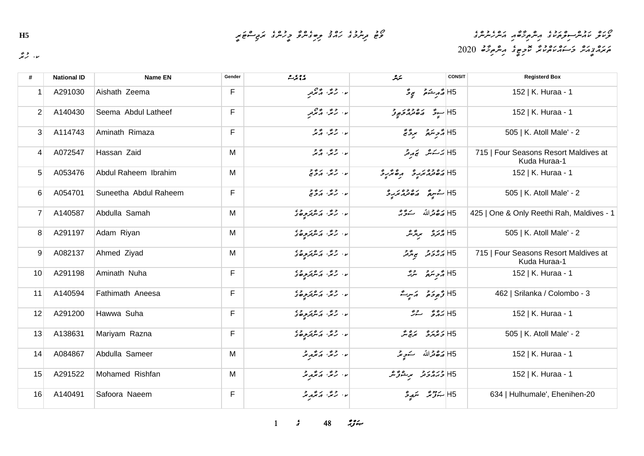*sCw7q7s5w7m< o<n9nOoAw7o< sCq;mAwBoEw7q<m; wBm;vB* م من المرة المرة المرة المرجع المرجع في المركبة 2020<br>مجم*د المريض المربوط المربع المرجع في المراجع المركبة* 

| #              | <b>National ID</b> | Name EN               | Gender      | ړيږے                    | ىترىش                        | <b>CONSIT</b> | <b>Registerd Box</b>                                  |
|----------------|--------------------|-----------------------|-------------|-------------------------|------------------------------|---------------|-------------------------------------------------------|
| -1             | A291030            | Aishath Zeema         | F           | ىر، رقىق، ئەتتىرىغىر    | H5 مُدمِسْمَة بِيءٌ          |               | 152   K. Huraa - 1                                    |
| 2              | A140430            | Seema Abdul Latheef   | F           | ىر، رقىق ئۇنجىر         | H5 جو <i>ڭ مەھەرم جو</i> ر   |               | 152   K. Huraa - 1                                    |
| $\mathbf{3}$   | A114743            | Aminath Rimaza        | F           | ىر، رقىق، مۇنجە         | H5 أُمَّ حِبَّعَةٌ مَجَرَّجَ |               | 505   K. Atoll Male' - 2                              |
| 4              | A072547            | Hassan Zaid           | M           | ىدا رحيق مەتتىر         | H5   پرستہ س <i>ی م</i> قر   |               | 715   Four Seasons Resort Maldives at<br>Kuda Huraa-1 |
| 5              | A053476            | Abdul Raheem Ibrahim  | M           | ر، رحي اړونځ            | H5 בטבעב בפיק ביות השיבק ב   |               | 152   K. Huraa - 1                                    |
| 6              | A054701            | Suneetha Abdul Raheem | $\mathsf F$ | ىر، رقىق، مەنتەنج       | H5 شريع مەھىرمىرىيەد         |               | 505   K. Atoll Male' - 2                              |
| $\overline{7}$ | A140587            | Abdulla Samah         | M           | ر. رقمي كەنگەنچە ئ      | H5 كەڭداللە<br>سەۋىر         |               | 425   One & Only Reethi Rah, Maldives - 1             |
| 8              | A291197            | Adam Riyan            | M           | ر، رحمہ، کہ سرگرون و    | H5 جۇنزى بىرترىش             |               | 505   K. Atoll Male' - 2                              |
| 9              | A082137            | Ahmed Ziyad           | M           | ر، رحمہ، کہ سرگر وہ     | H5 كەبرى ئىس بىر ئىقر        |               | 715   Four Seasons Resort Maldives at<br>Kuda Huraa-1 |
| 10             | A291198            | Aminath Nuha          | F           | ر. رقمي كەنگەنچە ئ      | H5  مُرْحِسَمُ مِنْ مِنْ     |               | 152   K. Huraa - 1                                    |
| 11             | A140594            | Fathimath Aneesa      | F           | ر، رحمہ، کہ سرگر وہ     | H5  وَّجِ دَمَ \$سِرْ سَمَّ  |               | 462   Srilanka / Colombo - 3                          |
| 12             | A291200            | Hawwa Suha            | F           | ر، رحمہ کامیرون         | H5 جهڙ شر                    |               | 152   K. Huraa - 1                                    |
| 13             | A138631            | Mariyam Razna         | F           | ر. رُسٌ مَسْتَرَوْهُ دُ | H5 <i>و برو و بره م</i> ثر   |               | 505   K. Atoll Male' - 2                              |
| 14             | A084867            | Abdulla Sameer        | M           | لاست محمد محمد محمد     | H5 كەھەراللە سەھ بىر         |               | 152   K. Huraa - 1                                    |
| 15             | A291522            | Mohamed Rishfan       | M           | الأراجي المتعاريخ       | H5 <i>32025 برخوش</i> ر      |               | 152   K. Huraa - 1                                    |
| 16             | A140491            | Safoora Naeem         | F           | لاسترنت المتعاريخه      | H5 جۇم ئىر ئىر               |               | 634   Hulhumale', Ehenihen-20                         |

*n8q5 .;*

*1 s* 48 *i*<sub>S</sub> $\approx$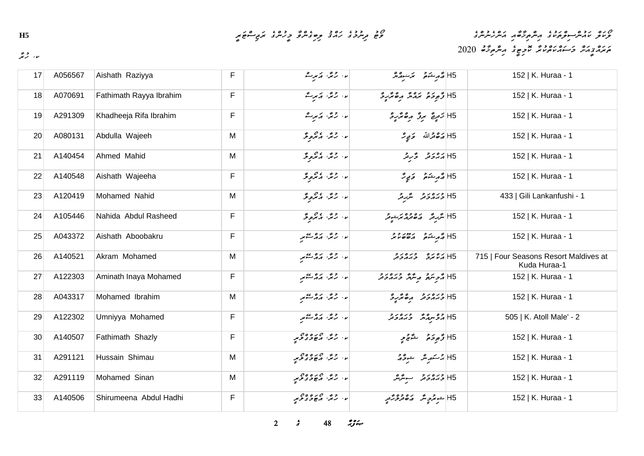*sCw7q7s5w7m< o<n9nOoAw7o< sCq;mAwBoEw7q<m; wBm;vB* م من المرة المرة المرة المرجع المرجع في المركبة 2020<br>مجم*د المريض المربوط المربع المرجع في المراجع المركبة* 

| 17 | A056567 | Aishath Raziyya         | F           | ما سرحمدٌ الم <i>اليوب</i><br> -     | H5 مەم ئەسىم ئىزىدە ئىر                   | 152   K. Huraa - 1                                    |
|----|---------|-------------------------|-------------|--------------------------------------|-------------------------------------------|-------------------------------------------------------|
| 18 | A070691 | Fathimath Rayya Ibrahim | F           | ما الرحمني الأمير ت                  | H5 رُجوحه برُمهٌ مِعْبَرِ وَ              | 152   K. Huraa - 1                                    |
| 19 | A291309 | Khadheeja Rifa Ibrahim  | F           | لاسترنت وتبرعه                       | H5  تَامِيعٌ الْمَرِيقُ الْمُتَصَمَّرِيقُ | 152   K. Huraa - 1                                    |
| 20 | A080131 | Abdulla Wajeeh          | M           | پار رژيمي در محرورځ                  | H5 كَدَهْ قَرْاللَّهُ       كَامِي رَّ    | 152   K. Huraa - 1                                    |
| 21 | A140454 | Ahmed Mahid             | M           | پار رقبق انگرېز قر                   | H5/ كەنزىقر گەرىتر                        | 152   K. Huraa - 1                                    |
| 22 | A140548 | Aishath Wajeeha         | F           | پار رژيمي در چربر محر                | H5 مَّەمِسْتَمْ كَەنتى تَر                | 152   K. Huraa - 1                                    |
| 23 | A120419 | Mohamed Nahid           | M           | الاسترنت ومتوفاته                    | H5 <i>5 برو 5 مئر مگردگ</i> ر             | 433   Gili Lankanfushi - 1                            |
| 24 | A105446 | Nahida Abdul Rasheed    | F           | پار رژيمي در محرورځ                  | H5  سَّرِيشَ صَرْحَة مِسْرِيْسِيْتِيْتَر  | 152   K. Huraa - 1                                    |
| 25 | A043372 | Aishath Aboobakru       | $\mathsf F$ | لاسترنت اره مصوبر                    | $22222$ $15$                              | 152   K. Huraa - 1                                    |
| 26 | A140521 | Akram Mohamed           | M           | ىر رقىق ئەمەسىسى                     | H5 كەندى جەمدەر د                         | 715   Four Seasons Resort Maldives at<br>Kuda Huraa-1 |
| 27 | A122303 | Aminath Inaya Mohamed   | F           | لا ، رحمهٔ ، مروسهٔ محمد             | H5  گەج سَرَ گەندە ئەرەر د                | 152   K. Huraa - 1                                    |
| 28 | A043317 | Mohamed Ibrahim         | M           | لاسترنتى أمره يحصر                   | H5 دُبرورو مِ مِرْبِ                      | 152   K. Huraa - 1                                    |
| 29 | A122302 | Umniyya Mohamed         | $\mathsf F$ | لا رحيق بره عصمه                     | H5 رُوْسِرْ رُمَّ وَبَرْدُونَر            | 505   K. Atoll Male' - 2                              |
| 30 | A140507 | Fathimath Shazly        | F           | ر وي مره موه مي<br>د ري مع د د د ب   | H5 ر <i>ُّڄِوَۃُ</i> شَہُمۡمِ ِ           | 152   K. Huraa - 1                                    |
| 31 | A291121 | Hussain Shimau          | M           | الاسترنتي المع والمحافظ والمحمد      | H5 يَرْسَمُ مِسْرَحْمَةِ مِنْ يَوْمِ      | 152   K. Huraa - 1                                    |
| 32 | A291119 | Mohamed Sinan           | M           | لا رحمه صره وه و                     | H5 <i>دې ده دو</i> سه مگرمګر              | 152   K. Huraa - 1                                    |
| 33 | A140506 | Shirumeena Abdul Hadhi  | F           | الاسترنتري المعاطر والمحافظ والمحافظ | H5  شوبۇرى مەھەر ئۇرگىر                   | 152   K. Huraa - 1                                    |

**2** *s* **48** *z z*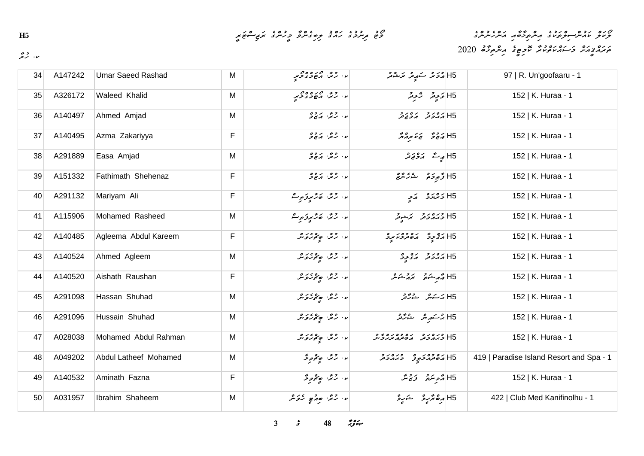*sCw7q7s5w7m< o<n9nOoAw7o< sCq;mAwBoEw7q<m; wBm;vB* م من المرة المرة المرة المرجع المرجع في المركبة 2020<br>مجم*د المريض المربوط المربع المرجع في المراجع المركبة* 

| 34 | A147242 | <b>Umar Saeed Rashad</b> | M           | ر. چې ه ده وه وه په                                   | H5 ح.ک محمد کر مرکب در استعم                                                                         | 97   R. Un'goofaaru - 1                  |
|----|---------|--------------------------|-------------|-------------------------------------------------------|------------------------------------------------------------------------------------------------------|------------------------------------------|
| 35 | A326172 | Waleed Khalid            | M           | ر وي مره وه م                                         | H5 كۆچى گە بىر                                                                                       | 152   K. Huraa - 1                       |
| 36 | A140497 | Ahmed Amjad              | M           | ىدا رقىق ئەتىنى ج                                     | H5 كەبرو كەھ بولىدۇ.                                                                                 | 152   K. Huraa - 1                       |
| 37 | A140495 | Azma Zakariyya           | $\mathsf F$ | 35.7.2.1                                              | H5 ביב ביציב                                                                                         | 152   K. Huraa - 1                       |
| 38 | A291889 | Easa Amjad               | M           | ىدا رحمى كەلىم تو                                     | H5 <sub>جو</sub> ستە كەنزى <i>ق</i> ىر                                                               | 152   K. Huraa - 1                       |
| 39 | A151332 | Fathimath Shehenaz       | F           | 327.2.1                                               | H5  <i>وَّجِ دَمَعْ</i> شَرْسَمْ جَ                                                                  | 152   K. Huraa - 1                       |
| 40 | A291132 | Mariyam Ali              | F           | ر، رجمهٔ ن <i>جار موؤه م</i> ش                        | H5 كابر به كار محمد بير بير بير بير بير بير بير بير الله بير الله بير الله بير الله بير الله بير الل | 152   K. Huraa - 1                       |
| 41 | A115906 | Mohamed Rasheed          | M           | ، رژ <sub>نگ</sub> ځ <sup>رم</sup> ورو <sub>م</sub> م | H5 <i>جُهُمُ جُرَّجُومُ - بَرَحْوِمُ</i>                                                             | 152   K. Huraa - 1                       |
| 42 | A140485 | Agleema Abdul Kareem     | F           | الاسترنت كالمحر بموسر                                 | H5   رَدْ مِرَّ   رە دەرىر برِ 3                                                                     | 152   K. Huraa - 1                       |
| 43 | A140524 | Ahmed Agleem             | M           | ما رقم میگر می می می می می می                         | H5. پروتر کی بود                                                                                     | 152   K. Huraa - 1                       |
| 44 | A140520 | Aishath Raushan          | F           | الاسترنت كالمحر بحر وتكل                              | H5 مەم ئىقتىمىتى ئىش ئىشكەنلىر                                                                       | 152   K. Huraa - 1                       |
| 45 | A291098 | Hassan Shuhad            | M           | الاسترنتري كالمحر كركو للر                            | H5  پُرسکر میٹرنگر                                                                                   | 152   K. Huraa - 1                       |
| 46 | A291096 | Hussain Shuhad           | M           | ما رقم می محمد محمد محمد می                           | H5 پرسکو سکور شور تھر<br>15                                                                          | 152   K. Huraa - 1                       |
| 47 | A028038 | Mohamed Abdul Rahman     | M           | ما رقم می محمد محمد محمد می                           | H5 دره رو دره ده دره در د                                                                            | 152   K. Huraa - 1                       |
| 48 | A049202 | Abdul Latheef Mohamed    | M           | ، رئىش ھەمم قو                                        | H5 رەمور ۋە مەدەرم                                                                                   | 419   Paradise Island Resort and Spa - 1 |
| 49 | A140532 | Aminath Fazna            | F           | ا را رقمهٔ میگورنگه                                   | H5 مَّ حِسَمَةٌ وَتَحْسَّرُ                                                                          | 152   K. Huraa - 1                       |
| 50 | A031957 | Ibrahim Shaheem          | M           | الاسترنت الملح والمحامل                               | H5   <i>وڭ ئۇر</i> ۇ سىمرۇ                                                                           | 422   Club Med Kanifinolhu - 1           |

**3** *3* **<b>***48 <i>n***<sub>1</sub>** *<i>g <i>x <i>g <i>x <i>g <i>x <i>g <i>x***</sup>**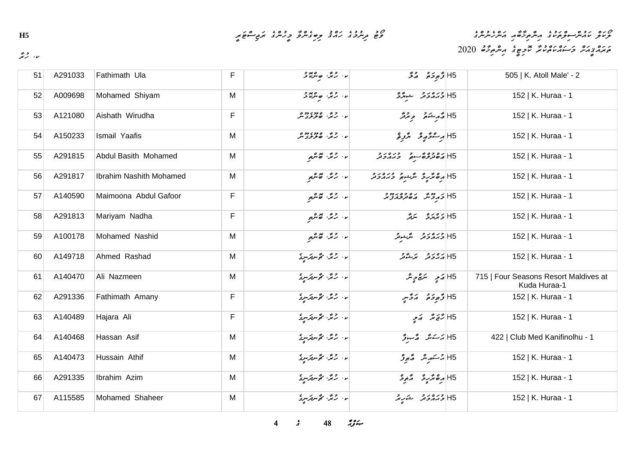*sCw7q7s5w7m< o<n9nOoAw7o< sCq;mAwBoEw7q<m; wBm;vB* م من المرة المرة المرة المرجع المرجع في المركبة 2020<br>مجم*د المريض المربوط المربع المرجع في المراجع المركبة* 

| 51 | A291033 | Fathimath Ula               | $\mathsf F$  | $3 \times 2$ $\sigma$ $\sqrt{2}$ $\cdot$ | H5 تَ <i>جِ حَجَ</i> شَرَّ               | 505   K. Atoll Male' - 2                              |
|----|---------|-----------------------------|--------------|------------------------------------------|------------------------------------------|-------------------------------------------------------|
| 52 | A009698 | Mohamed Shiyam              | M            | ر حريمي ھيورو د                          | H5 <i>55.25 مؤرد بمبرد</i>               | 152   K. Huraa - 1                                    |
| 53 | A121080 | Aishath Wirudha             | $\mathsf{F}$ | ر وه ودوه وده<br>را رنگ هونوی س          | H5 مُەمِسْمَعْ مِعْرَمَّدٌ               | 152   K. Huraa - 1                                    |
| 54 | A150233 | <b>Ismail Yaafis</b>        | M            | ر وي ودوه وده<br>را ريمن <i>ه و و</i> رس | H5 م <i>وس<sup>و</sup>د مۇرى مۇرى</i> تى | 152   K. Huraa - 1                                    |
| 55 | A291815 | <b>Abdul Basith Mohamed</b> | M            | ، رجنُ ھىشھ                              | H5 رەم دەك سور مەرم دىر                  | 152   K. Huraa - 1                                    |
| 56 | A291817 | Ibrahim Nashith Mohamed     | M            | بالمسترنين فاشعو                         | H5 رەڭرىرى ئىشبى <i>دىن</i> مىدىر        | 152   K. Huraa - 1                                    |
| 57 | A140590 | Maimoona Abdul Gafoor       | $\mathsf{F}$ | پارسمن <sup>3</sup> ھىل <sub>ى</sub>     | H5, ووهر مصر دود و                       | 152   K. Huraa - 1                                    |
| 58 | A291813 | Mariyam Nadha               | $\mathsf{F}$ | بالمسترنين فأمهم                         | H5 كەبەر ئەر                             | 152   K. Huraa - 1                                    |
| 59 | A100178 | Mohamed Nashid              | M            | بالمستركم للمحتفر                        | H5 <i>دُبُرُودُو مُرْجِعِدُ</i>          | 152   K. Huraa - 1                                    |
| 60 | A149718 | Ahmed Rashad                | M            | الا، رحمن محمود مرتد بين                 | H5   پروژو کرشگانگر                      | 152   K. Huraa - 1                                    |
| 61 | A140470 | Ali Nazmeen                 | M            | الاسترىنگ مۇسىترسىتى                     | H5 <i>ڇُجِ سَنَ جِهْرَ</i>               | 715   Four Seasons Resort Maldives at<br>Kuda Huraa-1 |
| 62 | A291336 | Fathimath Amany             | F            | الاسترات كالمستكر سيكا                   | H5 رَّج <i>وحَة مَ</i> حَسِ              | 152   K. Huraa - 1                                    |
| 63 | A140489 | Hajara Ali                  | $\mathsf F$  | الاستراتين المحاسونكر سيكا               | H5 گنج بھ کھیے کی تھا۔<br>15 ا           | 152   K. Huraa - 1                                    |
| 64 | A140468 | Hassan Asif                 | M            | الا الرحمة المحمومة مرسور                | H5   پزشتر گ <i>ے۔و</i>                  | 422   Club Med Kanifinolhu - 1                        |
| 65 | A140473 | Hussain Athif               | M            | الاسترىتى مۇسىترسىتى                     | H5 پرستمبر ش <i>ر مہون</i> ی             | 152   K. Huraa - 1                                    |
| 66 | A291335 | Ibrahim Azim                | M            | الاسترىتى مۇسىترسىتى                     | H5 بر <i>ەنگەر 3 مۇم</i> ۇ               | 152   K. Huraa - 1                                    |
| 67 | A115585 | Mohamed Shaheer             | M            | الاسترات كالمستكر سيكا                   | H5 <i>وُبَرُووتُو حَدِيثُ</i>            | 152   K. Huraa - 1                                    |

*4 s* 48  $23\div$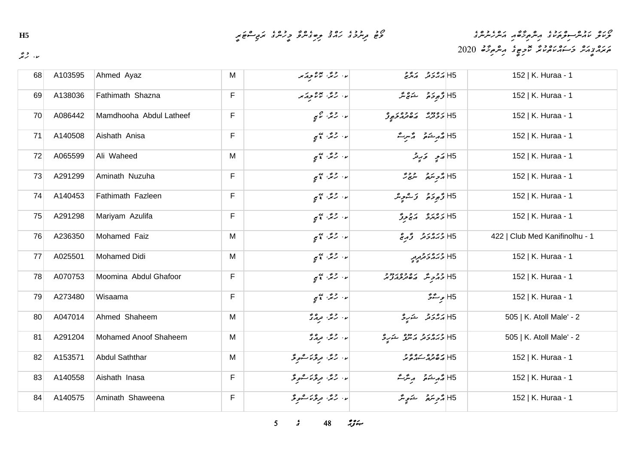*sCw7q7s5w7m< o<n9nOoAw7o< sCq;mAwBoEw7q<m; wBm;vB* م من المرة المرة المرة المرجع المرجع في المركبة 2020<br>مجم*د المريض المربوط المربع المرجع في المراجع المركبة* 

| 68 | A103595 | Ahmed Ayaz              | M           | ر، رقبهٔ عملوم <i>هٔ م</i>          | H5   <i>زبروتر بربرة</i>                                                                                       | 152   K. Huraa - 1             |
|----|---------|-------------------------|-------------|-------------------------------------|----------------------------------------------------------------------------------------------------------------|--------------------------------|
| 69 | A138036 | Fathimath Shazna        | F           | ر، رحمهٔ سماعه برسد                 | H5  <i>وُّهِ دَمُ</i> شَهُمْ مُّرَ                                                                             | 152   K. Huraa - 1             |
| 70 | A086442 | Mamdhooha Abdul Latheef | F           | ىد. خەتتى، ئۇي                      | H5 دودوم بره وه د بور                                                                                          | 152   K. Huraa - 1             |
| 71 | A140508 | Aishath Anisa           | $\mathsf F$ | لاس شرش میم پی                      | H5 مَّ مِشَعْرِ مَّ سِرْحَ                                                                                     | 152   K. Huraa - 1             |
| 72 | A065599 | Ali Waheed              | M           | ىد خەتتى ئىمى                       | H5 کی ح پیٹر                                                                                                   | 152   K. Huraa - 1             |
| 73 | A291299 | Aminath Nuzuha          | F           | لاس شرش میم پی                      | H5 أُمَّ حِسَنَةٌ مَسَّنَّ سَنَّةٍ مَسَّنَةٍ                                                                   | 152   K. Huraa - 1             |
| 74 | A140453 | Fathimath Fazleen       | F           | لا، رژنگه، میم په                   | H5  <i>وَّجِ دَمْ وَسْمُوِسْ</i>                                                                               | 152   K. Huraa - 1             |
| 75 | A291298 | Mariyam Azulifa         | F           | لاس شرش میم پی                      | H5 بريزو كم يح مِرتم                                                                                           | 152   K. Huraa - 1             |
| 76 | A236350 | Mohamed Faiz            | M           | لا، رژېژ، پېمې                      | H5 <i>جەد جىرى ئۇم</i> ى                                                                                       | 422   Club Med Kanifinolhu - 1 |
| 77 | A025501 | <b>Mohamed Didi</b>     | M           | ىد خەتتى ئىمى                       | H5 د بر بر بر بر بر بر                                                                                         | 152   K. Huraa - 1             |
| 78 | A070753 | Moomina Abdul Ghafoor   | $\mathsf F$ | لا، رژنگ میمی                       | H5, ويمر بره وه بردو و                                                                                         | 152   K. Huraa - 1             |
| 79 | A273480 | Wisaama                 | F           | ىد خەتتى ئىمى                       | H5 م شر                                                                                                        | 152   K. Huraa - 1             |
| 80 | A047014 | Ahmed Shaheem           | M           | ، رحمهٔ مردمهٔ                      | H5 كەنزى ئىم بىر ئىس بىر ئىس بىر ئىس بىر ئىس بىر ئىس بىر ئىس بىر ئىس بىر ئىس بىر ئىس بىر ئىس بىر ئىس بىر ئىس ب | 505   K. Atoll Male' - 2       |
| 81 | A291204 | Mohamed Anoof Shaheem   | M           | پار حریمی مورد تح                   | H5 ديرەرد برددە خىرى                                                                                           | 505   K. Atoll Male' - 2       |
| 82 | A153571 | <b>Abdul Saththar</b>   | M           | ر. رُبُّ، مِروْرَسُورِ وَ           | H5 پره وه بره و د                                                                                              | 152   K. Huraa - 1             |
| 83 | A140558 | Aishath Inasa           | F           | ، رُبَّزٌ، مِروْنَاسُودَّ           | H5 مَّەرْسَىمَ مِرْسَّرْسَمْ                                                                                   | 152   K. Huraa - 1             |
| 84 | A140575 | Aminath Shaweena        | F           | ر، رژیم، م <sub>و</sub> ثور کشور مح | H5 مَرْحِ سَمَعٍ مَسْرِ سَمَّةٍ سَمَّ                                                                          | 152   K. Huraa - 1             |

*5 sC 48 nNw?mS*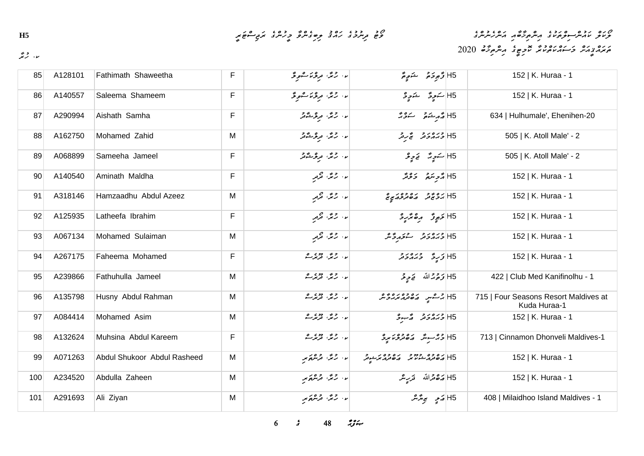*sCw7q7s5w7m< o<n9nOoAw7o< sCq;mAwBoEw7q<m; wBm;vB* م من المرة المرة المرة المرجع المرجع في المركبة 2020<br>مجم*د المريض المربوط المربع المرجع في المراجع المركبة* 

| 85  | A128101 | Fathimath Shaweetha         | F | ، رقبرُ، م <sub>و</sub> ثرُ، مقومٌ    | H5  <i>وَّجِوَدَة</i> شَو <i>مٍةً</i>        | 152   K. Huraa - 1                                    |
|-----|---------|-----------------------------|---|---------------------------------------|----------------------------------------------|-------------------------------------------------------|
| 86  | A140557 | Saleema Shameem             | F | ر، رژیمهٔ مرو <i>را شو</i> یگه        | H5  سَمِرِةٌ     شَمرِةٌ                     | 152   K. Huraa - 1                                    |
| 87  | A290994 | Aishath Samha               | F | ، رُبَّرٌ، مِروْشَة مَرْ              | H5 مَجْمَدِ حَقَدَ جَدَبَّرَ = C             | 634   Hulhumale', Ehenihen-20                         |
| 88  | A162750 | Mohamed Zahid               | M | ، رُبُّ، مِرْوُسْتُمْتَر              | H5 <i>جزه بحتى بحريم</i>                     | 505   K. Atoll Male' - 2                              |
| 89  | A068899 | Sameeha Jameel              | F | ىر رقىق موتۇشكى                       | H5  سَمرٍ پُر ت <sub>َح</sub> وِ وُ          | 505   K. Atoll Male' - 2                              |
| 90  | A140540 | Aminath Maldha              | F | لا- رَحِمٌ، قَرْمِرِ                  | H5 مَّحِسَمَۃ دَوْمَّد                       | 152   K. Huraa - 1                                    |
| 91  | A318146 | Hamzaadhu Abdul Azeez       | M | ر، رحمت <sup>ی،</sup> فرمبر           | H5 <i>ב</i> وړو ده ده دي                     | 152   K. Huraa - 1                                    |
| 92  | A125935 | Latheefa Ibrahim            | F | ر، رحمت <sup>ی،</sup> فرمبر           | H5  كَرْجِوتْ مِنْ صُمَّرِيْتْ               | 152   K. Huraa - 1                                    |
| 93  | A067134 | Mohamed Sulaiman            | M | ر . رُمَّزٌ، قرمرِ                    | H5 جەير جو ئەيم ئەرگىرى بىر                  | 152   K. Huraa - 1                                    |
| 94  | A267175 | Faheema Mohamed             | F | ر، رژیمی دوری ه                       | H5 كۆرىچە جەيم <i>جەن</i> دىر                | 152   K. Huraa - 1                                    |
| 95  | A239866 | Fathuhulla Jameel           | M | ىر، خەبقى چېچرىشە                     | H5 وَتَحْرَكُ اللّه فَى تَحْرِ تَحْرُ        | 422   Club Med Kanifinolhu - 1                        |
| 96  | A135798 | Husny Abdul Rahman          | M | ىر، خەش قۇيۇت                         | H5 گەسىر مەھ <i>ەرە جەرە</i>                 | 715   Four Seasons Resort Maldives at<br>Kuda Huraa-1 |
| 97  | A084414 | Mohamed Asim                | M | ر، رحمهٔ المرتزعه                     | H5 <i>جُهُودُو جُ</i> بودُ                   | 152   K. Huraa - 1                                    |
| 98  | A132624 | Muhsina Abdul Kareem        | F | ر، رحمهٔ المربوب<br>را، رحمهٔ المربوب | H5 در سوئٹر مقصو <i>ر دین</i> ے میں          | 713   Cinnamon Dhonveli Maldives-1                    |
| 99  | A071263 | Abdul Shukoor Abdul Rasheed | M | لا، رژش، قرمترچ پر                    | H5 <sub>مر</sub> ج مرور در در دره در بر در د | 152   K. Huraa - 1                                    |
| 100 | A234520 | Abdulla Zaheen              | M | ىر، رقبۇ، قرىترە ئىر                  | H5  رَجْعَة الله قَرَبِ مَّرْ                | 152   K. Huraa - 1                                    |
| 101 | A291693 | Ali Ziyan                   | M | ر، رحمہ قرمتری مر                     | H5   رَمِي ہو مُرمَّثَر                      | 408   Milaidhoo Island Maldives - 1                   |

*6 sC 48 nNw?mS*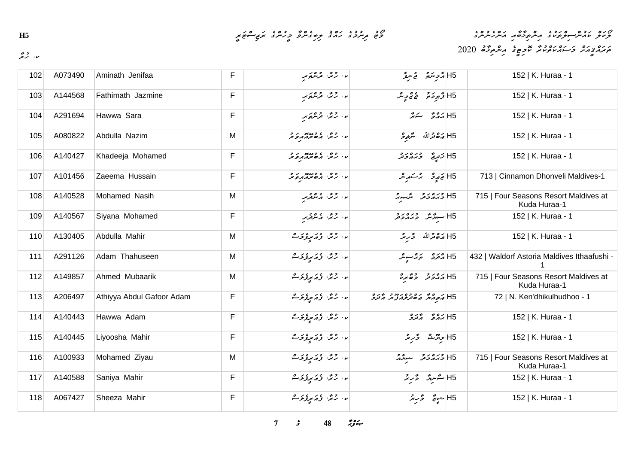*sCw7q7s5w7m< o<n9nOoAw7o< sCq;mAwBoEw7q<m; wBm;vB* م من المرة المرة المرة المرجع المرجع في المركبة 2020<br>مجم*د المريض المربوط المربع المرجع في المراجع المركبة* 

| 102 | A073490 | Aminath Jenifaa           | F | ىر، خەش قرىترى بىر          | H5  مُرْحِسَمُ فَيَسِمُّ                                                                                 | 152   K. Huraa - 1                                    |
|-----|---------|---------------------------|---|-----------------------------|----------------------------------------------------------------------------------------------------------|-------------------------------------------------------|
| 103 | A144568 | Fathimath Jazmine         | F | ىر، رقبۇ، قرىترەنجىيە       | H5 تُجِعَةً حَجَّجٍ مَّر                                                                                 | 152   K. Huraa - 1                                    |
| 104 | A291694 | Hawwa Sara                | F | ىر، رقمى، قرىندە ئىر        | $\stackrel{\bullet}{\sim} \stackrel{\bullet}{\sim} \stackrel{\bullet}{\sim} \stackrel{\bullet}{\mid} H5$ | 152   K. Huraa - 1                                    |
| 105 | A080822 | Abdulla Nazim             | M | $51$ xuse 33.               | H5 كَەشْراللە شَ <sub>خ</sub> ْرَةْ                                                                      | 152   K. Huraa - 1                                    |
| 106 | A140427 | Khadeeja Mohamed          | F | s suscesse                  | H5  زَمِرِيَّ     دُبَرُدُوَمَرُ                                                                         | 152   K. Huraa - 1                                    |
| 107 | A101456 | Zaeema Hussain            | F |                             | H5 يَهِ دًّ بِرْسَهِ مِرْ مِرْ                                                                           | 713   Cinnamon Dhonveli Maldives-1                    |
| 108 | A140528 | Mohamed Nasih             | M | ىر، رقبۇ، ئەنقرىبر          | H5 <i>جەدە دە</i> ئەر                                                                                    | 715   Four Seasons Resort Maldives at<br>Kuda Huraa-1 |
| 109 | A140567 | Siyana Mohamed            | F | لاسترنت وكالمعاديب          | H5 سەترىتر ب <i>ەر دىر</i>                                                                               | 152   K. Huraa - 1                                    |
| 110 | A130405 | Abdulla Mahir             | M | ، رژئی وَ پریووک            | H5 كەھىراللە ئ <i>ۇرى</i> ر                                                                              | 152   K. Huraa - 1                                    |
| 111 | A291126 | Adam Thahuseen            | M | ، رژئی ورسپروترگ            | H5 گەنىز قەيرىسىلىر                                                                                      | 432   Waldorf Astoria Maldives Ithaafushi -           |
| 112 | A149857 | Ahmed Mubaarik            | M | ، رژئی، ژەپرزۇپ             | H5 كەبروتر جىھىر                                                                                         | 715   Four Seasons Resort Maldives at<br>Kuda Huraa-1 |
| 113 | A206497 | Athiyya Abdul Gafoor Adam | F | لاسترىتى كورىمبرۇكۇت        | H5 - مورد مره دورود و ردد                                                                                | 72   N. Ken'dhikulhudhoo - 1                          |
| 114 | A140443 | Hawwa Adam                | F | ، رژئی ورسپروترگ            | H5 يَرْدُوَّ بِرَمَرْدُ                                                                                  | 152   K. Huraa - 1                                    |
| 115 | A140445 | Liyoosha Mahir            | F | ، رژئی و پریووٹ             | H5 مِیْرْٹَہ ڈرنڈ                                                                                        | 152   K. Huraa - 1                                    |
| 116 | A100933 | Mohamed Ziyau             | M | ىر، رقىق ئۇم <i>ئورۇغ ت</i> | H5 يُروُدُو سُن <i>وڤ</i> ر                                                                              | 715   Four Seasons Resort Maldives at<br>Kuda Huraa-1 |
| 117 | A140588 | Saniya Mahir              | F | ، رقىق ئەم ئۇنجەت           | H5 گەسبان ئ <sup>ې</sup> رىتى                                                                            | 152   K. Huraa - 1                                    |
| 118 | A067427 | Sheeza Mahir              | F | ر. رقبهٔ و <i>میروند</i>    |                                                                                                          | 152   K. Huraa - 1                                    |

*7 sC 48 nNw?mS*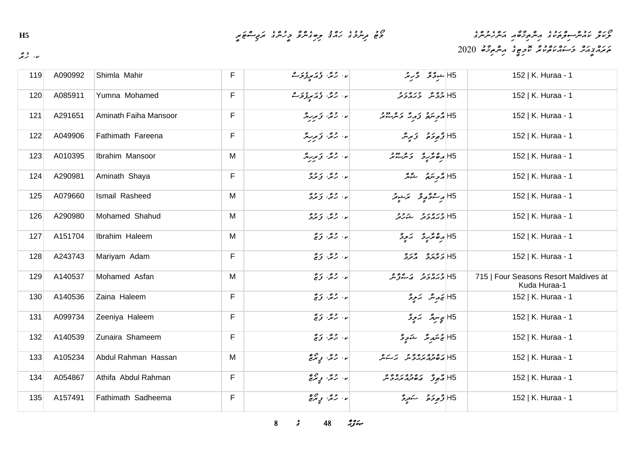*sCw7q7s5w7m< o<n9nOoAw7o< sCq;mAwBoEw7q<m; wBm;vB* م من المرة المرة المرة المرجع المرجع في المركبة 2020<br>مجم*د المريض المربوط المربع المرجع في المراجع المركبة* 

| 119 | A090992 | Shimla Mahir          | F           | ، رقبق كۆم <i>بو</i> رگوشە | H5  حوثى قرير                            | 152   K. Huraa - 1                                    |
|-----|---------|-----------------------|-------------|----------------------------|------------------------------------------|-------------------------------------------------------|
| 120 | A085911 | Yumna Mohamed         | F           | ، رُبُّ، دَمَرِ دِمِرْدَتْ | H5 يۇھ. <i>دېم</i> ۇتر                   | 152   K. Huraa - 1                                    |
| 121 | A291651 | Aminath Faiha Mansoor | F           | الأراجيني كالبريدة         | H5 مَّ حِسَمَةَ وَمِدَّ وَسَنَ مِنْ الله | 152   K. Huraa - 1                                    |
| 122 | A049906 | Fathimath Fareena     | $\mathsf F$ | لاسترش كالمرسانة           | H5 تَ <i>وْجِوَةْ تَ</i> مِيسَّ          | 152   K. Huraa - 1                                    |
| 123 | A010395 | Ibrahim Mansoor       | M           | الأراجيني كالمرباني        | H5  مەھەرىي كەرەردە                      | 152   K. Huraa - 1                                    |
| 124 | A290981 | Aminath Shaya         | F           | لاس جي وَمُرَدَّ           | H5 گەجەتىھ ش <i>ەڭ</i>                   | 152   K. Huraa - 1                                    |
| 125 | A079660 | Ismail Rasheed        | M           | مار جميعي کو تبری          | H5  مرےوً م <sub>ی</sub> و کرے تھ        | 152   K. Huraa - 1                                    |
| 126 | A290980 | Mohamed Shahud        | M           | الأراحيق كالجروح           | H5 دُبَرُهُ دَبَرٌ مُسَرَّمَّرٌ          | 152   K. Huraa - 1                                    |
| 127 | A151704 | Ibrahim Haleem        | M           | لا، رژش، وَنِج             | H5  مەھمىرى    ئىمرى                     | 152   K. Huraa - 1                                    |
| 128 | A243743 | Mariyam Adam          | F           | ىد - شرچى ئۇنج             | H5 كر <i>وبرو وترك</i>                   | 152   K. Huraa - 1                                    |
| 129 | A140537 | Mohamed Asfan         | M           | ىد - شرىقى - ئەنتى         | H5 دره در پر مورش                        | 715   Four Seasons Resort Maldives at<br>Kuda Huraa-1 |
| 130 | A140536 | Zaina Haleem          | $\mathsf F$ | ىد - شرشى ئۇنج             | H5  يَرمِدُ - بَرْمٍ وُ                  | 152   K. Huraa - 1                                    |
| 131 | A099734 | Zeeniya Haleem        | F           | لا، رژش تونج               | H5 <sub>مج</sub> سِرَتَہ بَہوتِ          | 152   K. Huraa - 1                                    |
| 132 | A140539 | Zunaira Shameem       | F           | لا، رژینگ نونچ             | H5 تح <i>مترم بمتحرِ و</i>               | 152   K. Huraa - 1                                    |
| 133 | A105234 | Abdul Rahman Hassan   | M           | ا را رژش و چرچ             | H5 رەپورىرە بور برگىر                    | 152   K. Huraa - 1                                    |
| 134 | A054867 | Athifa Abdul Rahman   | $\mathsf F$ | را رحمته الرحمع            | H5 <i>مەبوق مەھەرەمەم</i>                | 152   K. Huraa - 1                                    |
| 135 | A157491 | Fathimath Sadheema    | F           | ىدا رقىق بويىقى            | H5  <i>وَّجِوَدَة</i> سَعرِدً            | 152   K. Huraa - 1                                    |

**8** *s* **48** *n***<sub>y</sub> <b>***s*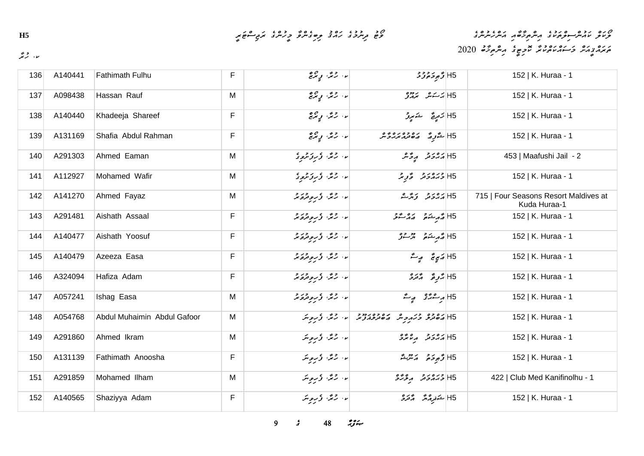*sCw7q7s5w7m< o<n9nOoAw7o< sCq;mAwBoEw7q<m; wBm;vB* م من المرة المرة المرة المرجع المرجع في المركبة 2020<br>مجم*د المريض المربوط المربع المرجع في المراجع المركبة* 

| 136 | A140441 | <b>Fathimath Fulhu</b>      | F | ىدا رقىق بولىرى                 | H5  <i>وَّجِ وَجُودْ نَ</i>                  | 152   K. Huraa - 1                                    |
|-----|---------|-----------------------------|---|---------------------------------|----------------------------------------------|-------------------------------------------------------|
| 137 | A098438 | Hassan Rauf                 | M | ىدا رقىق بولىرى                 | H5 پرسەمبر برد <i>و</i> ه                    | 152   K. Huraa - 1                                    |
| 138 | A140440 | Khadeeja Shareef            | F | ىدا رقىق بولىرى                 | H5  تزميرة كتستقيوتر                         | 152   K. Huraa - 1                                    |
| 139 | A131169 | Shafia Abdul Rahman         | F | ما سر محمد محمد محمد حرج ا      | H5 څوړ مصر <i>محد جره څ</i> و                | 152   K. Huraa - 1                                    |
| 140 | A291303 | Ahmed Eaman                 | M | ، رقبق وَرِوَتَرُهِ وَ          | H5 <i>ټرې تو</i> پوځنگ                       | 453   Maafushi Jail - 2                               |
| 141 | A112927 | Mohamed Wafir               | M | لاسترنت وبروتره ومح             | H5 <i>جەيم</i> ۇتىر گەرىمە                   | 152   K. Huraa - 1                                    |
| 142 | A141270 | Ahmed Fayaz                 | M | ر، رحمهٔ، وکرو مرد م            | H5 پروتر ق <i>5</i> گھر                      | 715   Four Seasons Resort Maldives at<br>Kuda Huraa-1 |
| 143 | A291481 | Aishath Assaal              | F | ر، رحمهٔ ک <sub>و</sub> رو در د | H5 مُصِنَعْ مَمْرُ مُحَمَّدٌ                 | 152   K. Huraa - 1                                    |
| 144 | A140477 | Aishath Yoosuf              | F | ر، رحمهٔ کورونده بر             | H5 گەرىشكە تەرىپى بىر                        | 152   K. Huraa - 1                                    |
| 145 | A140479 | Azeeza Easa                 | F | ر، رحمهٔ، وکرو مروند            | H5 کی پیچ گھ میرے میں ت                      | 152   K. Huraa - 1                                    |
| 146 | A324094 | Hafiza Adam                 | F | ر، رحمهٔ، وکره مرد د            | H5  يَرْدِيَّ مَدَّمَرَّدُ                   | 152   K. Huraa - 1                                    |
| 147 | A057241 | Ishag Easa                  | M | ما رقبق وكربروجرد               | H5 پر <i>شہر تھ</i> پہ                       | 152   K. Huraa - 1                                    |
| 148 | A054768 | Abdul Muhaimin Abdul Gafoor | M |                                 | H5 رەموم مەرمەمە مەمەدەم بىر مەمدىكى ئىرەتكى | 152   K. Huraa - 1                                    |
| 149 | A291860 | Ahmed Ikram                 | M | ر، رقبق و <i>رو</i> متر         | H5. يرىر مەنزى                               | 152   K. Huraa - 1                                    |
| 150 | A131139 | Fathimath Anoosha           | F | لاسترنتري وكربا ويتر            | H5 رَّجْوِحَةَ دَيْرْجَةَ                    | 152   K. Huraa - 1                                    |
| 151 | A291859 | Mohamed Ilham               | M | مار رقبق كالرجائل               | H5 تربروتر م <i>ورّد</i>                     | 422   Club Med Kanifinolhu - 1                        |
| 152 | A140565 | Shaziyya Adam               | F | ء کانگا وکرونکر                 | H5  شَمَو <i>ْرِهُمُّ مُ</i> مَرَّدُ         | 152   K. Huraa - 1                                    |

*9 s* 48 *i*<sub>S</sub>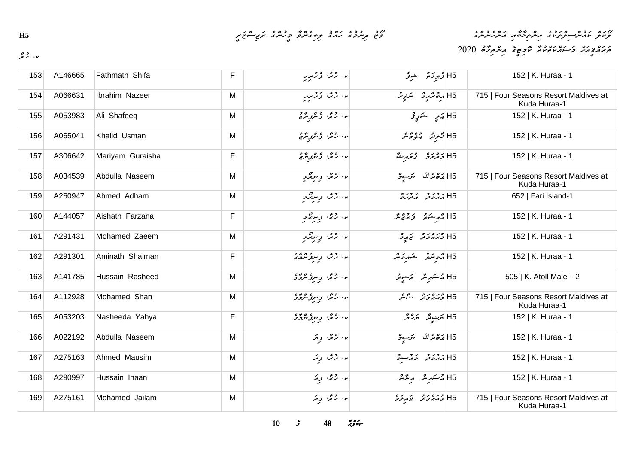*sCw7q7s5w7m< o<n9nOoAw7o< sCq;mAwBoEw7q<m; wBm;vB* م من المرة المرة المرة المرجع المرجع في المركبة 2020<br>مجم*د المريض المربوط المربع المرجع في المراجع المركبة* 

| 153 | A146665 | Fathmath Shifa   | $\mathsf F$ | ما الرحمة) كورتمبربر         | H5 وَجِرَة حَمَدٍ مَنْ اللَّهِ                   | 152   K. Huraa - 1                                    |
|-----|---------|------------------|-------------|------------------------------|--------------------------------------------------|-------------------------------------------------------|
| 154 | A066631 | Ibrahim Nazeer   | M           | لاء رحيق وكالحريب            | H5 مەھم <i>گىي</i> ۇ سى <i>نچى</i> گە            | 715   Four Seasons Resort Maldives at<br>Kuda Huraa-1 |
| 155 | A053983 | Ali Shafeeq      | M           | ىر، رقىق ئۇنترىدىنى          | H5  كەمچە ھەمچ <sup>ى</sup>                      | 152   K. Huraa - 1                                    |
| 156 | A065041 | Khalid Usman     | M           | ىر، رقىق ئۇنترىدىنى          | H5 تَرْمِتْرَ صَ <sub>َّ</sub> هُ رَّشْ          | 152   K. Huraa - 1                                    |
| 157 | A306642 | Mariyam Guraisha | F           | ىر، رقىق ئۇشروشى             | H5 كەبەر قى ئەسىم ئىسىدىگە                       | 152   K. Huraa - 1                                    |
| 158 | A034539 | Abdulla Naseem   | M           | باء رقيق وسرچور              | H5 كَ هُ مَّرْ اللَّهُ مَّ سَرَ-وَّ              | 715   Four Seasons Resort Maldives at<br>Kuda Huraa-1 |
| 159 | A260947 | Ahmed Adham      | M           | لاسترنت وللونترو             | H5 كەبرو كەندىرە                                 | 652   Fari Island-1                                   |
| 160 | A144057 | Aishath Farzana  | F           | بالأرقيق وببريكو             | H5 م <i>ەمبىنىمى قەترىتى ئى</i> ر                | 152   K. Huraa - 1                                    |
| 161 | A291431 | Mohamed Zaeem    | M           | لاسترنت وللونتولو            | H5 يزودو ت <sub>ح مي</sub> و                     | 152   K. Huraa - 1                                    |
| 162 | A291301 | Aminath Shaiman  | F           | ، رژش و سو مرد د             | H5 مُ <i>حِ سَرَمِ \$</i> سَمَ <i>رِ حَ</i> سُرَ | 152   K. Huraa - 1                                    |
| 163 | A141785 | Hussain Rasheed  | M           | ا دار جنگ و سرگی شرکتری که ا | H5  ترسكوباتر - مَرْسُوتْر                       | 505   K. Atoll Male' - 2                              |
| 164 | A112928 | Mohamed Shan     | M           | ر، رژی <sub>وسو</sub> ر ده   | H5 <i>جُهُوُوَتَوْ</i> شَمَّسْ                   | 715   Four Seasons Resort Maldives at<br>Kuda Huraa-1 |
| 165 | A053203 | Nasheeda Yahya   | F           | ر، رژی <sub>وسو</sub> ر ده   | H5 سَرَجومَدُ م <i>رَبْر م</i> َّرْ              | 152   K. Huraa - 1                                    |
| 166 | A022192 | Abdulla Naseem   | M           | ىدا رقىق بورت                | H5 كَەھەراللە س <i>رَبو</i> د                    | 152   K. Huraa - 1                                    |
| 167 | A275163 | Ahmed Mausim     | M           | ىدا رقىق بويىت               | H5 كەبرىقە كەرسىۋ                                | 152   K. Huraa - 1                                    |
| 168 | A290997 | Hussain Inaan    | M           | ما ارترشا او پر              | H5 کے سربائر میں ترینز                           | 152   K. Huraa - 1                                    |
| 169 | A275161 | Mohamed Jailam   | M           | ىدا رقىق بورتر               | H5/ <i>وُبَرُوُوَتَرْ فَهُ مِرْحَرَّةُ</i>       | 715   Four Seasons Resort Maldives at<br>Kuda Huraa-1 |

*10 sC 48 nNw?mS*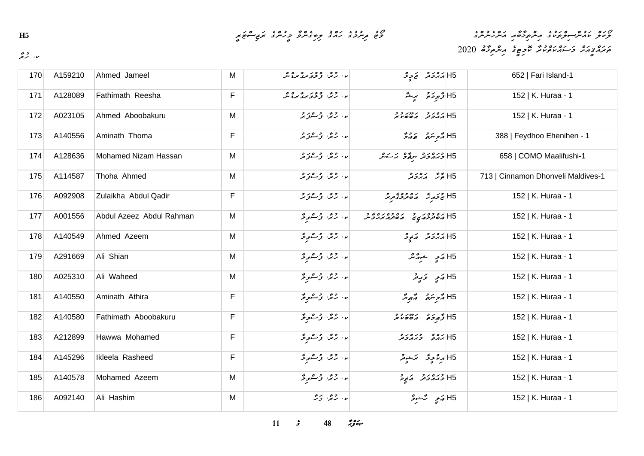*sCw7q7s5w7m< o<n9nOoAw7o< sCq;mAwBoEw7q<m; wBm;vB* م من المرة المرة المرة المرجع المرجع في المركبة 2020<br>مجم*د المريض المربوط المربع المرجع في المراجع المركبة* 

| 170 | A159210 | Ahmed Jameel             | M           | لاس رقم كې ئوڅو ترې تر پا مر  | H5 كەنزى قى يە ئىچە ئىل                         | 652   Fari Island-1                |
|-----|---------|--------------------------|-------------|-------------------------------|-------------------------------------------------|------------------------------------|
| 171 | A128089 | Fathimath Reesha         | F           | لاس رقىق ئۇ قۇ قۇ تەركىمى ئاس | H5 <i>وَّجِوَدَة</i> مِرِيْدَ                   | 152   K. Huraa - 1                 |
| 172 | A023105 | Ahmed Aboobakuru         | M           | ىدا رقىق بۇ ھەر ق             | $72222$ $7225$                                  | 152   K. Huraa - 1                 |
| 173 | A140556 | Aminath Thoma            | $\mathsf F$ | لا، رژي ژگرونونو              | H5 مَّحِسَمَ مَحْمَدَّ                          | 388   Feydhoo Ehenihen - 1         |
| 174 | A128636 | Mohamed Nizam Hassan     | M           | ر، رژ <sub>نگ</sub> ژهزند     | H5 <i>وبروبرة</i> س <i>بۇۋ برسكى</i> ر          | 658   COMO Maalifushi-1            |
| 175 | A114587 | Thoha Ahmed              | M           | ىدا رقىق بۇ ھۆر بىر           | H5 پڑڑ پر دور و                                 | 713   Cinnamon Dhonveli Maldives-1 |
| 176 | A092908 | Zulaikha Abdul Qadir     | F           | لا، رژش توستونتر              | H5 يح <i>قرم بر</i> من <i>مقابل قرير تج</i> رير | 152   K. Huraa - 1                 |
| 177 | A001556 | Abdul Azeez Abdul Rahman | M           |                               | H5 مەمەمەم مەمەمەمەم بىرگە ئۇي بۇ ھېگە          | 152   K. Huraa - 1                 |
| 178 | A140549 | Ahmed Azeem              | M           | لاس رقيق الوحش ومحر           | H5 كەش <sup>ى</sup> قىر كەنبى قىلغان ئىل        | 152   K. Huraa - 1                 |
| 179 | A291669 | Ali Shian                | M           | ، رژئی، ڈرگرونگر              | H5 كەمچە سىرتمەنتىر                             | 152   K. Huraa - 1                 |
| 180 | A025310 | Ali Waheed               | M           | لاسترنت وحشوق                 | H5 <i>ڇپ وَڀ</i> وڙ                             | 152   K. Huraa - 1                 |
| 181 | A140550 | Aminath Athira           | F           | لاسترنت وحسوق                 | H5 مَّ حِسَمَةٌ مَّ مَجَمَّد                    | 152   K. Huraa - 1                 |
| 182 | A140580 | Fathimath Aboobakuru     | $\mathsf F$ | لا، رَبَّنْ وَسُورَّ          | $72222$ $75$ $15$                               | 152   K. Huraa - 1                 |
| 183 | A212899 | Hawwa Mohamed            | F           | لا، رژنگا، ۇستمونۇ            | H5) يزهر وبرەر و<br>15) يزېر د برگرونر          | 152   K. Huraa - 1                 |
| 184 | A145296 | Ikleela Rasheed          | F           | لاسترنت، وحسورتى              | H5 <sub>مر</sub> عوٍ محمد مقرر السم             | 152   K. Huraa - 1                 |
| 185 | A140578 | Mohamed Azeem            | M           | ، رژئی، وژگیونژ               | H5 <i>جەممى ھەم</i> چى                          | 152   K. Huraa - 1                 |
| 186 | A092140 | Ali Hashim               | M           | ى رقىقى ئەلى                  | H5 کی مح مشوق                                   | 152   K. Huraa - 1                 |

 $11$  *s* 48  $23$   $\div$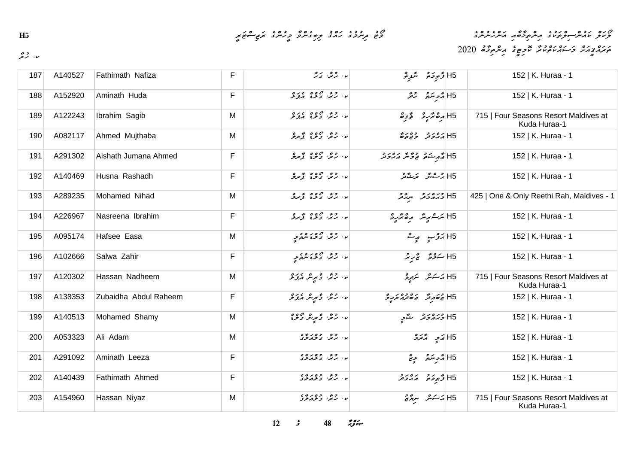*sCw7q7s5w7m< o<n9nOoAw7o< sCq;mAwBoEw7q<m; wBm;vB* م من المرة المرة المرة المرجع المرجع في المركبة 2020<br>مجم*د المريض المربوط المربع المرجع في المراجع المركبة* 

| 187 | A140527 | Fathimath Nafiza      | F | ا ما الرحمني الحالي                                                       | H5 رَّج <i>وحَمْ سَّعْدِمَّ</i>                  | 152   K. Huraa - 1                                    |
|-----|---------|-----------------------|---|---------------------------------------------------------------------------|--------------------------------------------------|-------------------------------------------------------|
| 188 | A152920 | Aminath Huda          | F | ر، رقبة 200 ع ره.                                                         | H5 م <i>مَّحِ سَعَّة حَقَّ</i>                   | 152   K. Huraa - 1                                    |
| 189 | A122243 | Ibrahim Sagib         | M | ، رُمِّنٌ کُرُوهِ کَرُوَ                                                  | H5 بر <i>ەنگەر 3 ئۇن</i> وھ                      | 715   Four Seasons Resort Maldives at<br>Kuda Huraa-1 |
| 190 | A082117 | Ahmed Mujthaba        | M | ، رُبَّرٌ، رُوهِ وَ بَرْبَرَدُ                                            | H5  رَمَرُورَ وَمَعْ صَرَّةَ                     | 152   K. Huraa - 1                                    |
| 191 | A291302 | Aishath Jumana Ahmed  | F | ، رَبَّنَ کَرُوهِ کَرْبَرَدُ                                              | H5 مەم شەھ بىر قىر مەم <i>دەر د</i>              | 152   K. Huraa - 1                                    |
| 192 | A140469 | Husna Rashadh         | F | ، رُبَّرٌ، رُوهِ وَ بَرْبَرَدُ                                            | H5 پُرسڤر بَرَسُدُورَ                            | 152   K. Huraa - 1                                    |
| 193 | A289235 | Mohamed Nihad         | M | لا رحمهٔ کافره و محمده                                                    | H5/ <i>3225 مرتزنگ</i> ر                         | 425   One & Only Reethi Rah, Maldives - 1             |
| 194 | A226967 | Nasreena Ibrahim      | F | ، رُبَّرٌ، رُوهِ وَ پُرَبَّرُ                                             | H5  سَرَے پرِسَّر   پروٹریرو<br>                 | 152   K. Huraa - 1                                    |
| 195 | A095174 | Hafsee Easa           | M | ، رقمہ می دورہ دی                                                         | H5 بَرُوْبِہِ پہنگہ                              | 152   K. Huraa - 1                                    |
| 196 | A102666 | Salwa Zahir           | F | ر، رحمہ صحیح محمد میں دیا ہے۔<br>راہ مرکب کا استحداد محمد میں محمد میں می | H5 سَعْرَةَ گَمَّ رِيْرَ                         | 152   K. Huraa - 1                                    |
| 197 | A120302 | Hassan Nadheem        | M | لاسترنت وليرنثر مروف                                                      | H5  ترسكانى الكرمبرانى                           | 715   Four Seasons Resort Maldives at<br>Kuda Huraa-1 |
| 198 | A138353 | Zubaidha Abdul Raheem | F | لاسترنتى المحاسرة المرواني                                                | H5 ي <i>حقوقر مادود برب</i> و                    | 152   K. Huraa - 1                                    |
| 199 | A140513 | Mohamed Shamy         | M | لاسترنتى المحامرين لمراقبها                                               | H5 <i>\$2525 م</i> نگو                           | 152   K. Huraa - 1                                    |
| 200 | A053323 | Ali Adam              | M | ر وي وەردە،<br>را رىگا ئەخمەم ئ                                           | H5  كەمچە مەتىرى                                 | 152   K. Huraa - 1                                    |
| 201 | A291092 | Aminath Leeza         | F | د وي وه د ده د<br>د رنگ د وړونو                                           | H5 مَّحِسَمَ مِعَ                                | 152   K. Huraa - 1                                    |
| 202 | A140439 | Fathimath Ahmed       | F | د . ح. پ. وه د و ،<br>د . رنگي . و بربر و ی                               | H5 وُجِعَة مصرورة                                | 152   K. Huraa - 1                                    |
| 203 | A154960 | Hassan Niyaz          | M | د وي ده د ده د<br>د رنگ د پوهرمود                                         | H5   پرستر میں پڑھ<br>میں میں میں میں میں میں می | 715   Four Seasons Resort Maldives at<br>Kuda Huraa-1 |

*12 s* 48 *if*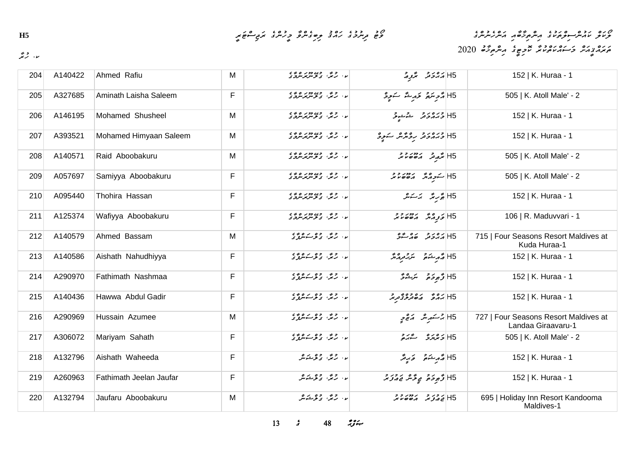*sCw7q7s5w7m< o<n9nOoAw7o< sCq;mAwBoEw7q<m; wBm;vB* م من المرة المرة المرة المرجع المرجع في المركبة 2020<br>مجم*د المريض المربوط المربع المرجع في المراجع المركبة* 

| 204 | A140422 | Ahmed Rafiu             | M | و په ده وره وو ده وار<br>په رمن و نومبربرمبرد و                           | H5 كەنزىقر گەر <i>ە</i>                              | 152   K. Huraa - 1                                          |
|-----|---------|-------------------------|---|---------------------------------------------------------------------------|------------------------------------------------------|-------------------------------------------------------------|
| 205 | A327685 | Aminath Laisha Saleem   | F | و په ده وره وو وه<br>په رنگي و لومبرپومبرد و                              | H5 مَّ مِسَمَّى حَمِيثَ سَوِدْ                       | 505   K. Atoll Male' - 2                                    |
| 206 | A146195 | Mohamed Shusheel        | M |                                                                           | H5/ <i>3,2028 مىڭ</i> مىنونى                         | 152   K. Huraa - 1                                          |
| 207 | A393521 | Mohamed Himyaan Saleem  | M | د ده دوره ده ده کار دارد و در استفاده کند.<br>اما ۱۰ مرکب از نوش پیرسروری | H5. دبروتر بروټرنگر ڪوچ                              | 152   K. Huraa - 1                                          |
| 208 | A140571 | Raid Aboobakuru         | M | د ده د دره ده ده ده<br>باز کري و توسرپرسرو د                              | H5 بَرْمِهِ مَرْ مُصْحَمَ بِر                        | 505   K. Atoll Male' - 2                                    |
| 209 | A057697 | Samiyya Aboobakuru      | F | د د وي د ده ده د ه د و                                                    | $72222$ $722$ $-15$                                  | 505   K. Atoll Male' - 2                                    |
| 210 | A095440 | Thohira Hassan          | F | د ده د دره ده ده ده<br>پاس کري و نومبرپومبرد د                            | H5 پڑریٹر کرکٹر                                      | 152   K. Huraa - 1                                          |
| 211 | A125374 | Wafiyya Aboobakuru      | F | د ده د دره ده ده ده<br>بازگران و نومبرپوسرو د                             | H5 <i>وَوِ</i> مِرَّ مُصْحَبِّ                       | 106   R. Maduvvari - 1                                      |
| 212 | A140579 | Ahmed Bassam            | M | ىر، رقىق، ئۇقسىتىلدى                                                      | H5. ورو صور محمد الم                                 | 715   Four Seasons Resort Maldives at<br>Kuda Huraa-1       |
| 213 | A140586 | Aishath Nahudhiyya      | F | ر، چې په وور ده وه.<br>دا رنگي لاتورند                                    | H5 مُ مِسْدَمْ مَرْ مِرْمَ مَّرْ مِنْ                | 152   K. Huraa - 1                                          |
| 214 | A290970 | Fathimath Nashmaa       | F | ر، رژي دوسه ده ده                                                         | H5  <i>وَّجِ حَمَّى مَرَسْوَةً</i>                   | 152   K. Huraa - 1                                          |
| 215 | A140436 | Hawwa Abdul Gadir       | F | ر، او ده اوه ده ده و ده و د                                               | H5 يَرْدُحُ مَ صَعْرُ حَرَّجُ مِرْمَرٌ               | 152   K. Huraa - 1                                          |
| 216 | A290969 | Hussain Azumee          | M | ر، روپه دور ده وه و                                                       | H5 برڪبري <i>ن پرچ</i> و                             | 727   Four Seasons Resort Maldives at<br>Landaa Giraavaru-1 |
| 217 | A306072 | Mariyam Sahath          | F | ى رقىق دەر يەھ دە                                                         | H5 كەبەر ھەر يەر يەر                                 | 505   K. Atoll Male' - 2                                    |
| 218 | A132796 | Aishath Waheeda         | F | ىر، رېمۇ، بايۇھىشكەنل                                                     | H5 صَمِي صَمَّة حَصَّرِ مَدَّ                        | 152   K. Huraa - 1                                          |
| 219 | A260963 | Fathimath Jeelan Jaufar | F | ىر، رېمې، ئاتوشكەنتر                                                      | H5 <i>وُجِودَه</i> پ <sub>و</sub> ءُش <i>فەدۇب</i> ر | 152   K. Huraa - 1                                          |
| 220 | A132794 | Jaufaru Aboobakuru      | M | ىر، رژىمى، ئەبۇرىشەر                                                      | 777777777777775                                      | 695   Holiday Inn Resort Kandooma<br>Maldives-1             |

*13 s* 48 *if*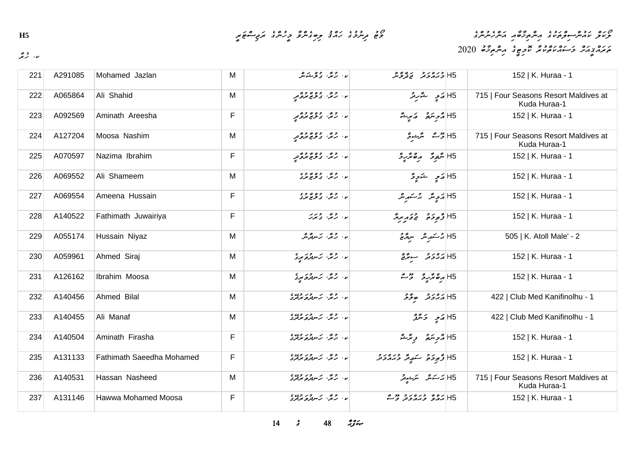*sCw7q7s5w7m< o<n9nOoAw7o< sCq;mAwBoEw7q<m; wBm;vB* م من المرة المرة المرة المرجع المرجع في المركبة 2020<br>مجم*د المريض المربوط المربع المرجع في المراجع المركبة* 

| 221 | A291085 | Mohamed Jazlan            | M            | ىر، رىخ، بۇيۇشۇش                                                | H5 <i>22025 نى ۋۇنگ</i> ە              | 152   K. Huraa - 1                                    |
|-----|---------|---------------------------|--------------|-----------------------------------------------------------------|----------------------------------------|-------------------------------------------------------|
| 222 | A065864 | Ali Shahid                | M            | ر د چې ده ده ده.<br>د کنگ د وی بروتړ                            | H5 کی پی مقریقر                        | 715   Four Seasons Resort Maldives at<br>Kuda Huraa-1 |
| 223 | A092569 | Aminath Areesha           | F            | ر، رژی، وه و و و و                                              | H5 مَّ <i>جِسَمَّة - مَ</i> بِرِيْتَمُ | 152   K. Huraa - 1                                    |
| 224 | A127204 | Moosa Nashim              | M            | ر د چې د وه پرونو                                               | H5_ مُرْسُورُ                          | 715   Four Seasons Resort Maldives at<br>Kuda Huraa-1 |
| 225 | A070597 | Nazima Ibrahim            | F            | ر، رژی، دوه دوم                                                 |                                        | 152   K. Huraa - 1                                    |
| 226 | A069552 | Ali Shameem               | M            | ر ويې وه پوه<br>د رنگي ولويځ برو                                | H5  كيم مستمور سكور 15                 | 152   K. Huraa - 1                                    |
| 227 | A069554 | Ameena Hussain            | F            | د و ده وه وه و و د<br>د ۱۰ کريمي او و مح                        | H5   كەرىگە - جەسىرىكە                 | 152   K. Huraa - 1                                    |
| 228 | A140522 | Fathimath Juwairiya       | F            | ىدا رقىقى ئەتتەت                                                | H5  وَجِوَدَةُ فَيَحَمَّدِ مِرْدً      | 152   K. Huraa - 1                                    |
| 229 | A055174 | Hussain Niyaz             | M            | ىر، رقىق، ئەسەقەتل                                              | H5 بُرْسَمبر مَثَر سِ <i>بِرْجْ</i>    | 505   K. Atoll Male' - 2                              |
| 230 | A059961 | Ahmed Siraj               | M            | لاس رقبي. كەنبەتەت بىرى                                         | H5 كەبرى قىرىقىسى ئىقى                 | 152   K. Huraa - 1                                    |
| 231 | A126162 | Ibrahim Moosa             | M            | لاس رژش کرسوژی برد                                              | H5 رەڭرى <sub>ر</sub> و بىستە          | 152   K. Huraa - 1                                    |
| 232 | A140456 | Ahmed Bilal               | M            |                                                                 | H5 كەبۇر ھۇتى                          | 422   Club Med Kanifinolhu - 1                        |
| 233 | A140455 | Ali Manaf                 | M            |                                                                 |                                        | 422   Club Med Kanifinolhu - 1                        |
| 234 | A140504 | Aminath Firasha           | $\mathsf{F}$ | ر د حرم د در وروه و د د و پر<br>روس کرين که کرد کرد کرد کرد کرد | H5 مُرْحِسَة وِبَمَّتْهُ               | 152   K. Huraa - 1                                    |
| 235 | A131133 | Fathimath Saeedha Mohamed | $\mathsf{F}$ | د . د و .<br>د . ر بر . ر سربره برترد                           | H5 تَ <i>وِجَعْ سَهِيعٌ وبَهُ دَوَ</i> | 152   K. Huraa - 1                                    |
| 236 | A140531 | Hassan Nasheed            | M            |                                                                 | H5  ترسكانل - سكرشيانل                 | 715   Four Seasons Resort Maldives at<br>Kuda Huraa-1 |
| 237 | A131146 | Hawwa Mohamed Moosa       | $\mathsf F$  | ر د چې کرس در وره ده<br>پن کريمې کرس د و ترور                   | H5 بروی ویرویو وقت                     | 152   K. Huraa - 1                                    |

*14 sC 48 nNw?mS*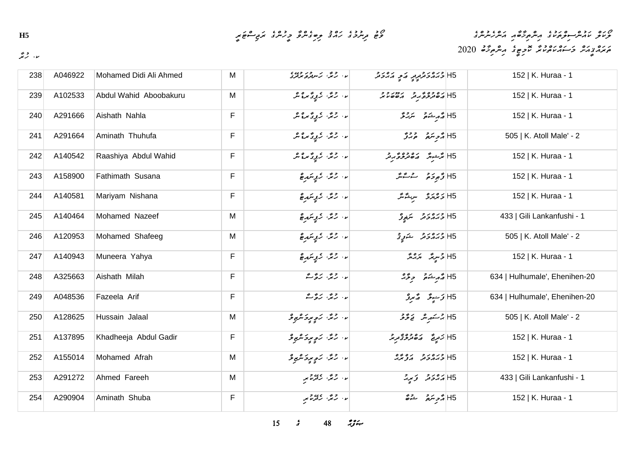*sCw7q7s5w7m< o<n9nOoAw7o< sCq;mAwBoEw7q<m; wBm;vB* م من المرة المرة المرة المرجع المرجع في المركبة 2020<br>مجم*د المريض المربوط المربع المرجع في المراجع المركبة* 

| 238 | A046922 | Mohamed Didi Ali Ahmed | M | ر به حری به مردم در دره باشد.<br>با با برگش بر کرد کرد بر باشد و باشد و باشد و باشد و باشد و باشد و باشد و باشد و | H5   3 <i>222 قرمويد   مَرَح   مَ<sup>رو</sup>د قر</i> | 152   K. Huraa - 1            |
|-----|---------|------------------------|---|-------------------------------------------------------------------------------------------------------------------|--------------------------------------------------------|-------------------------------|
| 239 | A102533 | Abdul Wahid Aboobakuru | M | بار رحيق كربورة بره مثل                                                                                           | 72732 202007                                           | 152   K. Huraa - 1            |
| 240 | A291666 | Aishath Nahla          | F | لاس ئىگەن ئىروگەندە تىگە                                                                                          | H5 مَ <i>ُمِ حَوَّةٍ مَرَكَزَّةٍ</i>                   | 152   K. Huraa - 1            |
| 241 | A291664 | Aminath Thuhufa        | F | لا، رژش، رژونخ بره مگر                                                                                            | H5 مَّرِسَمَّۃ مِہوَ                                   | 505   K. Atoll Male' - 2      |
| 242 | A140542 | Raashiya Abdul Wahid   | F | بار رحمنگ کروی محده می                                                                                            | H5 تَرْجِعَ مَنْ مَصْغَرْ حَرَّمَ بِهِ رَ              | 152   K. Huraa - 1            |
| 243 | A158900 | Fathimath Susana       | F | لاسترىتى كويتمده                                                                                                  | H5 رَّجِ دَمَ مَ مُسَمَّدَ                             | 152   K. Huraa - 1            |
| 244 | A140581 | Mariyam Nishana        | F | ر، رقمهٔ، گ <sub>ر</sub> ویترم <b>ه</b>                                                                           | H5   <i>وَجُهْرُوْ</i> سِيشَمَّرُ                      | 152   K. Huraa - 1            |
| 245 | A140464 | Mohamed Nazeef         | M | لاسترنت كرويتمدهي                                                                                                 | H5 يُرَ پُرُوَ تَرَ سَمَنِي تَرْ                       | 433   Gili Lankanfushi - 1    |
| 246 | A120953 | Mohamed Shafeeg        | M | لاسترنت كرويتمدهج                                                                                                 | H5/ <i>\$2,22 مىنو</i> ق                               | 505   K. Atoll Male' - 2      |
| 247 | A140943 | Muneera Yahya          | F | ىر، رقبۇ، ئەربىكەغ                                                                                                | H5   جسيعٌ م <i>ربرة</i> ٌ                             | 152   K. Huraa - 1            |
| 248 | A325663 | Aishath Milah          | F | ر، رُبَّزُ، رَبَّ رُبَّ                                                                                           | H5 مَەمِسْتَمْ <sub>ح</sub> ِوَّرْ                     | 634   Hulhumale', Ehenihen-20 |
| 249 | A048536 | Fazeela Arif           | F | ى رقىقى ئەنگەنىگە                                                                                                 | H5 وَسَبِعٌ     دُمِروٌ                                | 634   Hulhumale', Ehenihen-20 |
| 250 | A128625 | Hussain Jalaal         | M | ، رُبُّ، رَوِبِرِدَسْ وَ                                                                                          | H5 يُرْسَم <i>ُ بِ</i> مَدَّدَ فَيَحَوَّزُ             | 505   K. Atoll Male' - 2      |
| 251 | A137895 | Khadheeja Abdul Gadir  | F | ، رُبُّ، رَ <sub>مٍ بِر</sub> وَسُ پرو                                                                            | H5 زَمِرِيَّ – رە وە تۇترىر                            | 152   K. Huraa - 1            |
| 252 | A155014 | Mohamed Afrah          | M | ر، رُيمُ، رَ <sub>مِ</sub> بِرِدَ مَرْبِح وُ                                                                      | H5 جرم دی بره ۶۰ س                                     | 152   K. Huraa - 1            |
| 253 | A291272 | Ahmed Fareeh           | M | ر، رحمہ می میں جب                                                                                                 | H5  كەندى كەمەير                                       | 433   Gili Lankanfushi - 1    |
| 254 | A290904 | Aminath Shuba          | F | ر، رژش، روزرایر                                                                                                   | H5 مُجِسَعَ شَقَّ                                      | 152   K. Huraa - 1            |

*15 sC 48 nNw?mS*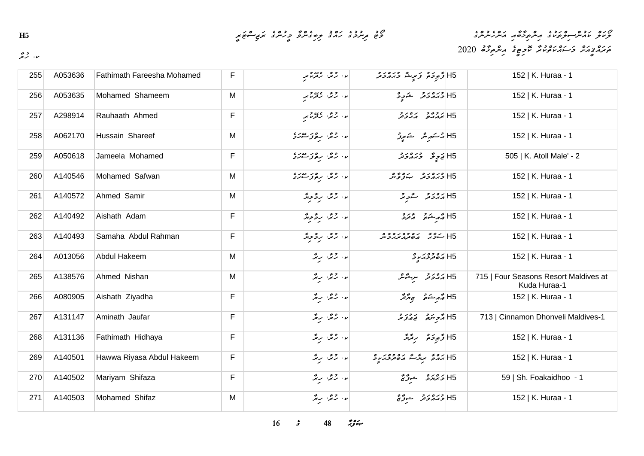*sCw7q7s5w7m< o<n9nOoAw7o< sCq;mAwBoEw7q<m; wBm;vB* م من المرة المرة المرة المرجع المرجع في المركبة 2020<br>مجم*د المريض المربوط المربع المرجع في المراجع المركبة* 

| 255 | A053636 | Fathimath Fareesha Mohamed | F            | ما سرچی کرفترند سر               | H5 وَجِودَةٌ وَمِرِحَةٌ وَبَرَهُ وَلَا | 152   K. Huraa - 1                                    |
|-----|---------|----------------------------|--------------|----------------------------------|----------------------------------------|-------------------------------------------------------|
| 256 | A053635 | Mohamed Shameem            | M            | ر، رحمہ محفر میں<br>راہ کریمہائی | H5 <i>وُبَرُوُوَتَرَ</i> شَوَوِرُ      | 152   K. Huraa - 1                                    |
| 257 | A298914 | Rauhaath Ahmed             | F            | ر، رژش روزرایر                   | H5 بروم و بره د و د                    | 152   K. Huraa - 1                                    |
| 258 | A062170 | Hussain Shareef            | M            | ر رقم <i>ی ره د عاد ع</i>        | H5 کے مریش شمبروتر                     | 152   K. Huraa - 1                                    |
| 259 | A050618 | Jameela Mohamed            | F            | لا رقمنگ رەپر يەر ،              | H5 يَحرِ حَدَّ دَيْرَ وَمَدَّ          | 505   K. Atoll Male' - 2                              |
| 260 | A140546 | Mohamed Safwan             | M            | لاسترنتما المره والمنادان        | H5 درەرو بەرەپىر                       | 152   K. Huraa - 1                                    |
| 261 | A140572 | Ahmed Samir                | M            | لاء رحمي بالحجار                 | H5 كەبرى ئىم ئىقتى بىر                 | 152   K. Huraa - 1                                    |
| 262 | A140492 | Aishath Adam               | $\mathsf F$  | لاء رقيق بالحافية                | H5 مُصِيَّع مُعَرِّد                   | 152   K. Huraa - 1                                    |
| 263 | A140493 | Samaha Abdul Rahman        | $\mathsf{F}$ | دا رژش روژورژ                    | H5 كەن مەدەرەپەر                       | 152   K. Huraa - 1                                    |
| 264 | A013056 | Abdul Hakeem               | M            | الأس حريمي الريتي                | H5 پەھىرى <i>جەنب</i> و                | 152   K. Huraa - 1                                    |
| 265 | A138576 | Ahmed Nishan               | M            | الله الرحيق البابتى              | H5   كەبرى ئىس سىرىشكە ئىس             | 715   Four Seasons Resort Maldives at<br>Kuda Huraa-1 |
| 266 | A080905 | Aishath Ziyadha            | $\mathsf{F}$ | لدا رحيق البابق                  | H5 م <i>ەمبەھىي ئې</i> ترى <i>گ</i>    | 152   K. Huraa - 1                                    |
| 267 | A131147 | Aminath Jaufar             | $\mathsf{F}$ | لدا رحيق البابق                  | H5 مُج <i>رِسَمُ فَهُوَسُ</i>          | 713   Cinnamon Dhonveli Maldives-1                    |
| 268 | A131136 | Fathimath Hidhaya          | F            | لاسترنت البانتي                  | H5 رَّج <i>وحَمْ رِمَّرْمُ</i> ّ       | 152   K. Huraa - 1                                    |
| 269 | A140501 | Hawwa Riyasa Abdul Hakeem  | $\mathsf F$  | مار رحمتی اربتگ                  | H5 بَرُوعُ بِرِبَرَّتَ مُصْرُوْبَرِ وَ | 152   K. Huraa - 1                                    |
| 270 | A140502 | Mariyam Shifaza            | $\mathsf F$  | مار رحمتی البانت                 | H5 كەبىر ئىگە ئىسىرىتىگى ئى            | 59   Sh. Foakaidhoo - 1                               |
| 271 | A140503 | Mohamed Shifaz             | M            | لاس شرش الباشر                   | H5 <i>ۇبرۇ تۈر خوۋى</i>                | 152   K. Huraa - 1                                    |

 $16$  *s*  $48$  *n***<sub>3</sub>** *n*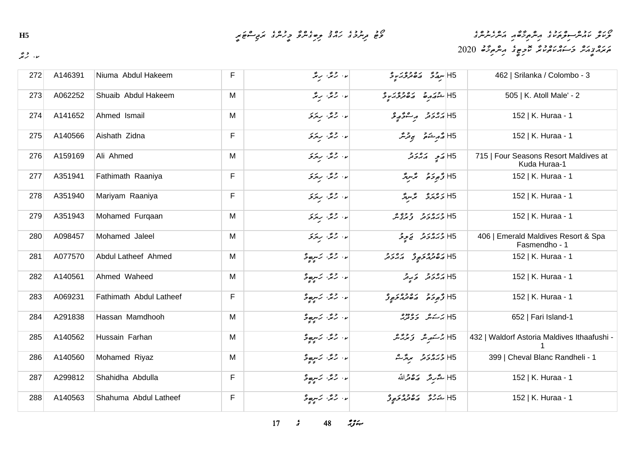*sCw7q7s5w7m< o<n9nOoAw7o< sCq;mAwBoEw7q<m; wBm;vB* م من المرة المرة المرة المرجع المراجع المراجع المراجع المراجع المراجع المراجع المراجع المراجع المراجع المراجع<br>مرين المراجع المراجع المرجع المراجع المراجع المراجع المراجع المراجع المراجع المراجع المراجع المراجع المراجع ال

| 272 | A146391 | Niuma Abdul Hakeem      | F           | الله ارتبی، اربی    | H5 سمة مصر بروجي                     | 462   Srilanka / Colombo - 3                          |
|-----|---------|-------------------------|-------------|---------------------|--------------------------------------|-------------------------------------------------------|
| 273 | A062252 | Shuaib Abdul Hakeem     | M           | الله الرحيق الرحيق  | 5, 2, 5, 6, 6, 7, 7, 15              | 505   K. Atoll Male' - 2                              |
| 274 | A141652 | Ahmed Ismail            | M           | الأرحمة البلائك     | H5. مَدْدَتْرَ بِرِ سُرَّجَ مِدْ     | 152   K. Huraa - 1                                    |
| 275 | A140566 | Aishath Zidna           | $\mathsf F$ | لاسترنت سنزيحه      | H5 م <i>ەمدىنىمى بېرىت</i> گ         | 152   K. Huraa - 1                                    |
| 276 | A159169 | Ali Ahmed               | M           | لاسترش ببريجه       | H5 كەبىي كەبرى قىر                   | 715   Four Seasons Resort Maldives at<br>Kuda Huraa-1 |
| 277 | A351941 | Fathimath Raaniya       | $\mathsf F$ | لاسترش ببريجه       | H5 رَّج <i>ِ دَيْ سُمَّسِيدُ</i> ّ   | 152   K. Huraa - 1                                    |
| 278 | A351940 | Mariyam Raaniya         | F           | الأرحمة البلائك     | H5 كەبەر ئەرىگە                      | 152   K. Huraa - 1                                    |
| 279 | A351943 | Mohamed Furgaan         | M           | لاسترش ببريجه       | H5 <i>جەمەدە دېرى</i> گىر            | 152   K. Huraa - 1                                    |
| 280 | A098457 | Mohamed Jaleel          | M           | مار حميقى الباركمى  | H5/ <i>وَبَرُوْدَوْ</i> کَے مِرِثَرُ | 406   Emerald Maldives Resort & Spa<br>Fasmendho - 1  |
| 281 | A077570 | Abdul Latheef Ahmed     | M           | الاء رحمي كالرجاح   | H5 בטריק 15 ביפיק 15                 | 152   K. Huraa - 1                                    |
| 282 | A140561 | Ahmed Waheed            | M           | ، رُبُّ، رَسِهِ وُ  | H5 كەنزىقر كەرىتر                    | 152   K. Huraa - 1                                    |
| 283 | A069231 | Fathimath Abdul Latheef | F           | الاء رحمي كالرجافة  | H5 رُوحه مەمەمەمبۇر                  | 152   K. Huraa - 1                                    |
| 284 | A291838 | Hassan Mamdhooh         | M           | لاء رحمي كالرجاح    | H5  يزيكر وكالحادوج                  | 652   Fari Island-1                                   |
| 285 | A140562 | Hussain Farhan          | M           | لاء رحمي كالرجاح    | H5 يُرْسَمبِ مَرْ وَ يَرْدَّ مَدْ    | 432   Waldorf Astoria Maldives Ithaafushi -           |
| 286 | A140560 | Mohamed Riyaz           | M           | الاء رقمني كالرجافة | H5 <i>وُبَهُ وَمَرَ</i> مِهْرَ سُهْ  | 399   Cheval Blanc Randheli - 1                       |
| 287 | A299812 | Shahidha Abdulla        | $\mathsf F$ | لاء رحمي كالرجافة   | H5 شَرَمَّر رَصْحَراللَّه            | 152   K. Huraa - 1                                    |
| 288 | A140563 | Shahuma Abdul Latheef   | F           | الاسترنتى كالبرجاني | H5 خەرق مەھىرمى <i>مبورى</i>         | 152   K. Huraa - 1                                    |

*17 sC 48 nNw?mS*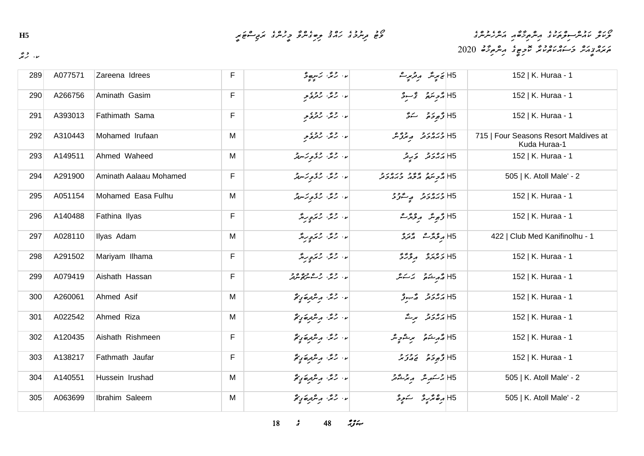*sCw7q7s5w7m< o<n9nOoAw7o< sCq;mAwBoEw7q<m; wBm;vB* م من المرة المرة المرة المرجع المراجع المراجع المراجع المراجع المراجع المراجع المراجع المراجع المراجع المراجع<br>مرين المراجع المراجع المرجع المراجع المراجع المراجع المراجع المراجع المراجع المراجع المراجع المراجع المراجع ال

| 289 | A077571 | Zareena Idrees         | F            | ر، رحمهٔ ک <b>روه</b> و           | H5 بَح مرِیٹر مریٹرمریٹ<br>ا                                                                         | 152   K. Huraa - 1                                    |
|-----|---------|------------------------|--------------|-----------------------------------|------------------------------------------------------------------------------------------------------|-------------------------------------------------------|
| 290 | A266756 | Aminath Gasim          | $\mathsf{F}$ | ر، رقبی روده بو                   | H5 مَّحِسَمَ تَحْسِوْ                                                                                | 152   K. Huraa - 1                                    |
| 291 | A393013 | Fathimath Sama         | $\mathsf{F}$ | ر، رقبی روده بو                   | H5 وَج <i>وح</i> و سَوَّ                                                                             | 152   K. Huraa - 1                                    |
| 292 | A310443 | Mohamed Irufaan        | M            | را رقبق الرحمزة عرض مع            | H5 <i>جەمەدە مەرق ھ</i>                                                                              | 715   Four Seasons Resort Maldives at<br>Kuda Huraa-1 |
| 293 | A149511 | Ahmed Waheed           | M            | الاسترنتك التقوية للمعاني         | H5 كەبرىقر     كەبرىتر                                                                               | 152   K. Huraa - 1                                    |
| 294 | A291900 | Aminath Aalaau Mohamed | $\mathsf{F}$ | را رژگی، کرنگ برکر سرفر           | H5 جُرِسَمَ جُرُّجَ وَرَوْرُو                                                                        | 505   K. Atoll Male' - 2                              |
| 295 | A051154 | Mohamed Easa Fulhu     | M            | لاسترنتي التفاع بماليقى           | H5 <i>32025 وستوى</i>                                                                                | 152   K. Huraa - 1                                    |
| 296 | A140488 | Fathina Ilyas          | $\mathsf{F}$ | لا رقبي رقبوريز                   | H5 رَّجِيسَ مِنْ مِشَرْحَ                                                                            | 152   K. Huraa - 1                                    |
| 297 | A028110 | Ilyas Adam             | M            | لا، رُمِّنْ، رُمَوَلا پُر         | H5 مرتزم محمدة محمدة المحددة المحمدة السرائحة السرائعية السرائعية السرائعية السرائعية في السرائعية ا | 422   Club Med Kanifinolhu - 1                        |
| 298 | A291502 | Mariyam Ilhama         | $\mathsf{F}$ | ىر، رقىق، رقىمبورىدىگە            | H5 كابر بروگر                                                                                        | 152   K. Huraa - 1                                    |
| 299 | A079419 | Aishath Hassan         | $\mathsf{F}$ | ر، روم، روسه دره دور              | H5 <i>مۇم ھۇسىمىتى بىر سى</i> مىر                                                                    | 152   K. Huraa - 1                                    |
| 300 | A260061 | Ahmed Asif             | M            | ، رُسٌ، مِسْعِرِهَ بِهُمُ         | H5 كەبرى قەسىرى                                                                                      | 152   K. Huraa - 1                                    |
| 301 | A022542 | Ahmed Riza             | M            | الاسترنت والمعرضية                | H5 كەبۇر كىمە مەرىبىگە                                                                               | 152   K. Huraa - 1                                    |
| 302 | A120435 | Aishath Rishmeen       | $\mathsf{F}$ | ، رحمه مسرموه د گا                | H5 مۇمەشقى موشوپ شىر                                                                                 | 152   K. Huraa - 1                                    |
| 303 | A138217 | Fathmath Jaufar        | $\mathsf F$  | الاسترات المراتر من المحركة كالمح | H5 تَ <i>وجو مَهُ تَ</i>                                                                             | 152   K. Huraa - 1                                    |
| 304 | A140551 | Hussein Irushad        | M            | الاسترىمى مەسىر ھەم گە            | H5 پرسکور میں مریک مقدمتر<br>مریک میں مریک مقدمتر                                                    | 505   K. Atoll Male' - 2                              |
| 305 | A063699 | Ibrahim Saleem         | M            | ىر، رقبۇ، مەشرەھ ئەلقى            | H5  مەھەرىرى سەرى <sub>م</sub> ى                                                                     | 505   K. Atoll Male' - 2                              |

**18** *s* **48** *n***<sub>s</sub>**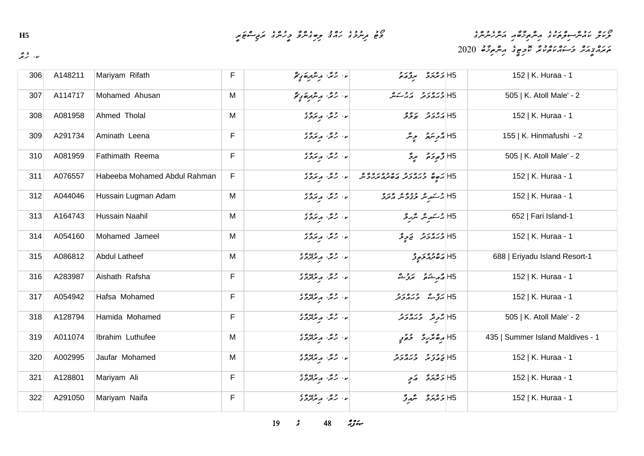*sCw7q7s5w7m< o<n9nOoAw7o< sCq;mAwBoEw7q<m; wBm;vB* م من المرة المرة المرة المرجع المراجع المراجع المراجع المراجع المراجع المراجع المراجع المراجع المراجع المراجع<br>مرين المراجع المراجع المرجع المراجع المراجع المراجع المراجع المراجع المراجع المراجع المراجع المراجع المراجع ال

| 306 | A148211 | Mariyam Rifath               | F | ، سنگ مر شرمرهٔ به محم                                 | H5 تر <i>مرد مرور پ</i> ر                                                                                     | 152   K. Huraa - 1               |
|-----|---------|------------------------------|---|--------------------------------------------------------|---------------------------------------------------------------------------------------------------------------|----------------------------------|
| 307 | A114717 | Mohamed Ahusan               | M | ر. رقمهٔ میگروه دیگر                                   | H5 جري جو بر بر شهر محمد السير السير السير السير السير السير السير السير السير السير السير السير الس          | 505   K. Atoll Male' - 2         |
| 308 | A081958 | Ahmed Tholal                 | M | الأرجمة المنعرفري                                      | H5 <i>ג دو دي و</i> گر                                                                                        | 152   K. Huraa - 1               |
| 309 | A291734 | Aminath Leena                | F | لاسترنت ويروء                                          | H5 مُّجِسَعُ مِسَّر                                                                                           | 155   K. Hinmafushi - 2          |
| 310 | A081959 | Fathimath Reema              | F | در حري المربوع                                         | H5 <i>وَّجِودَة</i> بِرِدًّ                                                                                   | 505   K. Atoll Male' - 2         |
| 311 | A076557 | Habeeba Mohamed Abdul Rahman | F |                                                        | $\frac{1}{2}$                                                                                                 | 152   K. Huraa - 1               |
| 312 | A044046 | Hussain Lugman Adam          | M | ا دار جنگ او برگری                                     | H5   پر سکر ملک تر تحریر استفراد استفراد استفراد استفراد استفراد استفراد استفراد استفراد استفراد استفراد بر ن | 152   K. Huraa - 1               |
| 313 | A164743 | Hussain Naahil               | M | الأرحمي وتروي                                          | H5 پڑے <i>پرنگر</i> مگر <sub>یک</sub> و                                                                       | 652   Fari Island-1              |
| 314 | A054160 | Mohamed Jameel               | M | لاستعد معرفره                                          | H5 <i>جُہُمُہُوَتَر کَے وِیْ</i>                                                                              | 152   K. Huraa - 1               |
| 315 | A086812 | <b>Abdul Latheef</b>         | M | در جنگ او جهانوی                                       | H5 كەھەممى موتى                                                                                               | 688   Eriyadu Island Resort-1    |
| 316 | A283987 | Aishath Rafsha               | F | ر وي پر وي د و                                         | H5 مۇم ئىقى ئىقى ئىشكە                                                                                        | 152   K. Huraa - 1               |
| 317 | A054942 | Hafsa Mohamed                | F | ) د . ح. پ. وده و ه<br>) د . م. کرم کرد و د            | H5 يَوْبَ وَبَرُودُو                                                                                          | 152   K. Huraa - 1               |
| 318 | A128794 | Hamida Mohamed               | F | ر وي پر وي د و                                         | H5 يُروتَرُ وَبَرُدُوتَرُ                                                                                     | 505   K. Atoll Male' - 2         |
| 319 | A011074 | Ibrahim Luthufee             | M | ) د . رحمه المرحور و .                                 | H5 <sub>مو</sub> ھ <i>مگرد</i> و محجومي                                                                       | 435   Summer Island Maldives - 1 |
| 320 | A002995 | Jaufar Mohamed               | M | ر د چې په پوه ده و                                     |                                                                                                               | 152   K. Huraa - 1               |
| 321 | A128801 | Mariyam Ali                  | F | در حري از ۲۶۵۶ وي.<br>  در سرگان از مرکز <i>ور</i> و ک | H5 كاندېزى كەي                                                                                                | 152   K. Huraa - 1               |
| 322 | A291050 | Mariyam Naifa                | F | ر د چې په پرترون                                       | H5 كا <i>بمبرد مم</i> عر                                                                                      | 152   K. Huraa - 1               |

*19 s* 48 *i*<sub>s</sub> *n*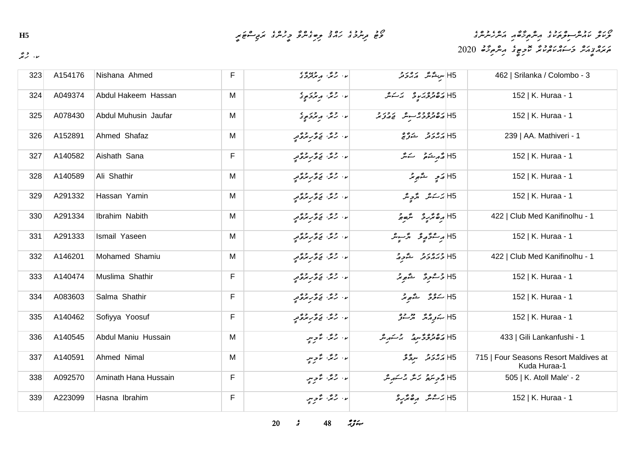*sCw7q7s5w7m< o<n9nOoAw7o< sCq;mAwBoEw7q<m; wBm;vB* م من المرة المرة المرة المرجع المراجع المراجع المراجع المراجع المراجع المراجع المراجع المراجع المراجع المراجع<br>مرين المراجع المراجع المرجع المراجع المراجع المراجع المراجع المراجع المراجع المراجع المراجع المراجع المراجع ال

| 323 | A154176 | Nishana Ahmed        | F            | ر - حريمي المرحوري و <del>م</del>                   | H5 سرىشەمگر كەبر <i>ەرد</i>                                                                                    | 462   Srilanka / Colombo - 3                          |
|-----|---------|----------------------|--------------|-----------------------------------------------------|----------------------------------------------------------------------------------------------------------------|-------------------------------------------------------|
| 324 | A049374 | Abdul Hakeem Hassan  | M            | الاسترنتري وبترخيج ي                                | H5 <i>مَاهُومُدُوبُو بَ</i> سَمَّر                                                                             | 152   K. Huraa - 1                                    |
| 325 | A078430 | Abdul Muhusin Jaufar | M            | پار رحمنگ اور مرکز کوی                              | H5 رەپ ۋەربىر ھەربە                                                                                            | 152   K. Huraa - 1                                    |
| 326 | A152891 | Ahmed Shafaz         | M            | ر، رژش، نے قریر قرقرمبر                             | H5 كەبرى ئىم ئەرمىي ئىچە ئىچانى ئىچانى ئىچانى ئىچانى ئىچانى ئىچانى ئىچانى ئىچانى ئىچانى ئىچانى ئىچانى ئىچانى ئ | 239   AA. Mathiveri - 1                               |
| 327 | A140582 | Aishath Sana         | F            | ر، رژش، نے وَ رِ بروَ مِرِ                          | H5 گەرىشىق <sub>ە</sub> سەنگە                                                                                  | 152   K. Huraa - 1                                    |
| 328 | A140589 | Ali Shathir          | M            | ر، رحمهٔ کانوکر برگاندِ                             | H5  كەمچە ئىش <i>قىرى</i> تىر                                                                                  | 152   K. Huraa - 1                                    |
| 329 | A291332 | Hassan Yamin         | M            | ر، رحمهٔ کانوکر برگاندِ                             | H5   پرسترين گر <sub>مج</sub> رين                                                                              | 152   K. Huraa - 1                                    |
| 330 | A291334 | Ibrahim Nabith       | M            | ر، رژش، نے قریر قرقرمیں                             | H5 م <i>ِ هُ مُّرِ وَ</i> مُّسَمِّمَ                                                                           | 422   Club Med Kanifinolhu - 1                        |
| 331 | A291333 | Ismail Yaseen        | M            | $\downarrow$ ، رُبُّ، يَوَّر بَروَّ بِرِ            | H5  مرسْوَّمٍ عُرْبِ مَرْسِير                                                                                  | 152   K. Huraa - 1                                    |
| 332 | A146201 | Mohamed Shamiu       | M            | ر، رژش، نے وَ رِ بروَ مِرِ                          | H5 <i>جەنەچى ئىگ</i> ور                                                                                        | 422   Club Med Kanifinolhu - 1                        |
| 333 | A140474 | Muslima Shathir      | $\mathsf{F}$ | ر، رژش، نے قریر مرقومی                              | H5  وُسْمُوِوَّ" سُدَّەۭوَ حَمْد                                                                               | 152   K. Huraa - 1                                    |
| 334 | A083603 | Salma Shathir        | F            | ، رُمُّ، <sub>مُح</sub> وَّر مُروَّ م <sub>ُر</sub> | H5 سَعْرَةُ شَ <sub>ّجْ</sub> تِرُ                                                                             | 152   K. Huraa - 1                                    |
| 335 | A140462 | Sofiyya Yoosuf       | $\mathsf F$  | ر، رژش، نے قریر قرقرمیں                             | H5 ينو پر هم معرضو                                                                                             | 152   K. Huraa - 1                                    |
| 336 | A140545 | Abdul Maniu Hussain  | M            | با رحيحاً، مقالح مير                                | H5 مەھەر ئەسمە بىر ئەسەر بىر                                                                                   | 433   Gili Lankanfushi - 1                            |
| 337 | A140591 | Ahmed Nimal          | M            | یں رقبی انڈولیں                                     | H5 كەندى ھەر ئىس بىر                                                                                           | 715   Four Seasons Resort Maldives at<br>Kuda Huraa-1 |
| 338 | A092570 | Aminath Hana Hussain | $\mathsf{F}$ | مارسمنگا انگاھ بىر                                  | H5 مَّ حِ سَمَّى كَسَّر بِرْ سَنَهِ سَ                                                                         | 505   K. Atoll Male' - 2                              |
| 339 | A223099 | Hasna Ibrahim        | $\mathsf{F}$ | مار رقمنگ مذكر مير<br> -                            | H5   يَرْسُسُ مِنْ مِرْسِرْ مِنْ                                                                               | 152   K. Huraa - 1                                    |

 $20$  *s* **48** *n***<sub>s</sub>***n***<sub>s</sub>**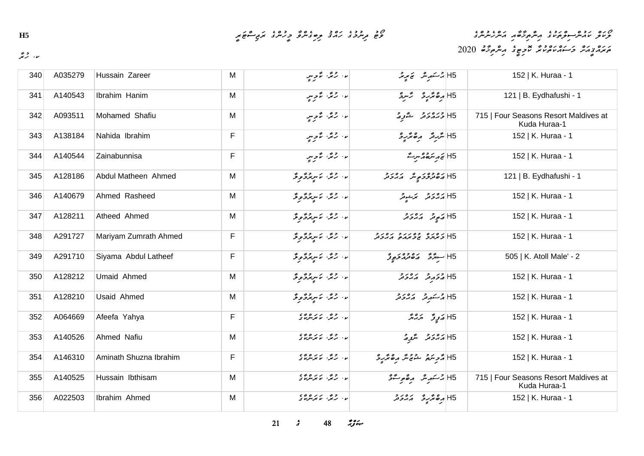*sCw7q7s5w7m< o<n9nOoAw7o< sCq;mAwBoEw7q<m; wBm;vB* م من المرة المرة المرة المرجع المراجع المراجع المراجع المراجع المراجع المراجع المراجع المراجع المراجع المراجع<br>مرين المراجع المراجع المرجع المراجع المراجع المراجع المراجع المراجع المراجع المراجع المراجع المراجع المراجع ال

| 340 | A035279 | Hussain Zareer         | M           | مار رقمنگا ماڻا جا مير                                                                                                                                                                                                                  | H5   پرستمبر محمویتر                         | 152   K. Huraa - 1                                    |
|-----|---------|------------------------|-------------|-----------------------------------------------------------------------------------------------------------------------------------------------------------------------------------------------------------------------------------------|----------------------------------------------|-------------------------------------------------------|
| 341 | A140543 | Ibrahim Hanim          | M           | ىدا رقىقى ئۇچ بىر                                                                                                                                                                                                                       | H5 رەئزى <sub>ر</sub> ۇ گىرۇ                 | 121   B. Eydhafushi - 1                               |
| 342 | A093511 | Mohamed Shafiu         | M           | مار رحمن <i>ي الأج</i> امير                                                                                                                                                                                                             |                                              | 715   Four Seasons Resort Maldives at<br>Kuda Huraa-1 |
| 343 | A138184 | Nahida Ibrahim         | F           | با رحيحاً، الأحاس                                                                                                                                                                                                                       | H5 مَرْرِمَّر مِرْحَمَّرِ وَ                 | 152   K. Huraa - 1                                    |
| 344 | A140544 | Zainabunnisa           | $\mathsf F$ | مارسمنگا، مڈجامیں                                                                                                                                                                                                                       | H5 ئ <sub>ى م</sub> رىقەر سرىسە              | 152   K. Huraa - 1                                    |
| 345 | A128186 | Abdul Matheen Ahmed    | M           | ، رقمهٔ ، ئامبربردگاه بگا                                                                                                                                                                                                               | H5 בטינפקייקייט המכנק                        | 121   B. Eydhafushi - 1                               |
| 346 | A140679 | Ahmed Rasheed          | M           | لاستانتكا الأسير برقر فرقحه                                                                                                                                                                                                             | H5   كەبەقە كەن ئىرىسى تەرىپىتىكە ئىس        | 152   K. Huraa - 1                                    |
| 347 | A128211 | Atheed Ahmed           | M           | $\left  \begin{array}{cc} \mathbf{1}_{1} & \mathbf{1}_{2} & \mathbf{1}_{3} & \mathbf{1}_{4} & \mathbf{1}_{5} & \mathbf{1}_{6} \ \mathbf{1}_{2} & \mathbf{1}_{3} & \mathbf{1}_{4} & \mathbf{1}_{5} & \mathbf{1}_{6} \end{array} \right $ | H5 كەموتىر كەبمەدىر                          | 152   K. Huraa - 1                                    |
| 348 | A291727 | Mariyam Zumrath Ahmed  | $\mathsf F$ | لاسترىتى ئاستەترى ئوقى                                                                                                                                                                                                                  | H5 כמתכ כס גבר גם גב                         | 152   K. Huraa - 1                                    |
| 349 | A291710 | Siyama Abdul Latheef   | F           | لاستانتكا الأسير برقر فرقحه                                                                                                                                                                                                             | H5 جنگر مەمەم <i>كەنجى</i> ئى                | 505   K. Atoll Male' - 2                              |
| 350 | A128212 | Umaid Ahmed            | M           | ، رقمهٔ ، ئامبربردگاه بگا                                                                                                                                                                                                               | H5 رُيَ مِهْ رَكْبُ دَمَرُ مِنْ رَحْمَدُ     | 152   K. Huraa - 1                                    |
| 351 | A128210 | Usaid Ahmed            | M           | لاستانتكا الأستردقاء قر                                                                                                                                                                                                                 | H5 مُسَمرِ مَدْ مَدَوَمَد                    | 152   K. Huraa - 1                                    |
| 352 | A064669 | Afeefa Yahya           | F           | ى رقىقى ئەترەم ئە                                                                                                                                                                                                                       | H5 <i>ڇَ پِي پَرُهِ ٿُ</i>                   | 152   K. Huraa - 1                                    |
| 353 | A140526 | Ahmed Nafiu            | M           | ى رومى ئەترىكرەم ئ                                                                                                                                                                                                                      | H5 كەش <sup>ى</sup> رىقى سى <i>گى</i> رى     | 152   K. Huraa - 1                                    |
| 354 | A146310 | Aminath Shuzna Ibrahim | F           | ر، رحمہ، روپرہ وہ                                                                                                                                                                                                                       | H5 مُرْحِسَة مِشْتَمْ مُرْحَمَّدِ وَ         | 152   K. Huraa - 1                                    |
| 355 | A140525 | Hussain Ibthisam       | M           | ر، رحمہ، رکھوری دی                                                                                                                                                                                                                      | H5 يُسَم <i>َّرِ بْلُ مِنْ هُمِ سُنْ</i> حْر | 715   Four Seasons Resort Maldives at<br>Kuda Huraa-1 |
| 356 | A022503 | Ibrahim Ahmed          | M           | ر، رحمہ، رسمان دی                                                                                                                                                                                                                       | H5  مەھمەر يەمەدەر<br>15  مەھمەر يەمەدەر     | 152   K. Huraa - 1                                    |

 $21$  *s* **48** *n***<sub>s</sub>**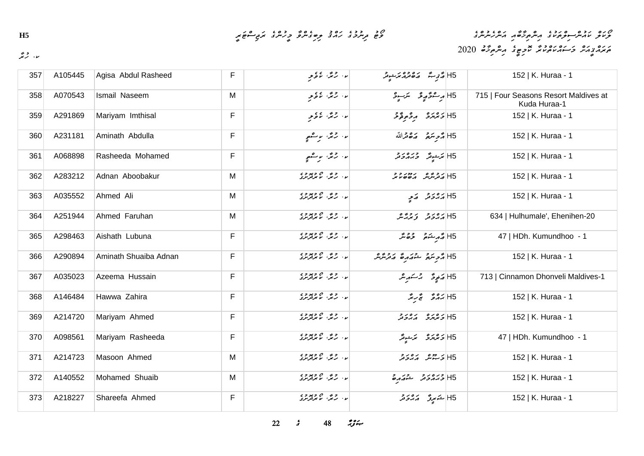*sCw7q7s5w7m< o<n9nOoAw7o< sCq;mAwBoEw7q<m; wBm;vB* م من المرة المرة المرة المرجع المراجع المراجع المراجع المراجع المراجع المراجع المراجع المراجع المراجع المراجع<br>مرين المراجع المراجع المرجع المراجع المراجع المراجع المراجع المراجع المراجع المراجع المراجع المراجع المراجع ال

| 357 | A105445 | Agisa Abdul Rasheed   | F | لا، رحمهٔ عامی                                               | H5 مُتَّوِّبُّہُ مَصْرُمْ مَرْشِيْرٌ                 | 152   K. Huraa - 1                                    |
|-----|---------|-----------------------|---|--------------------------------------------------------------|------------------------------------------------------|-------------------------------------------------------|
| 358 | A070543 | Ismail Naseem         | M | ر، رجمهٔ، ع <sub>ا</sub> ء                                   | H5  م <sub>ی</sub> سٹوگھیٹی سرسیو                    | 715   Four Seasons Resort Maldives at<br>Kuda Huraa-1 |
| 359 | A291869 | Mariyam Imthisal      | F | ىدا رقبى ماغرىيە                                             | H5 كالارد مركز مركز بين المراكز                      | 152   K. Huraa - 1                                    |
| 360 | A231181 | Aminath Abdulla       | F | پارچمنگ پر ڪھي                                               | H5 مَّحِسَمَة مَ <b>صَ</b> مَّاللَّه                 | 152   K. Huraa - 1                                    |
| 361 | A068898 | Rasheeda Mohamed      | F | لاسترنتك للإسكلمج                                            | H5  يَرْسُوِيَّر - ح. رور و                          | 152   K. Huraa - 1                                    |
| 362 | A283212 | Adnan Aboobakur       | M |                                                              | H5 كەنگەر مەھەم بىر                                  | 152   K. Huraa - 1                                    |
| 363 | A035552 | Ahmed Ali             | M | ر ويو ده دود.<br>دا رنگي کاموتونوي                           | H5 كەبۇر كەم بىر                                     | 152   K. Huraa - 1                                    |
| 364 | A251944 | Ahmed Faruhan         | M | ر ويو ده دود.<br>دا رنگي کاموتونوي                           | H5 پروژو تر تر پڑھ                                   | 634   Hulhumale', Ehenihen-20                         |
| 365 | A298463 | Aishath Lubuna        | F | ر - حرمي - 2 حيو و 2<br>را - رحمي - ما موفر مرد              | H5 مَ <i>ُم ِحْدَة وَحْمَدُ</i> ّ                    | 47   HDh. Kumundhoo - 1                               |
| 366 | A290894 | Aminath Shuaiba Adnan | F | ر - حرمي - ص ح بيو و <i>و .</i><br>رومي - را م مي توفر بري   | H5 أَمُّ <i>وِ سَوَمُ أَمُّ وَ مُسَرِّسُ</i>         | 152   K. Huraa - 1                                    |
| 367 | A035023 | Azeema Hussain        | F |                                                              | H5   كەنبەدى كەسكەرلىر                               | 713   Cinnamon Dhonveli Maldives-1                    |
| 368 | A146484 | Hawwa Zahira          | F |                                                              | H5 يَرْدُوَّ گَيْ بِرَدُّ                            | 152   K. Huraa - 1                                    |
| 369 | A214720 | Mariyam Ahmed         | F | ر - حرمی - <sub>2</sub> 0 وید و c<br>را - رحمی - را برفر بری | H5 كەبرە بەر دەر                                     | 152   K. Huraa - 1                                    |
| 370 | A098561 | Mariyam Rasheeda      | F |                                                              | H5 كەبەد كەن كەر يىلىنى ئەركەت ئىككە                 | 47   HDh. Kumundhoo - 1                               |
| 371 | A214723 | Masoon Ahmed          | M | ر ويو ده دود.<br>دا رنگي کاموتونوي                           | H5 كەجىھە كەبر <i>ەر د</i>                           | 152   K. Huraa - 1                                    |
| 372 | A140552 | Mohamed Shuaib        | M |                                                              | $5.62$ $5.002$ $\overline{5.000}$ $\overline{5.000}$ | 152   K. Huraa - 1                                    |
| 373 | A218227 | Shareefa Ahmed        | F | و ده ان ويووه<br>دا ارتكن ان ترتوس                           | H5 ڪمبر <i>ڙ پرورو</i>                               | 152   K. Huraa - 1                                    |

*22 sC 48 nNw?mS*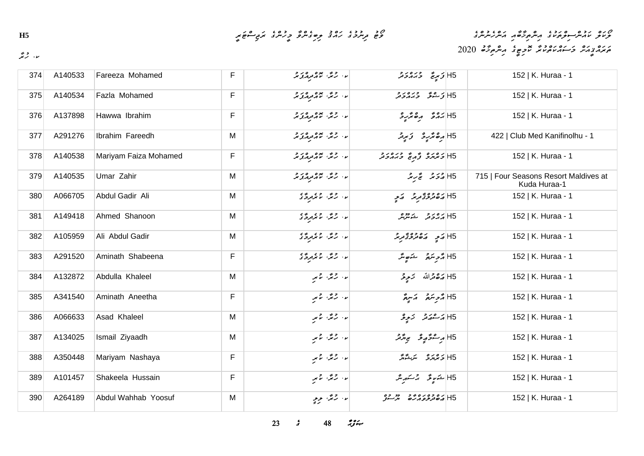*sCw7q7s5w7m< o<n9nOoAw7o< sCq;mAwBoEw7q<m; wBm;vB* م من المرة المرة المرة المرجع المراجع المراجع المراجع المراجع المراجع المراجع المراجع المراجع المراجع المراجع<br>مرين المراجع المراجع المرجع المراجع المراجع المراجع المراجع المراجع المراجع المراجع المراجع المراجع المراجع ال

| 374 | A140533 | Fareeza Mohamed       | F | ر، خ <sub>اش،</sub> تورو بورو تر | H5  وَمِرِيحٌ وَبَرُدُونَرُ                    | 152   K. Huraa - 1                                    |
|-----|---------|-----------------------|---|----------------------------------|------------------------------------------------|-------------------------------------------------------|
| 375 | A140534 | Fazla Mohamed         | F | لا، رقمه المعروفي وراد           | H5 كەشىر <i>مەدەن</i> د                        | 152   K. Huraa - 1                                    |
| 376 | A137898 | Hawwa Ibrahim         | F | ر، رحمہ سی مرد د                 | H5  يَہْرُمُ مِنْ مِرْسِرْدُ                   | 152   K. Huraa - 1                                    |
| 377 | A291276 | Ibrahim Fareedh       | M | ر رحمه سوه ده د د                | H5 مەھەرى كىمىق                                | 422   Club Med Kanifinolhu - 1                        |
| 378 | A140538 | Mariyam Faiza Mohamed | F | لا رحمه سوه مدد د                | H5 كەجرىرى ئۇم قى مەدەبرو                      | 152   K. Huraa - 1                                    |
| 379 | A140535 | Umar Zahir            | M | ر رحمه سوه ده د د                | H5 رُدَ بَرْ سَمَّ سِرْ رَبَّر                 | 715   Four Seasons Resort Maldives at<br>Kuda Huraa-1 |
| 380 | A066705 | Abdul Gadir Ali       | M | ر، رقمهٔ الانگرېزدگو             | H5   كەھەترىۋە <i>يېرىتى كەي</i> چ             | 152   K. Huraa - 1                                    |
| 381 | A149418 | Ahmed Shanoon         | M | ر. رحمهٔ المعرفرون               | H5   <i>زبروتر خەمپرىل</i>                     | 152   K. Huraa - 1                                    |
| 382 | A105959 | Ali Abdul Gadir       | M | ، رژش متربروی                    | H5 <i>جَمْعِ حَ</i> صَعْرَ مَرْتَمَرْ مِرْتَمْ | 152   K. Huraa - 1                                    |
| 383 | A291520 | Aminath Shabeena      | F | ر. رژگی، روی وی                  | H5 مُرْحِبَهُمْ شَهِيمٌ                        | 152   K. Huraa - 1                                    |
| 384 | A132872 | Abdulla Khaleel       | M | اللاء الترحين التوصية            | H5  رَدْوَتْرَاللَّهُ     نَرْمِوْتْرُ         | 152   K. Huraa - 1                                    |
| 385 | A341540 | Aminath Aneetha       | F | ما الرحمن <sup>1</sup> الأمير    | H5 مَّحِسَمَۃُ مَسِمَّۃٌ                       | 152   K. Huraa - 1                                    |
| 386 | A066633 | Asad Khaleel          | M | ىدا رقىق، ئىمىمە                 | H5 كەشقى ئىچى                                  | 152   K. Huraa - 1                                    |
| 387 | A134025 | Ismail Ziyaadh        | M | اللاء الترحين التوصية            | H5 مرڪو <i>گھي</i> و <sub>سم</sub> وگھر        | 152   K. Huraa - 1                                    |
| 388 | A350448 | Mariyam Nashaya       | F | لدا رحيقًا التأمير               | H5 كَيْرْبَرْدْ بَرْجْتَرَّرْ                  | 152   K. Huraa - 1                                    |
| 389 | A101457 | Shakeela Hussain      | F | ما الرحمن <sup>1</sup> الأمير    | H5 ح <i>ضرتى بركته بل</i>                      | 152   K. Huraa - 1                                    |
| 390 | A264189 | Abdul Wahhab Yoosuf   | M | ، رژش وو                         | H5 ره ده ده دو ده دو ده                        | 152   K. Huraa - 1                                    |

 $23$  *s* **48** *n***<sub>3</sub> <b>***n*<sub>3</sub> *n*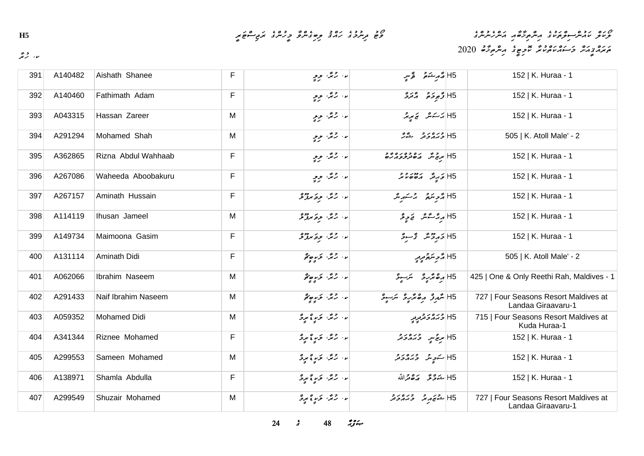*sCw7q7s5w7m< o<n9nOoAw7o< sCq;mAwBoEw7q<m; wBm;vB* م من المرة المرة المرة المرجع المراجع المراجع المراجع المراجع المراجع المراجع المراجع المراجع المراجع المراجع<br>مرين المراجع المراجع المرجع المراجع المراجع المراجع المراجع المراجع المراجع المراجع المراجع المراجع المراجع ال

| 391 | A140482 | Aishath Shanee      | $\mathsf{F}$ | ، رُنگ ووِ              | H5 صَّمِيشَمَّة فَوَسِ                    | 152   K. Huraa - 1                                          |
|-----|---------|---------------------|--------------|-------------------------|-------------------------------------------|-------------------------------------------------------------|
| 392 | A140460 | Fathimath Adam      | F            | اء رژش وو               | H5 تَ <i>وجوه مُقرَّد</i>                 | 152   K. Huraa - 1                                          |
| 393 | A043315 | Hassan Zareer       | M            | اء رژش وو               | H5   پَرَسَدَ مَيَ مِرِيْرَ               | 152   K. Huraa - 1                                          |
| 394 | A291294 | Mohamed Shah        | M            | اء رژش وو               | H5 <i>جەنەچەتى</i> سەر                    | 505   K. Atoll Male' - 2                                    |
| 395 | A362865 | Rizna Abdul Wahhaab | F            | لاسترش لولو             | H5 برېڅ پر <i>م</i> صر <i>ده وره پ</i> ره | 152   K. Huraa - 1                                          |
| 396 | A267086 | Waheeda Aboobakuru  | $\mathsf{F}$ | ، رژش وو                | H5 كۆبەتش <i>ە ئەھەم</i> ىتىر             | 152   K. Huraa - 1                                          |
| 397 | A267157 | Aminath Hussain     | F            | ، رُمُّ، وەَمَدُوْمُ    | H5 مٌ <i>وِ مَرْهْ بِهُ سَنْهِ مَّ</i> رُ | 152   K. Huraa - 1                                          |
| 398 | A114119 | Ihusan Jameel       | M            | ، رُسٌ مِعَ مِدْرٌ وَ   | H5 م <i>ېرشىنگە</i> ت <sub>ى تو</sub> تۇ  | 152   K. Huraa - 1                                          |
| 399 | A149734 | Maimoona Gasim      | $\mathsf F$  | ، رُبُّ وِءَ بروُ و     | H5 دَرِدْسَ تَيْ-دِدْ                     | 152   K. Huraa - 1                                          |
| 400 | A131114 | Aminath Didi        | F            | ىر، رقمى ئۇرىي ئ        | H5  مَّ <i>وِ سَهْ دُوبِرِ</i>            | 505   K. Atoll Male' - 2                                    |
| 401 | A062066 | Ibrahim Naseem      | M            | ، رُبُّ دَرِهِ وَ       | H5  بر <i>ەنگەر ۋە سەب</i> وتى            | 425   One & Only Reethi Rah, Maldives - 1                   |
| 402 | A291433 | Naif Ibrahim Naseem | M            | لاء رحمي كالمواصح       | H5 سَمَدِرْ مِـ صَمَّرِةَ سَرَــودُ       | 727   Four Seasons Resort Maldives at<br>Landaa Giraavaru-1 |
| 403 | A059352 | <b>Mohamed Didi</b> | M            | لا رژنگ ځېږي کېږي       | H5/ <i>3225فروپ</i> ر                     | 715   Four Seasons Resort Maldives at<br>Kuda Huraa-1       |
| 404 | A341344 | Riznee Mohamed      | $\mathsf{F}$ | لاستعما تخطيع برده      | H5  بريج سي الترجيح جزير 15               | 152   K. Huraa - 1                                          |
| 405 | A299553 | Sameen Mohamed      | M            | ، رژش ئورا دیگر         | H5 س <i>نوین وی</i> مونو                  | 152   K. Huraa - 1                                          |
| 406 | A138971 | Shamla Abdulla      | $\mathsf F$  | لاسترىتى، ئۇرىي مېرى    | H5 خَوْعٌ صَرْهُ مِّرَاللَّه              | 152   K. Huraa - 1                                          |
| 407 | A299549 | Shuzair Mohamed     | M            | ۱۰ رقمي ځېږ <i>کې</i> و | H5 شىم بەر ئەرگە ئەرگە                    | 727   Four Seasons Resort Maldives at<br>Landaa Giraavaru-1 |

*24 sC 48 nNw?mS*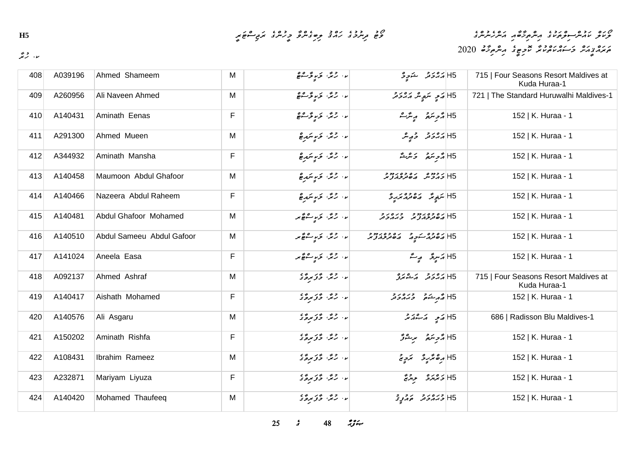*sCw7q7s5w7m< o<n9nOoAw7o< sCq;mAwBoEw7q<m; wBm;vB* م من المرة المرة المرة المرجع المراجع المراجع المراجع المراجع المراجع المراجع المراجع المراجع المراجع المراجع<br>مرين المراجع المراجع المرجع المراجع المراجع المراجع المراجع المراجع المراجع المراجع المراجع المراجع المراجع ال

| 408 | A039196 | Ahmed Shameem             | M            | ىر، رقى <i>گە، خۇر</i> گەنقا | H5 كەنزىقر شەرە                                                                                                | 715   Four Seasons Resort Maldives at<br>Kuda Huraa-1 |
|-----|---------|---------------------------|--------------|------------------------------|----------------------------------------------------------------------------------------------------------------|-------------------------------------------------------|
| 409 | A260956 | Ali Naveen Ahmed          | M            | لا رقىق ئۇيدۇشق              | H5 كەبىي س <i>كەن كەندى ق</i> ر                                                                                | 721   The Standard Huruwalhi Maldives-1               |
| 410 | A140431 | Aminath Eenas             | F            | لاس رقبي كالموسوق وهي        | H5 مَرْحِسَمَۃُ مِسَّرَ م                                                                                      | 152   K. Huraa - 1                                    |
| 411 | A291300 | Ahmed Mueen               | M            | ىر، رقبۇ، ئۇيوشمەھ           | H5/ <i>مَدْدَوْرْ وَم</i> ِسْر                                                                                 | 152   K. Huraa - 1                                    |
| 412 | A344932 | Aminath Mansha            | F            | ىر، رقمى ئۇيونىتىدىغ         | H5 گەج س <i>كەنى</i> 5 س <sup>8</sup> ىنىڭ                                                                     | 152   K. Huraa - 1                                    |
| 413 | A140458 | Maumoon Abdul Ghafoor     | M            | ىر، رقمى ئۇيونىتىدىغ         | H5, כמים גם כסגבת ב                                                                                            | 152   K. Huraa - 1                                    |
| 414 | A140466 | Nazeera Abdul Raheem      | $\mathsf{F}$ | لاسترت كالمستمدة             | H5  سَمَعٍ مِمَّدٍ مِنْ صَ <i>حْرَ مُرَبِّ</i> حِرِ                                                            | 152   K. Huraa - 1                                    |
| 415 | A140481 | Abdul Ghafoor Mohamed     | M            | لاسترىرى ئۇلاسقۇم            | H5 ره وه برود و دره رو<br>H5 پ <i>ره تروفرنو بر</i> وبربروتر                                                   | 152   K. Huraa - 1                                    |
| 416 | A140510 | Abdul Sameeu Abdul Gafoor | M            | لاسترىتى كەربەھىم            | H5 رە دە رە دەرە دەرد                                                                                          | 152   K. Huraa - 1                                    |
| 417 | A141024 | Aneela Easa               | $\mathsf{F}$ | لاسترىتى كۆلەشقۇم            | H5 كەيدى ھەتتە                                                                                                 | 152   K. Huraa - 1                                    |
| 418 | A092137 | Ahmed Ashraf              | M            | لاسترنتى الحائى برهاى        | H5 كەبرو كەندىسى ئىستىدى                                                                                       | 715   Four Seasons Resort Maldives at<br>Kuda Huraa-1 |
| 419 | A140417 | Aishath Mohamed           | F            | ر، رقمهٔ و و بروی            | H5 مەم ئەرەبەر دېرىدىلەر H5                                                                                    | 152   K. Huraa - 1                                    |
| 420 | A140576 | Ali Asgaru                | M            | ر، رژئی گورگوی               | H5 كەير كەشىرىمە                                                                                               | 686   Radisson Blu Maldives-1                         |
| 421 | A150202 | Aminath Rishfa            | $\mathsf{F}$ | ر، رژئی، بخونمبروی           | H5 مَّ حِسَمَة مَ سِشْرَتَّ                                                                                    | 152   K. Huraa - 1                                    |
| 422 | A108431 | Ibrahim Rameez            | M            | ر، رقمهٔ وگوروی              | H5 <sub>مر</sub> ھ <i>مُرْرِ \$ مَرَوٍ لَمْ</i>                                                                | 152   K. Huraa - 1                                    |
| 423 | A232871 | Mariyam Liyuza            | $\mathsf F$  | ر، رژئی، بخونمبروی           | H5 كابر مريد محمد المحمد المحمد المحمد المحمد المحمد المحمد المحمد المحمد المحمد المحمد المحمد المحمد المحمد ا | 152   K. Huraa - 1                                    |
| 424 | A140420 | Mohamed Thaufeeq          | M            | ر، رقمهٔ وگوروی              | H5 <i>جُهُ جُهُو تَحْمَّدُو يَ</i> حْمَ                                                                        | 152   K. Huraa - 1                                    |

 $25$  *s* **48** *n***<sub>3</sub> <b>***n*<sub>3</sub> *n*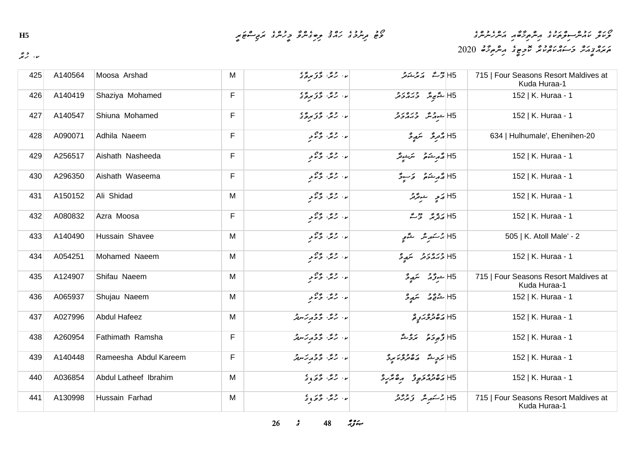*sCw7q7s5w7m< o<n9nOoAw7o< sCq;mAwBoEw7q<m; wBm;vB* م من المرة المرة المرة المرجع المراجع المراجع المراجع المراجع المراجع المراجع المراجع المراجع المراجع المراجع<br>مرين المراجع المراجع المرجع المراجع المراجع المراجع المراجع المراجع المراجع المراجع المراجع المراجع المراجع ال

| 425 | A140564 | Moosa Arshad          | M           | ر، رقمهٔ و و بروی           | H5 _ جريم مقرن برند                                                                | 715   Four Seasons Resort Maldives at<br>Kuda Huraa-1 |
|-----|---------|-----------------------|-------------|-----------------------------|------------------------------------------------------------------------------------|-------------------------------------------------------|
| 426 | A140419 | Shaziya Mohamed       | F           | ر. رژش و و بروی             | H5 شگېرنگر <i>وېرو</i> رونر                                                        | 152   K. Huraa - 1                                    |
| 427 | A140547 | Shiuna Mohamed        | F           | ر، رژئی، وګونووی            | H5 جوړش وبره در                                                                    | 152   K. Huraa - 1                                    |
| 428 | A090071 | Adhila Naeem          | $\mathsf F$ | ىدا رژىنگە بۇ تەتكەنلە      | H5  گەرگ شەر <sup>9</sup>                                                          | 634   Hulhumale', Ehenihen-20                         |
| 429 | A256517 | Aishath Nasheeda      | $\mathsf F$ | ىدا رقىق ۋىتۇم              | H5  مَ <sub>ّم</sub> رِ شَمَّة مَّ سَرْسُومَّدَ                                    | 152   K. Huraa - 1                                    |
| 430 | A296350 | Aishath Waseema       | $\mathsf F$ | لاسترنت وحمالو              | H5 مەم ھەسىرى<br>15                                                                | 152   K. Huraa - 1                                    |
| 431 | A150152 | Ali Shidad            | M           | ىدا رقىق ۋىتۇر              | H5 كەمچە سىيەتىگە                                                                  | 152   K. Huraa - 1                                    |
| 432 | A080832 | Azra Moosa            | F           | ىدا رقىق ئۇنغاپ             | H5 پروگ ترمشہ                                                                      | 152   K. Huraa - 1                                    |
| 433 | A140490 | Hussain Shavee        | M           | ىدا رقىق ۋىتۇم              | H5 پُرڪ <i>مب</i> هي ڪمبي                                                          | 505   K. Atoll Male' - 2                              |
| 434 | A054251 | Mohamed Naeem         | M           | ىدا رقىق ۋىتۇم              | H5 يز پروتر سَمبر و                                                                | 152   K. Huraa - 1                                    |
| 435 | A124907 | Shifau Naeem          | M           | ىدا رقىق ئۇنغاپ             | H5 جو <i>رٌ ۾ سَمودُ</i>                                                           | 715   Four Seasons Resort Maldives at<br>Kuda Huraa-1 |
| 436 | A065937 | Shujau Naeem          | M           | ىدا رقىق ئۇنغا ب            | H5 شۇقە س <i>َم</i> ەر                                                             | 152   K. Huraa - 1                                    |
| 437 | A027996 | <b>Abdul Hafeez</b>   | M           | لاسترنتى كالمحافر وكالمرتبط | H5 كەھ ت <i>رۇپزى</i> ر ھ                                                          | 152   K. Huraa - 1                                    |
| 438 | A260954 | Fathimath Ramsha      | F           | لاسترنتي المحركة بالمرتبع   | H5 تَ <i>وْجِوَةْ بَرَوْ</i> -شَ                                                   | 152   K. Huraa - 1                                    |
| 439 | A140448 | Rameesha Abdul Kareem | F           | لاسترنت كالمحامد كالمرتبع   | H5 يَرْوِيْتُهُ مَصْغَرْحَمَ بِرِدْ                                                | 152   K. Huraa - 1                                    |
| 440 | A036854 | Abdul Latheef Ibrahim | M           | لاسترنتى المحافرا في        | H5 בטינת בית 3 משיק ב                                                              | 152   K. Huraa - 1                                    |
| 441 | A130998 | Hussain Farhad        | M           | ىر، رقىق، ئۇغ ي             | H5   يُرسَمبر مَشَرَ تَرَ تَرَ تَرَ تَدَرَّ تَدَرَّ تَدَرَّ تَدَرَّ تَدَرُّ تَدَرُ | 715   Four Seasons Resort Maldives at<br>Kuda Huraa-1 |

 $26$  *s* **48** *n***<sub>3</sub> <b>***n*<sub>5</sub> *n*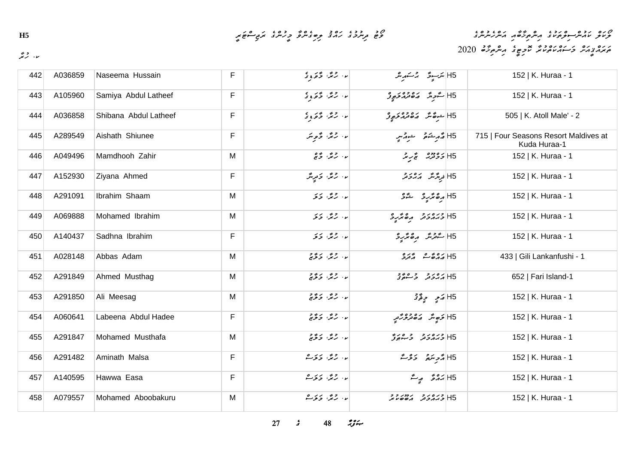*sCw7q7s5w7m< o<n9nOoAw7o< sCq;mAwBoEw7q<m; wBm;vB* م من المرة المرة المرة المرجع المراجع المراجع المراجع المراجع المراجع المراجع المراجع المراجع المراجع المراجع<br>مرين المراجع المراجع المرجع المراجع المراجع المراجع المراجع المراجع المراجع المراجع المراجع المراجع المراجع ال

| 442 | A036859 | Naseema Hussain       | F           | لاسترنتى المحافرة و  | H5   بَرْسِودٌ 2 كَمَ بِرْسٌ             | 152   K. Huraa - 1                                    |
|-----|---------|-----------------------|-------------|----------------------|------------------------------------------|-------------------------------------------------------|
| 443 | A105960 | Samiya Abdul Latheef  | F           | لاسترنتى المحافرا في | H5 گرېگر مەھ <i>ىرم خې</i> رۇ            | 152   K. Huraa - 1                                    |
| 444 | A036858 | Shibana Abdul Latheef | $\mathsf F$ | لاسترنتى المحافرا في | H5 خو <i>ڭ ئۇ مەمەم قەرى</i>             | 505   K. Atoll Male' - 2                              |
| 445 | A289549 | Aishath Shiunee       | F           | لاسترنتى المحافيات   | H5 #مرڪمو ھوماسر                         | 715   Four Seasons Resort Maldives at<br>Kuda Huraa-1 |
| 446 | A049496 | Mamdhooh Zahir        | M           | ى ، رْمَدٌ ، رَّمَح  | H5 ك <sup>وو</sup> تر مجمية مح           | 152   K. Huraa - 1                                    |
| 447 | A152930 | Ziyana Ahmed          | $\mathsf F$ | ، رُجَّنَ وَمِرِسَّ  | H5 فریمگر کم <i>رگرون</i> گر             | 152   K. Huraa - 1                                    |
| 448 | A291091 | Ibrahim Shaam         | M           | ىدە رژىتى كەتتى      | H5 ب <i>رە بۇر</i> و شۇ                  | 152   K. Huraa - 1                                    |
| 449 | A069888 | Mohamed Ibrahim       | M           | ىدە رژىتى كەتتى      | H5 دُبروتو مِرەبۇر ۋ                     | 152   K. Huraa - 1                                    |
| 450 | A140437 | Sadhna Ibrahim        | $\mathsf F$ | الأرجمة، وَيَ        | H5 گەرىگر ب <i>ەھگەر</i> ۇ               | 152   K. Huraa - 1                                    |
| 451 | A028148 | Abbas Adam            | M           | ىر، رقىئى، ئەقەتتى   | H5 پَرُهُ شَه پُرُورُ                    | 433   Gili Lankanfushi - 1                            |
| 452 | A291849 | Ahmed Musthag         | M           | ىر، رقمى، ئەقرىي     | H5 كەبرو قەرەپەيىتى ئەلگەنىيەت ئىستان ئى | 652   Fari Island-1                                   |
| 453 | A291850 | Ali Meesag            | M           | ىر، رقىئى، ئۇقۇيى    | H5  رَمٍ دٍ وَڏَوْ                       | 152   K. Huraa - 1                                    |
| 454 | A060641 | Labeena Abdul Hadee   | $\mathsf F$ | ىر، رژىتى، ئۇقۇيى    | H5 مَصِتَر رَصْرُوْرًى بِرِ              | 152   K. Huraa - 1                                    |
| 455 | A291847 | Mohamed Musthafa      | M           | ىر، رژىتى، ئۇقۇيى    | H5 دره در و مرد                          | 152   K. Huraa - 1                                    |
| 456 | A291482 | Aminath Malsa         | F           | ىر، رىتى، ئەبۇرىشە   | H5 مَّحِسَمَةٌ وَقَرْسَةٌ —              | 152   K. Huraa - 1                                    |
| 457 | A140595 | Hawwa Easa            | $\mathsf F$ | ىر، رْبَقْ، كەنۇب    | H5 يَرْدُوَّ بِرِسَّةَ                   | 152   K. Huraa - 1                                    |
| 458 | A079557 | Mohamed Aboobakuru    | M           | ىر، رىتى، ئەنۇب      | 777777777777775                          | 152   K. Huraa - 1                                    |

*27 sC 48 nNw?mS*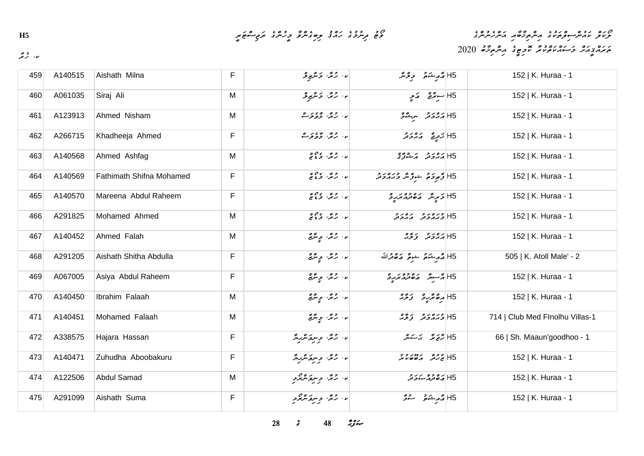*sCw7q7s5w7m< o<n9nOoAw7o< sCq;mAwBoEw7q<m; wBm;vB* م من المرة المرة المرة المرجع المراجع المراجع المراجع المراجع المراجع المراجع المراجع المراجع المراجع المراجع<br>مرين المراجع المراجع المرجع المراجع المراجع المراجع المراجع المراجع المراجع المراجع المراجع المراجع المراجع ال

| 459 | A140515 | Aishath Milna            | F | ىر، رقىق، ئۇنتوپوتۇ        | H5  مَەرِحَمَّة _ وِحْسَّ                                  | 152   K. Huraa - 1              |
|-----|---------|--------------------------|---|----------------------------|------------------------------------------------------------|---------------------------------|
| 460 | A061035 | Siraj Ali                | M | ىر، رژىگە، كەنگىي بى       | H5 سو <i>مترق م</i> َ مح                                   | 152   K. Huraa - 1              |
| 461 | A123913 | Ahmed Nisham             | M | ، رَبَّرُ، وَوَوَتْ        | H5 كەبرى كىر س <sub>ى</sub> شۇر                            | 152   K. Huraa - 1              |
| 462 | A266715 | Khadheeja Ahmed          | F | ، رَبَّرُ، رَّهْ دُسُمْ    | H5 كَتَمِيعٌ - <i>مُرْدُوَ</i> مُرُ                        | 152   K. Huraa - 1              |
| 463 | A140568 | Ahmed Ashfag             | M | $225 - 21$                 | H5 كەبرو كى كەرگە ئوگە                                     | 152   K. Huraa - 1              |
| 464 | A140569 | Fathimath Shifna Mohamed | F | 285.2.1                    | H5  <i>وَّجِوَدَهُ</i> شِوْرٌ مُرَكَّدَةٍ مِنْ الْمَرْدَةِ | 152   K. Huraa - 1              |
| 465 | A140570 | Mareena Abdul Raheem     | F | 285.2.1                    | H5 كۆپىگە مەھ <i>ەرە ت</i> كرىدۇ                           | 152   K. Huraa - 1              |
| 466 | A291825 | Mohamed Ahmed            | M | 285.32.4                   | H5 ديره ده بره برور د                                      | 152   K. Huraa - 1              |
| 467 | A140452 | Ahmed Falah              | M | ما سر محمد الحر متعدِّ ح   | H5  پَرْدَوَتْرِ کَرَبَّرُدُ                               | 152   K. Huraa - 1              |
| 468 | A291205 | Aishath Shitha Abdulla   | F | ما سر محمد الحريم محمد حري | H5 صَّمِ شَعْصَ صَوْحَةً صَـــ85ْرَاللَّهُ                 | 505   K. Atoll Male' - 2        |
| 469 | A067005 | Asiya Abdul Raheem       | F | ما الرحمة الحريمين         | H5 أَمُّ سِنَّهُ مُصْعَمِّدَ مُحَمَّدٍ وَ                  | 152   K. Huraa - 1              |
| 470 | A140450 | Ibrahim Falaah           | M | لاسترنتگ جي مٿينج          | H5 <sub>مو</sub> ھ <i>مگرد</i> و کی تھی                    | 152   K. Huraa - 1              |
| 471 | A140451 | Mohamed Falaah           | M | لا رحمتى ويترجى            | H5 <i>جەيرونى ۋۇر</i>                                      | 714   Club Med Flnolhu Villas-1 |
| 472 | A338575 | Hajara Hassan            | F | الاسترنت وبيرة تكرير       | H5  رُّيَ مُر بَرَسَيْر                                    | 66   Sh. Maaun'goodhoo - 1      |
| 473 | A140471 | Zuhudha Aboobakuru       | F | الاسترات واللا تكرات       | $22222$ $+5$                                               | 152   K. Huraa - 1              |
| 474 | A122506 | Abdul Samad              | M | الاسترنگ و سره سرند و      | H5 پرە پرې <sub>م</sub> بەر د                              | 152   K. Huraa - 1              |
| 475 | A291099 | Aishath Suma             | F | ر، رقمهٔ وسط شروع          | H5 مَجْمَعِيْتِ مِنْ سَمَرَّ                               | 152   K. Huraa - 1              |

*28 sC 48 nNw?mS*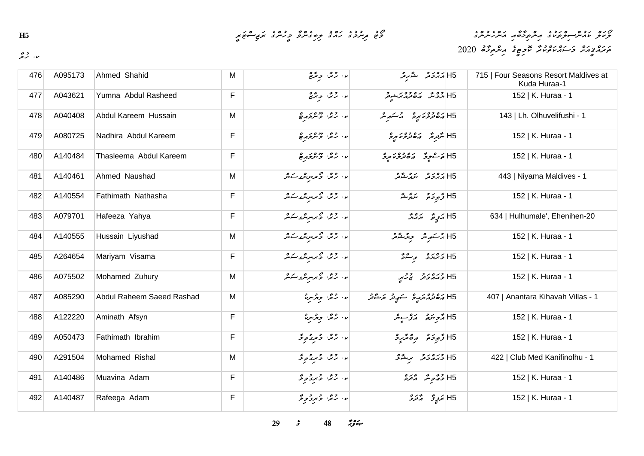*sCw7q7s5w7m< o<n9nOoAw7o< sCq;mAwBoEw7q<m; wBm;vB* م من المرة المرة المرة المرجع المراجع المراجع المراجع المراجع المراجع المراجع المراجع المراجع المراجع المراجع<br>مرين المراجع المراجع المرجع المراجع المراجع المراجع المراجع المراجع المراجع المراجع المراجع المراجع المراجع ال

| 476 | A095173 | Ahmed Shahid              | M           | ر، رقبق، جانتي ه               | H5   <i>ذرّى توفر مىش</i> رىتر              | 715   Four Seasons Resort Maldives at<br>Kuda Huraa-1 |
|-----|---------|---------------------------|-------------|--------------------------------|---------------------------------------------|-------------------------------------------------------|
| 477 | A043621 | Yumna Abdul Rasheed       | $\mathsf F$ | لاسترنتما ونتزج                | H5 ترونگر بره ده برخونگر                    | 152   K. Huraa - 1                                    |
| 478 | A040408 | Abdul Kareem Hussain      | M           | ر وي وده د ه                   | H5 <i>مەھەر ۋە بو</i> د ج <i>اسەمب</i> ىر   | 143   Lh. Olhuvelifushi - 1                           |
| 479 | A080725 | Nadhira Abdul Kareem      | $\mathsf F$ | ر. رئمي، ورور و                | H5 سَّبِرِيمُ صَرَّحْرَى مَرِيْتِ           | 152   K. Huraa - 1                                    |
| 480 | A140484 | Thasleema Abdul Kareem    | $\mathsf F$ | ر. رُبُّيَّ، وَسُرُوْرِ هِ     | H5   يَرْسُوِيَّ   يَرْهُ وَوْبَرْ بَرِيْتِ | 152   K. Huraa - 1                                    |
| 481 | A140461 | Ahmed Naushad             | M           | لاس رقمي كالمرس محمد مرسك محمد | H5 كەبرو مەر ئىش ئىقى                       | 443   Niyama Maldives - 1                             |
| 482 | A140554 | Fathimath Nathasha        | F           | لاس 2 مى كۆلەرلىكى سەنگە       | H5  <i>وَّجِ دَمَّةَ</i> سَمَّرَ مَشَ       | 152   K. Huraa - 1                                    |
| 483 | A079701 | Hafeeza Yahya             | F           | لاس 2 مى كۆلەرلىكى سەنگە       | H5  يَروِيَّ م <i>َرَكَتَرُّ</i>            | 634   Hulhumale', Ehenihen-20                         |
| 484 | A140555 | Hussain Liyushad          | M           | لاس 2 مى كۆلەرلىرىنى كەش       | H5 گەسكەبەش مومۇرىشىقر                      | 152   K. Huraa - 1                                    |
| 485 | A264654 | Mariyam Visama            | F           | لاس 2 مى كە ئەسرىكى كەنگە      | H5 كا برجوج – م سكرمً                       | 152   K. Huraa - 1                                    |
| 486 | A075502 | Mohamed Zuhury            | M           | لاس رقيقى كۆلىرىلىرىگى كەش     | H5/ <i>3225 مي رقمب</i>                     | 152   K. Huraa - 1                                    |
| 487 | A085290 | Abdul Raheem Saeed Rashad | M           | مار حريمي المحرور مريد         | H5 <i>مەھەمەمەرە</i> سەمەم مەشەر            | 407   Anantara Kihavah Villas - 1                     |
| 488 | A122220 | Aminath Afsyn             | $\mathsf F$ | ر، رقمهٔ و پرسره               | H5 م <i>گرمند مگر س</i> یگر                 | 152   K. Huraa - 1                                    |
| 489 | A050473 | Fathimath Ibrahim         | $\mathsf F$ | لاسترنتى ومردوق                | H5  <i>وَّجِوَۃُ بِہٴمَّہٰ بِ</i> وْ        | 152   K. Huraa - 1                                    |
| 490 | A291504 | Mohamed Rishal            | M           | لاسترنتر، وحروموتر             | H5/ <i>3225 م</i> رش <sup>و</sup> و         | 422   Club Med Kanifinolhu - 1                        |
| 491 | A140486 | Muavina Adam              | F           | لا رقبي ومروجو                 | H5 جَمَّعِ مَدَّ مَسَرَّحَ                  | 152   K. Huraa - 1                                    |
| 492 | A140487 | Rafeega Adam              | F           | ، رژش د مردود                  | H5 يَرَوٍ تَنْ مُرْتَزَى مَ                 | 152   K. Huraa - 1                                    |

**29** *s* **48** *n***<sub>s</sub>***n***<sub>s</sub>**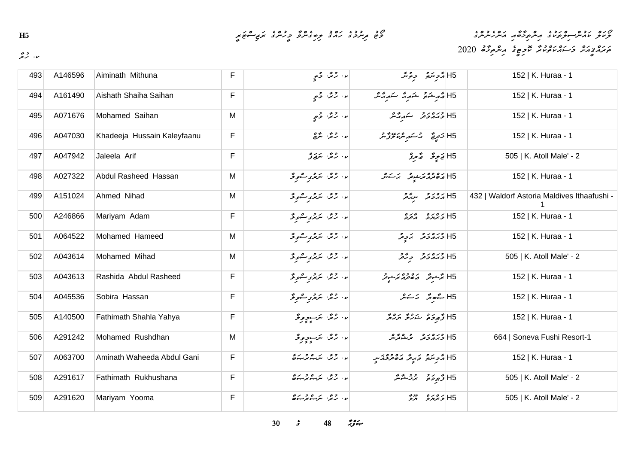*sCw7q7s5w7m< o<n9nOoAw7o< sCq;mAwBoEw7q<m; wBm;vB* م من المرة المرة المرة المرجع المراجع المراجع المراجع المراجع المراجع المراجع المراجع المراجع المراجع المراجع<br>مرين المراجع المراجع المرجع المراجع المراجع المراجع المراجع المراجع المراجع المراجع المراجع المراجع المراجع ال

| 493 | A146596 | Aiminath Mithuna            | F           | ما به حرمي الحرمي                              | H5  مُجِسَعُ جِمْسٌ                      | 152   K. Huraa - 1                          |
|-----|---------|-----------------------------|-------------|------------------------------------------------|------------------------------------------|---------------------------------------------|
| 494 | A161490 | Aishath Shaiha Saihan       | $\mathsf F$ | ر، رژنگه، خامچه                                | H5 مەم ئىققى ئىقرىرىگە سىمبرىگىر         | 152   K. Huraa - 1                          |
| 495 | A071676 | Mohamed Saihan              | M           | ما الرحمني الحامج                              | H5 جرير جو سنهر شهر شر                   | 152   K. Huraa - 1                          |
| 496 | A047030 | Khadeeja Hussain Kaleyfaanu | $\mathsf F$ | پار جنگ مگرمچ                                  | H5 ئەرقى بەسەر ش <i>ەرئەۋ</i> ش          | 152   K. Huraa - 1                          |
| 497 | A047942 | Jaleela Arif                | $\mathsf F$ | بەر جەنتى، سىنقاق                              | H5 تح <i>جونڈ شعر</i> و                  | 505   K. Atoll Male' - 2                    |
| 498 | A027322 | Abdul Rasheed Hassan        | M           | لاس رقيق الكريمري سقوق                         | H5 <i>مەھەمەكىشى قىلىمى</i> گە ئىسكەنگر  | 152   K. Huraa - 1                          |
| 499 | A151024 | Ahmed Nihad                 | M           | ، رژش، سرچرې سقونځه                            | H5   كەندى كىلى ئىس ئىس ئىس              | 432   Waldorf Astoria Maldives Ithaafushi - |
| 500 | A246866 | Mariyam Adam                | $\mathsf F$ | مارىخە: ئىرىمزى سىرىخ                          | H5 كەيمەر 2 مەترى                        | 152   K. Huraa - 1                          |
| 501 | A064522 | Mohamed Hameed              | M           | ، رژش، سر پر <sub>و</sub> ر ص <sub>حو</sub> تژ | H5 <i>\$22.2 برون</i> ژ                  | 152   K. Huraa - 1                          |
| 502 | A043614 | Mohamed Mihad               | M           | ، رژیمال مریزی کشور نگر                        | H5/ <i>3225 ورُقر</i> ُ                  | 505   K. Atoll Male' - 2                    |
| 503 | A043613 | Rashida Abdul Rasheed       | $\mathsf F$ | لاس رقيق الكريمري سقوق                         |                                          | 152   K. Huraa - 1                          |
| 504 | A045536 | Sobira Hassan               | $\mathsf F$ | ، رژیمال مریزی کشور نگر                        | H5 بِمُعِ مِمَّذٍ بِرَسَوْرٍ             | 152   K. Huraa - 1                          |
| 505 | A140500 | Fathimath Shahla Yahya      | $\mathsf F$ | لا، رژش، مەسوھ بۇ                              | H5 كَرْجِوحْهُمْ سُوْرِحْهُ مَرْبَرْمَرْ | 152   K. Huraa - 1                          |
| 506 | A291242 | Mohamed Rushdhan            | M           | لاسترش لترجع وقر                               | H5 <i>جەمەدە</i> ب <sub>ەش</sub> قۇش     | 664   Soneva Fushi Resort-1                 |
| 507 | A063700 | Aminath Waheeda Abdul Gani  | $\mathsf F$ | لاس حريمي، الله سره حريم در دي                 | H5 مَّ حِسَمَ حَرِيمٌ مَصْرُوْمَ سِ      | 152   K. Huraa - 1                          |
| 508 | A291617 | Fathimath Rukhushana        | $\mathsf F$ | لاس حريمي، الله سره حريم در دي                 | H5 رَّج <i>وحَة</i> بَرْرْتْدَّتَر       | 505   K. Atoll Male' - 2                    |
| 509 | A291620 | Mariyam Yooma               | F           | ىر، رقمى، سرجى مركز ب                          | $5.25$ $5.25$ $+5$                       | 505   K. Atoll Male' - 2                    |

**30** *s* **48** *n***<sub>s</sub>***n***<sub>s</sub>**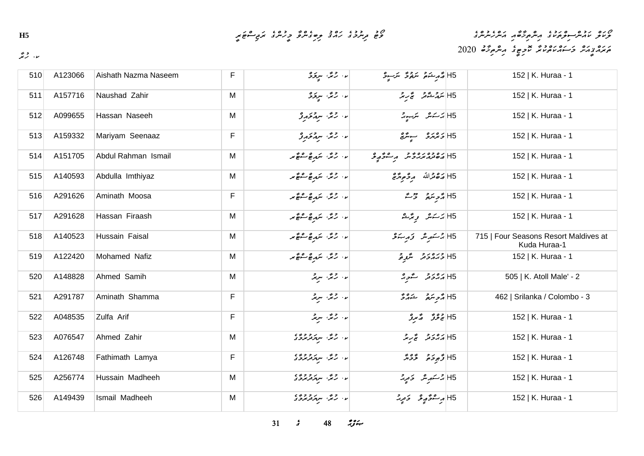*sCw7q7s5w7m< o<n9nOoAw7o< sCq;mAwBoEw7q<m; wBm;vB* م من المرة المرة المرة المرجع المراجع المراجع المراجع المراجع المراجع المراجع المراجع المراجع المراجع المراجع<br>مرين المراجع المراجع المرجع المراجع المراجع المراجع المراجع المراجع المراجع المراجع المراجع المراجع المراجع ال

| 510 | A123066 | Aishath Nazma Naseem | F | ما رقبق مریخه                                                                                                                                                                               | H5  مەم ئىكتىمە ئىككەن ئىككىنىدە ئىككەن ئىككەن ئىككەن ئىككەن ئىككەن ئىككەن ئىككەن ئىككەن ئىككەن ئىككەن ئىككەن | 152   K. Huraa - 1                                    |
|-----|---------|----------------------|---|---------------------------------------------------------------------------------------------------------------------------------------------------------------------------------------------|---------------------------------------------------------------------------------------------------------------|-------------------------------------------------------|
| 511 | A157716 | Naushad Zahir        | M | ر، رحمهٔ، س <i>روّ</i> و                                                                                                                                                                    | H5 سَمَدَ شَمَّتَر بِحَ رَسَّرَ                                                                               | 152   K. Huraa - 1                                    |
| 512 | A099655 | Hassan Naseeh        | M | ، رُسٌ سِدَخَدِرْ                                                                                                                                                                           | H5  ترسَعْر - مَرْسِوِيْر                                                                                     | 152   K. Huraa - 1                                    |
| 513 | A159332 | Mariyam Seenaaz      | F | ، رُبُّ سِمْعَهُ وَ                                                                                                                                                                         | H5 كەبىر ئىرىشى سوشى                                                                                          | 152   K. Huraa - 1                                    |
| 514 | A151705 | Abdul Rahman Ismail  | M | لاسترىتى لىكرە ھەستۇمر                                                                                                                                                                      | H5   مەمەرە مەمەر مەمەر مەمەر                                                                                 | 152   K. Huraa - 1                                    |
| 515 | A140593 | Abdulla Imthiyaz     | M | $\mathcal{L}_{\mathcal{B}}\overset{\circ}{\sim}\mathcal{B}\overset{\circ}{\sim}\mathcal{A}\overset{\circ}{\sim}\mathcal{A}\overset{\circ}{\sim}\mathcal{A}\overset{\circ}{\sim}\mathcal{A}$ | H5 كَرْهُ قَرْاللَّهُ مِرْدُّمِ مَرَّةً مِ                                                                    | 152   K. Huraa - 1                                    |
| 516 | A291626 | Aminath Moosa        | F | ىر بەش ئىرە ھەسقى                                                                                                                                                                           | H5 أُمَّ حِسَمٌ مَنْ تَحْتَّبُ                                                                                | 152   K. Huraa - 1                                    |
| 517 | A291628 | Hassan Firaash       | M | لاستر محمد الكرام في المستقين من الم                                                                                                                                                        | H5  بزستەش ب <sub>و</sub> بۇيشە                                                                               | 152   K. Huraa - 1                                    |
| 518 | A140523 | Hussain Faisal       | M | لاستر مثمر الكرام في سوائق من                                                                                                                                                               | H5 يُرْسَمبِ مَثَرَّ مِرْسَدَى بِهِ السَّارِيمِينِ مِنْ السَّارِيمِينِ مِنْ السَّارِيمِينِ مِنْ السَ          | 715   Four Seasons Resort Maldives at<br>Kuda Huraa-1 |
| 519 | A122420 | Mohamed Nafiz        | M | لاسترنت لترم فالمستقصر                                                                                                                                                                      | H5 <i>2525 مگري</i> ءَ                                                                                        | 152   K. Huraa - 1                                    |
| 520 | A148828 | Ahmed Samih          | M | الله الرحيق البرجي                                                                                                                                                                          | H5/ <i>مَدْوَمْ سُمْ</i> وِيْر                                                                                | 505   K. Atoll Male' - 2                              |
| 521 | A291787 | Aminath Shamma       | F | الله الرحيق البريق                                                                                                                                                                          | H5 مَّحِسَمَ شَهْرَةَ                                                                                         | 462   Srilanka / Colombo - 3                          |
| 522 | A048535 | Zulfa Arif           | F | الأراجيني البريز                                                                                                                                                                            | H5 يحوَّزُ سَمَّعِرْ                                                                                          | 152   K. Huraa - 1                                    |
| 523 | A076547 | Ahmed Zahir          | M | ر. رقمهٔ سرگرفربروی                                                                                                                                                                         | H5/ كەندى قىلىقى بىر                                                                                          | 152   K. Huraa - 1                                    |
| 524 | A126748 | Fathimath Lamya      | F | ر. رقمهٔ سرگرفربروی                                                                                                                                                                         | H5 رَّج <i>ِ دَهُ گُرُدُگُ</i>                                                                                | 152   K. Huraa - 1                                    |
| 525 | A256774 | Hussain Madheeh      | M | ر. رقمهٔ سرگرمرده                                                                                                                                                                           | H5 پر <i>شهر بنگ</i> ر تحمي <i>ر ب</i> ه                                                                      | 152   K. Huraa - 1                                    |
| 526 | A149439 | Ismail Madheeh       | M | ر. رقمهٔ سرگرفربروی                                                                                                                                                                         | H5  مرڪو <i>گيري ڪيري</i>                                                                                     | 152   K. Huraa - 1                                    |

**31** *s* **48** *n***<sub>s</sub>***n***<sub>s</sub>**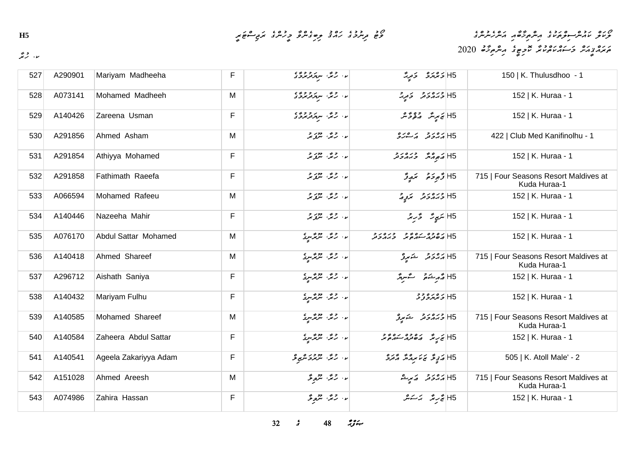*sCw7q7s5w7m< o<n9nOoAw7o< sCq;mAwBoEw7q<m; wBm;vB* م من المرة المرة المرة المرجع المراجع المراجع المراجع المراجع المراجع المراجع المراجع المراجع المراجع المراجع<br>مرين المراجع المراجع المرجع المراجع المراجع المراجع المراجع المراجع المراجع المراجع المراجع المراجع المراجع ال

| 527 | A290901 | Mariyam Madheeha      | F            | ر، رحمهٔ، سهرگرمر <i>دی</i>        | H5 كاير برگ كاميرنگ                          | 150   K. Thulusdhoo - 1                               |
|-----|---------|-----------------------|--------------|------------------------------------|----------------------------------------------|-------------------------------------------------------|
| 528 | A073141 | Mohamed Madheeh       | M            | ر، رحمہ سرگرمرور                   | H5 <i>2225 و قربر</i>                        | 152   K. Huraa - 1                                    |
| 529 | A140426 | Zareena Usman         | F            | ر. رقم، سرگرفربروی                 | H5 يح مرينگر محترج محر                       | 152   K. Huraa - 1                                    |
| 530 | A291856 | Ahmed Asham           | M            | لا، رحمه المعموم                   | H5. كا كەندۇر كەندىكى ئىس                    | 422   Club Med Kanifinolhu - 1                        |
| 531 | A291854 | Athiyya Mohamed       | $\mathsf F$  | ىر، رقبۇ، ئىتولىر                  | H5 كەبولەر ئەمەدىر                           | 152   K. Huraa - 1                                    |
| 532 | A291858 | Fathimath Raeefa      | $\mathsf{F}$ | ىر، رقىق ئىتوقىتى                  | H5 رَّجِ حَمَّ مَهُ رَبِّ آ                  | 715   Four Seasons Resort Maldives at<br>Kuda Huraa-1 |
| 533 | A066594 | Mohamed Rafeeu        | M            | ىر، رقبۇ، ئىتولىر                  | H5 <i>5225 مَوْرة</i>                        | 152   K. Huraa - 1                                    |
| 534 | A140446 | Nazeeha Mahir         | F            | ىر، رقىق ئىتوقىتى                  | H5  سَمِيرٌ گُرِيْرٌ.                        | 152   K. Huraa - 1                                    |
| 535 | A076170 | Abdul Sattar Mohamed  | M            | لا، رقبق الترمجر من                | H5 رەموم بەم ئەرەبەد                         | 152   K. Huraa - 1                                    |
| 536 | A140418 | Ahmed Shareef         | M            | ر، رقبہ میں میں<br>راہ میں میں میں | H5  پَرْوَتْرَ شَمِيوْ                       | 715   Four Seasons Resort Maldives at<br>Kuda Huraa-1 |
| 537 | A296712 | Aishath Saniya        | $\mathsf F$  | ىر، رقىق ئىترىكىلىرى               | H5 مەمئەت <sub>م</sub> شىرى <i>گ</i>         | 152   K. Huraa - 1                                    |
| 538 | A140432 | Mariyam Fulhu         | F            | ىر، رقىق ئىترىكىلىرى               | H5 كەچرىرو تور                               | 152   K. Huraa - 1                                    |
| 539 | A140585 | Mohamed Shareef       | M            | ىر، رقىق ئىترىكىلىرى               | H5 <i>ق:25 من متعبول</i>                     | 715   Four Seasons Resort Maldives at<br>Kuda Huraa-1 |
| 540 | A140584 | Zaheera Abdul Sattar  | $\mathsf{F}$ | ىر، رقىق ئىترىكىلىرى               | H5 ئوپىگە ئەھەرەر مەمەر                      | 152   K. Huraa - 1                                    |
| 541 | A140541 | Ageela Zakariyya Adam | $\mathsf F$  | ر، رُبُّنَ شَهْرَة شَهْرَة عَ      | H5 בَ تِوَ تَوَ تَا يَوْ حَدَّةً مَا يَوْرَى | 505   K. Atoll Male' - 2                              |
| 542 | A151028 | Ahmed Areesh          | M            | ىر، رقىق ئىترە ئۇ                  | H5   كەبۇرى كى كەيمى <sup>س</sup> ى          | 715   Four Seasons Resort Maldives at<br>Kuda Huraa-1 |
| 543 | A074986 | Zahira Hassan         | F            | ىر، رقىق ئىترە ئۇ                  | H5  يُح رِبَّز بِرَسَة مَدْ                  | 152   K. Huraa - 1                                    |

**32** *s* **48** *n***<sub>s</sub>***n***<sub>s</sub>**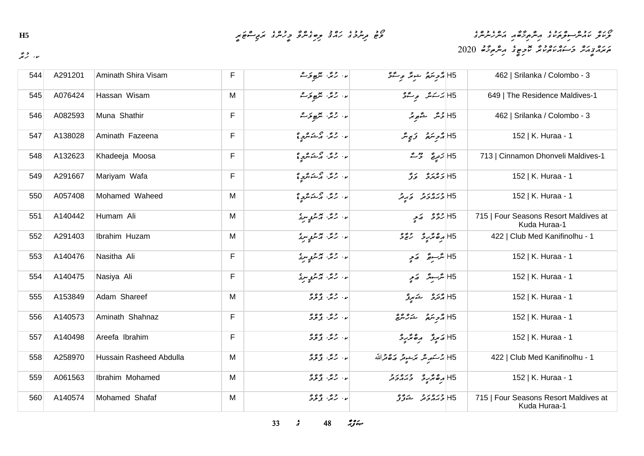*sCw7q7s5w7m< o<n9nOoAw7o< sCq;mAwBoEw7q<m; wBm;vB* م من المرة المرة المرة المرجع المراجع المراجع المراجع المراجع المراجع المراجع المراجع المراجع المراجع المراجع<br>مرين المراجع المراجع المرجع المراجع المراجع المراجع المراجع المراجع المراجع المراجع المراجع المراجع المراجع ال

| 544 | A291201 | Aminath Shira Visam     | F  | ر. رحمهٔ میت <sub>ج</sub> ود شد                  | H5  مَرْحِسَمْهُ سُوبَرٌ وِسَّوْدُ          | 462   Srilanka / Colombo - 3                          |
|-----|---------|-------------------------|----|--------------------------------------------------|---------------------------------------------|-------------------------------------------------------|
| 545 | A076424 | Hassan Wisam            | M  | ىر، رقىق ئىزچۈكەت                                | H5 بَرَسَتَر م <i>ِ</i> سَّوْ               | 649   The Residence Maldives-1                        |
| 546 | A082593 | Muna Shathir            | F  | ىر، رىجۇ، ئېترىپوتوگ                             | H5 كَرْشْ مْتَدْهِ بْرْ.                    | 462   Srilanka / Colombo - 3                          |
| 547 | A138028 | Aminath Fazeena         | F  | ىر رقى م شەھرى                                   | H5 مَّ حِ سَمَّة كَ سِ سَّر                 | 152   K. Huraa - 1                                    |
| 548 | A132623 | Khadeeja Moosa          | F  | ىر، رىخ، كەينەھرى                                | H5  زَمِيعٌ      وَ ْ تَ                    | 713   Cinnamon Dhonveli Maldives-1                    |
| 549 | A291667 | Mariyam Wafa            | F  | ىر، رىتى، مەشەھرى                                | H5 كەنگەر ئۇ ھ                              | 152   K. Huraa - 1                                    |
| 550 | A057408 | Mohamed Waheed          | M  | ىر، رىتى، مەشەھرى                                | H5 <i>ڈیزہ ڈی م</i> یریٹر                   | 152   K. Huraa - 1                                    |
| 551 | A140442 | Humam Ali               | M  | ىر، رقىق ئېزىقرىسىدى<br>مەنبەلىكى ئاسترىپوسىدىكى | H5 درمج ه که بر                             | 715   Four Seasons Resort Maldives at<br>Kuda Huraa-1 |
| 552 | A291403 | Ibrahim Huzam           | M  | ىر، رقىق ئېزىقرىسى <i>ت</i>                      | H5  مەھمىرى رىمى                            | 422   Club Med Kanifinolhu - 1                        |
| 553 | A140476 | Nasitha Ali             | F  | ىر، رقىق، ئۇيغۇرسىتى                             | H5 مُرْسِع <i>ةً مَ</i> عٍ                  | 152   K. Huraa - 1                                    |
| 554 | A140475 | Nasiya Ali              | F  | ىر، رقىق، ئۇيغۇرسىتى                             | H5 مگر <i>بیوڈ م</i> َب <i>ح</i> یہ         | 152   K. Huraa - 1                                    |
| 555 | A153849 | Adam Shareef            | M  | ىر، رقىق، بۇ ئۇچ                                 | H5 مُرْتَرْد - شَمَعِيقْ                    | 152   K. Huraa - 1                                    |
| 556 | A140573 | Aminath Shahnaz         | F. | ر، رحمہ، وَوُوَرَ                                | H5 مُج <i>مِسَمُ</i> شَرْسٌمَى              | 152   K. Huraa - 1                                    |
| 557 | A140498 | Areefa Ibrahim          | F  | ىر، رُمِّنْ، بْرُحْرَّدُ                         | H5 كەبىرتى مەھەرىپى                         | 152   K. Huraa - 1                                    |
| 558 | A258970 | Hussain Rasheed Abdulla | M  | ر، رحمہ پڑوڑ                                     | H5 بُرْسَمبِ مَرْسُوِيْرَ بَرَصْحَرْاللَّهُ | 422   Club Med Kanifinolhu - 1                        |
| 559 | A061563 | Ibrahim Mohamed         | M  | ىر، رقىق، بۇ ئۇ                                  | H5 رەئزىرو مەدرە                            | 152   K. Huraa - 1                                    |
| 560 | A140574 | Mohamed Shafaf          | M  | ىر، رقىئى، بۇ بۇ بۇ                              | H5 <i>جُهُ جُهُو جُوُوْ</i>                 | 715   Four Seasons Resort Maldives at<br>Kuda Huraa-1 |

**33** *s* **48** *n***<sub>y</sub> <b>***n*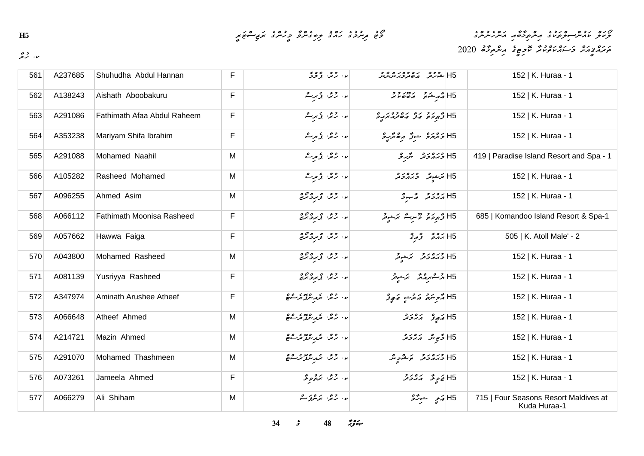*sCw7q7s5w7m< o<n9nOoAw7o< sCq;mAwBoEw7q<m; wBm;vB* م من المرة المرة المرة المرجع المراجع المراجع المراجع المراجع المراجع المراجع المراجع المراجع المراجع المراجع<br>مرين المراجع المراجع المرجع المراجع المراجع المراجع المراجع المراجع المراجع المراجع المراجع المراجع المراجع ال

| 561 | A237685 | Shuhudha Abdul Hannan            | F           | ىر، رقىئى، بۇ ئۇغرى       | H5 خەرقە مەھەر <i>ۈر ئەرقەت</i> ر           | 152   K. Huraa - 1                                    |
|-----|---------|----------------------------------|-------------|---------------------------|---------------------------------------------|-------------------------------------------------------|
| 562 | A138243 | Aishath Aboobakuru               | F           | ىدا رقىقى بۇ ئەرگ         | $52222$ $6022$ $15$                         | 152   K. Huraa - 1                                    |
| 563 | A291086 | Fathimath Afaa Abdul Raheem      | F           | ما الرحمني بوعيات         | H5 توجوحتی مرکز مرکز ده در مرکز ک           | 152   K. Huraa - 1                                    |
| 564 | A353238 | Mariyam Shifa Ibrahim            | F           | مار حريمي الج مرت         | H5 كَرْمَرْكَ شِيرٌ مِنْ كَرْرِكْرِ         | 152   K. Huraa - 1                                    |
| 565 | A291088 | Mohamed Naahil                   | M           | لا، رحمني بولمبر هو       | H5 <i>وَبَرُوُدَوْ</i> مُ <i>رْبُ</i> وْ    | 419   Paradise Island Resort and Spa - 1              |
| 566 | A105282 | Rasheed Mohamed                  | M           | لا، رژېمن بۇ ئىرىشە       | H5 يَرْشِيْتَر وَبَرْدُونَرْ                | 152   K. Huraa - 1                                    |
| 567 | A096255 | Ahmed Asim                       | M           | لا رحمه ومرحمه            | H5 كەبرىقە گەسەۋ                            | 152   K. Huraa - 1                                    |
| 568 | A066112 | <b>Fathimath Moonisa Rasheed</b> | F           | ر، رحمه وبروسي            | H5  <i>وَّجِودَة وَيُ</i> سِتَّ بَرَسُونَّر | 685   Komandoo Island Resort & Spa-1                  |
| 569 | A057662 | Hawwa Faiga                      | F           | ر، رحمه وبروسي            | H5 يَرْدُوَّ وَ <i>ٌم</i> َدَّ              | 505   K. Atoll Male' - 2                              |
| 570 | A043800 | Mohamed Rasheed                  | M           | ر، رژیمه ژبرد بره         | H5 <i>وُبَرُوونَ بَرَحْبِينَ</i>            | 152   K. Huraa - 1                                    |
| 571 | A081139 | Yusriyya Rasheed                 | F           | لا، رحمه المحرور وجود برج | H5 مر شمبر مر محمد محر محر مقرم تر          | 152   K. Huraa - 1                                    |
| 572 | A347974 | Aminath Arushee Atheef           | F           |                           | H5 مُرْحِسَمُ مَعْرَشٍ مَبْرِوْ             | 152   K. Huraa - 1                                    |
| 573 | A066648 | Atheef Ahmed                     | M           | ر، رحمهٔ عمد معرض ع       | H5 كەب <i>و</i> ر كەبرى قر                  | 152   K. Huraa - 1                                    |
| 574 | A214721 | Mazin Ahmed                      | M           | ر، رحمه عمد معرض من       | H5 گەبىر <i>مەدە</i> م                      | 152   K. Huraa - 1                                    |
| 575 | A291070 | Mohamed Thashmeen                | M           | ر، رقمه عمد معدون مع      | H5 <i>جەمەدە</i> كەش <i>ۈ</i> ش             | 152   K. Huraa - 1                                    |
| 576 | A073261 | Jameela Ahmed                    | $\mathsf F$ | ، رُمَّنَ مَرْجُومَةَ     | H5 تح <i>وِیْ پروون</i> ژ                   | 152   K. Huraa - 1                                    |
| 577 | A066279 | Ali Shiham                       | M           | ىر، رقىق ئىرتىدىن ھ       | H5 <i>ڇُجِ</i> سُ <i>وِرُّوْ</i>            | 715   Four Seasons Resort Maldives at<br>Kuda Huraa-1 |

**34** *s* **48** *n***<sub>s</sub>**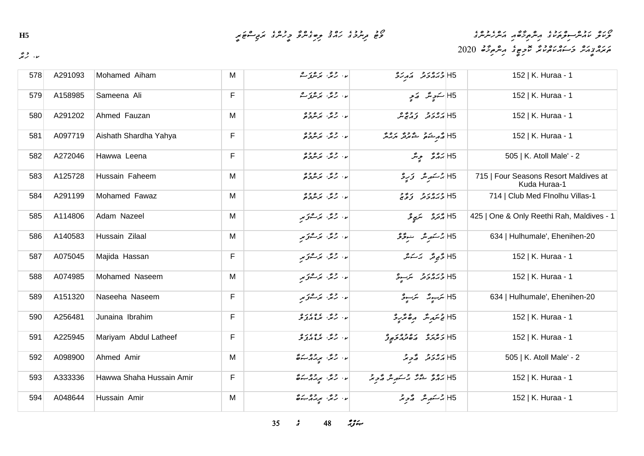*sCw7q7s5w7m< o<n9nOoAw7o< sCq;mAwBoEw7q<m; wBm;vB* م من المرة المرة المرة المرجع المراجع المراجع المراجع المراجع المراجع المراجع المراجع المراجع المراجع المراجع<br>مرين المراجع المراجع المرجع المراجع المراجع المراجع المراجع المراجع المراجع المراجع المراجع المراجع المراجع ال

| 578 | A291093 | Mohamed Aiham            | M           | ىر، رقىق ئىرىندى ك                                                                                 | 52, 5, 22, 5                                  | 152   K. Huraa - 1                                    |
|-----|---------|--------------------------|-------------|----------------------------------------------------------------------------------------------------|-----------------------------------------------|-------------------------------------------------------|
| 579 | A158985 | Sameena Ali              | F           | ىر، رقىق ئەيتىلار ھ                                                                                | H5  سَوِيمٌ     رَمِ                          | 152   K. Huraa - 1                                    |
| 580 | A291202 | Ahmed Fauzan             | M           | ىر، رقمى، ئۆتلۈرۈ                                                                                  | H5 كەبر <i>و ئەدى</i> گە                      | 152   K. Huraa - 1                                    |
| 581 | A097719 | Aishath Shardha Yahya    | F           | لا، رحمهٔ کاروده                                                                                   |                                               | 152   K. Huraa - 1                                    |
| 582 | A272046 | Hawwa Leena              | $\mathsf F$ | ىر، رقبۇ، ئۆتلۈچ ھ                                                                                 | H5  يَرْدُوَّ مِرْسَّ                         | 505   K. Atoll Male' - 2                              |
| 583 | A125728 | Hussain Faheem           | M           | ، رُمِّيَّ، مَرْسْرَة وه                                                                           | H5   پژست <sub>م</sub> ریش ت <sub>وری</sub> ی | 715   Four Seasons Resort Maldives at<br>Kuda Huraa-1 |
| 584 | A291199 | Mohamed Fawaz            | M           | ر، رحمہ بر مرد ہ                                                                                   | H5 <i>جەيز جىرى بىر ج</i>                     | 714   Club Med Flnolhu Villas-1                       |
| 585 | A114806 | Adam Nazeel              | M           | ىدا رژىنگە ئەرسىتۈتىپ                                                                              | H5 ,گ <sup>5</sup> رو سر <sub>کا</sub> ی ک    | 425   One & Only Reethi Rah, Maldives - 1             |
| 586 | A140583 | Hussain Zilaal           | M           | لاس ژېنگ برکستونومبر                                                                               | H5  يُرسَمبر شَر مَنْتَوَى مِنْتَقَدَّمَتَ    | 634   Hulhumale', Ehenihen-20                         |
| 587 | A075045 | Majida Hassan            | F           | ىر، رقىق، ئۆسكۈتىر                                                                                 | H5  جٌ مِي مَدْ سَدَ مَشْر                    | 152   K. Huraa - 1                                    |
| 588 | A074985 | Mohamed Naseem           | M           | لاس ژېنگا برک موکيل                                                                                | H5 <i>ة بزوج</i> تر - م <i>ترج</i> و          | 152   K. Huraa - 1                                    |
| 589 | A151320 | Naseeha Naseem           | $\mathsf F$ | ىر، رژىنگە ئۆسكۈتىلىر                                                                              | H5  سَرسوبَرٌ سَرَسورٌ                        | 634   Hulhumale', Ehenihen-20                         |
| 590 | A256481 | Junaina Ibrahim          | F           | ، رُمِّنٌ مَرْهُ دُومَ                                                                             | H5 في سَمبِ شَر مِرْ حُمْدِ وَ                | 152   K. Huraa - 1                                    |
| 591 | A225945 | Mariyam Abdul Latheef    | F           | ، رُمَّنَ مَدَوْرُ و                                                                               | H5 كەبەر مەھەرمە ۋە يەر                       | 152   K. Huraa - 1                                    |
| 592 | A098900 | Ahmed Amir               | M           | الاسترنتى المرير وه المركز                                                                         | H5 كەبرى قەرىر                                | 505   K. Atoll Male' - 2                              |
| 593 | A333336 | Hawwa Shaha Hussain Amir | F           | سار محمد محمد محمد المحمد المحمد المحمد المحمد المحمد المحمد المحمد المحمد المحمد المحمد المحمد ال | H5   بَروْعٌ شَرَّرٌ بِرْسَوِرِسْ مَرْحِ بَرْ | 152   K. Huraa - 1                                    |
| 594 | A048644 | Hussain Amir             | M           | ر، ريز، بررو ده                                                                                    | H5 برسكوبتر م <i>حجة ب</i> حر                 | 152   K. Huraa - 1                                    |

**35** *s* **48** *n***<sub>y</sub> <b>***n*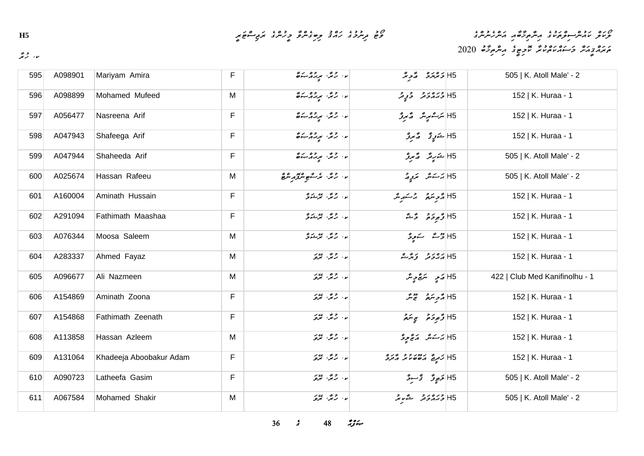*sCw7q7s5w7m< o<n9nOoAw7o< sCq;mAwBoEw7q<m; wBm;vB* م من المرة المرة المرة المرجع المراجع المراجع المراجع المراجع المراجع المراجع المراجع المراجع المراجع المراجع<br>مرين المراجع المراجع المرجع المراجع المراجع المراجع المراجع المراجع المراجع المراجع المراجع المراجع المراجع ال

| 595 | A098901 | Mariyam Amira           | $\mathsf F$ | ، رَبَّرُ، بِرِيْرُهُ جَنَّ        | H5 <i>ويم</i> هر محمد المجموعة        | 505   K. Atoll Male' - 2       |
|-----|---------|-------------------------|-------------|------------------------------------|---------------------------------------|--------------------------------|
| 596 | A098899 | Mohamed Mufeed          | M           |                                    | H5 كەيرى ئىقى ئىقىدىن كىل             | 152   K. Huraa - 1             |
| 597 | A056477 | Nasreena Arif           | $\mathsf F$ | لاسترى بررو بنظا                   | H5 سَرَسْمَبِيسَ مَسْبَرَدْ           | 152   K. Huraa - 1             |
| 598 | A047943 | Shafeega Arif           | $\mathsf F$ | لاسترى بررو دە                     | H5  ڪنوپاءَ - مُذَمِيرُ               | 152   K. Huraa - 1             |
| 599 | A047944 | Shaheeda Arif           | $\mathsf F$ | لا رحمي برره بره                   | H5 ڪرپر گھرو                          | 505   K. Atoll Male' - 2       |
| 600 | A025674 | Hassan Rafeeu           | M           | الاسترنگ الرسوم معرفه مردم         | H5  ترسكانل تز <i>وي</i> ة            | 505   K. Atoll Male' - 2       |
| 601 | A160004 | Aminath Hussain         | $\mathsf F$ | ىر، خەش، ئۆشكەۋ                    | H5 مٌ <i>وِ مَرَة بِهُ سَنَ مِي</i> ش | 152   K. Huraa - 1             |
| 602 | A291094 | Fathimath Maashaa       | F           | ىر، رقىق، ئۆشكەن                   | H5 رَّ <sub>جِ ح</sub> َمَّةَ حَمَّةً | 152   K. Huraa - 1             |
| 603 | A076344 | Moosa Saleem            | M           | بار حريمي الكويت كان كان كان بار ا | H5 شعرو من                            | 152   K. Huraa - 1             |
| 604 | A283337 | Ahmed Fayaz             | M           | ىر، رقىق، ئىزغ                     | H5 پروژو ژگر شه                       | 152   K. Huraa - 1             |
| 605 | A096677 | Ali Nazmeen             | M           | ىد بەشتى، ئىببىر                   | H5 <i>ڇَجِ سَچَجِ</i> سُ              | 422   Club Med Kanifinolhu - 1 |
| 606 | A154869 | Aminath Zoona           | F           | ىر، رقىق، ئىزغ                     | H5 مَّ حِسَمَ حَمَّ مَّ               | 152   K. Huraa - 1             |
| 607 | A154868 | Fathimath Zeenath       | $\mathsf F$ | ىد جىچە ئىچى                       | H5 رَّج <i>وحَمْ پِیتَم</i>           | 152   K. Huraa - 1             |
| 608 | A113858 | Hassan Azleem           | M           | ر، حریق، میرو                      |                                       | 152   K. Huraa - 1             |
| 609 | A131064 | Khadeeja Aboobakur Adam | F           | ىد - شرىگە - ئىبتىرى               | H5 كَتْرِيعٌ مُصْحَّلٍ مُدَّرَّ       | 152   K. Huraa - 1             |
| 610 | A090723 | Latheefa Gasim          | $\mathsf F$ | یں جنگی میں پر                     | H5 كَرْجِوگَ گَرْسِرْدُ               | 505   K. Atoll Male' - 2       |
| 611 | A067584 | Mohamed Shakir          | M           | ىر، رقىق، ئىببى                    | H5 <i>جُهُودُو مُدَّمِّدٍ</i>         | 505   K. Atoll Male' - 2       |

**36** *s* **48** *n***<sub>s</sub>***n***<sub>s</sub>**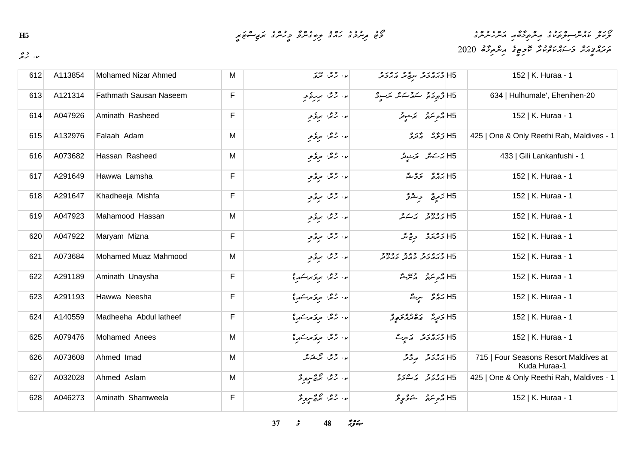*sCw7q7s5w7m< o<n9nOoAw7o< sCq;mAwBoEw7q<m; wBm;vB* م من المرة المرة المرة المرجع المراجع المراجع المراجع المراجع المراجع المراجع المراجع المراجع المراجع المراجع<br>مرين المراجع المراجع المرجع المراجع المراجع المراجع المراجع المراجع المراجع المراجع المراجع المراجع المراجع ال

| 612 | A113854 | <b>Mohamed Nizar Ahmed</b>    | M            | ىد بەر قىچە ئىچىمىتى ئىش          | H5 وبرورو سرچ پر مربروتر                        | 152   K. Huraa - 1                                    |
|-----|---------|-------------------------------|--------------|-----------------------------------|-------------------------------------------------|-------------------------------------------------------|
| 613 | A121314 | <b>Fathmath Sausan Naseem</b> | F            | ، رقبقُ موروٌ و                   | H5  تَ <i>جِيحَةَ سَنَّهُ سَنَّةً</i> سَرَسِيعً | 634   Hulhumale', Ehenihen-20                         |
| 614 | A047926 | Aminath Rasheed               | F            | ، رقبق برؤبر                      | H5 مُرْحِ مَرَمْ مَرْسُوِيْرُ                   | 152   K. Huraa - 1                                    |
| 615 | A132976 | Falaah Adam                   | M            | ، رحمنگ سرغامو                    | H5 كَرْتْرٌ مُرْمَرْدٌ                          | 425   One & Only Reethi Rah, Maldives - 1             |
| 616 | A073682 | Hassan Rasheed                | M            | ىر، رقىمىڭ، ئېرغ <sup>ى</sup> ئېر | H5  ترسكانل - مكاشوقر                           | 433   Gili Lankanfushi - 1                            |
| 617 | A291649 | Hawwa Lamsha                  | $\mathsf{F}$ | ر، رحم <i>ی برو</i> نو            | H5 يَرْدُوَّ تَوَرْشَّ                          | 152   K. Huraa - 1                                    |
| 618 | A291647 | Khadheeja Mishfa              | F            | مار رقبق البرغامجر                | H5  تَرْمِيعٌ       وِحْرٌرٌ                    | 152   K. Huraa - 1                                    |
| 619 | A047923 | Mahamood Hassan               | M            | مار رحمنگا البرغامجر              | H5 كەجىجى ئەسكىلى                               | 152   K. Huraa - 1                                    |
| 620 | A047922 | Maryam Mizna                  | F            | ، رُبُّ بروُمِ                    | H5 <i>خ</i> مر برقر مربح مگر                    | 152   K. Huraa - 1                                    |
| 621 | A073684 | Mohamed Muaz Mahmood          | M            | را رحمتی البرغ م                  | H5 وبره د و و و و بره دو و                      | 152   K. Huraa - 1                                    |
| 622 | A291189 | Aminath Unaysha               | F            | لاسترىنگ بىرە ئىرسكىر ؟           | H5 گەجەتتى ھەتترىشگە                            | 152   K. Huraa - 1                                    |
| 623 | A291193 | Hawwa Neesha                  | F            | لاسترش برە برىسىدە                | H5  يَرْدُوَّ - سِرِيْتَهُ -                    | 152   K. Huraa - 1                                    |
| 624 | A140559 | Madheeha Abdul latheef        | $\mathsf F$  | لاسترش برەكرىسىدە                 | H5 دَمِيدٌ <i>مَـُ مَعْمَدُ وَج</i> ورٌ         | 152   K. Huraa - 1                                    |
| 625 | A079476 | Mohamed Anees                 | M            | لاسترش برەكرىسكەنچ                | H5/ <i>\$22.2 كەيرى</i> ش                       | 152   K. Huraa - 1                                    |
| 626 | A073608 | Ahmed Imad                    | M            | ىر، رقىق، ئۇيغۇنل                 | H5 كەبرى قىرىگە بەرگە ئىر                       | 715   Four Seasons Resort Maldives at<br>Kuda Huraa-1 |
| 627 | A032028 | Ahmed Aslam                   | M            | لاسترىنگە ئىمگەنلىرىدىگە          | H5.دې پر موره                                   | 425   One & Only Reethi Rah, Maldives - 1             |
| 628 | A046273 | Aminath Shamweela             | $\mathsf F$  | ، رُبُّ، بَرُبُّ سِهِ ثَرَ        | H5   مَّحِ سَوَ سَوَ مِعَ مَّحْرَمِ مَ          | 152   K. Huraa - 1                                    |

**37** *s* **48** *n***<sub>s</sub>***n***<sub>s</sub>**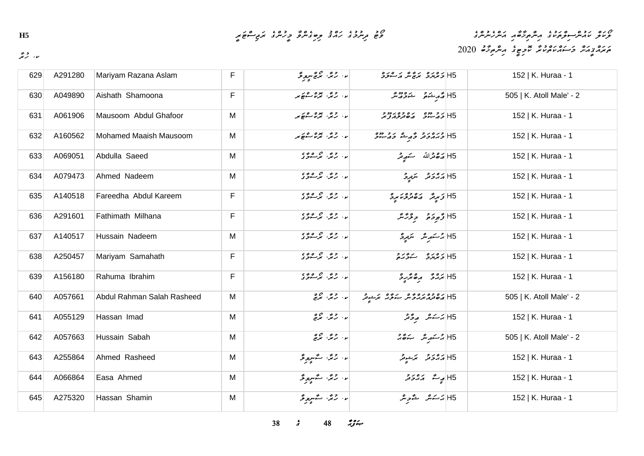*sCw7q7s5w7m< o<n9nOoAw7o< sCq;mAwBoEw7q<m; wBm;vB* م من المرة المرة المرة المرجع المراجع المراجع المراجع المراجع المراجع المراجع المراجع المراجع المراجع المراجع<br>مرين المراجع المراجع المرجع المراجع المراجع المراجع المراجع المراجع المراجع المراجع المراجع المراجع المراجع ال

| 629 | A291280 | Mariyam Razana Aslam       | F           | ما الرحمة الحريج سرجاني                                      | H5 بره بره بریج مگر برگ دوره                                 | 152   K. Huraa - 1       |
|-----|---------|----------------------------|-------------|--------------------------------------------------------------|--------------------------------------------------------------|--------------------------|
| 630 | A049890 | Aishath Shamoona           | F           | ر، حریم، تیره مص <u>رو</u><br>ر، سریم، تیرنامسو <u>خ</u> تیر | H5 مَّەمِسْمَعْ سْمَوْصِيْر                                  | 505   K. Atoll Male' - 2 |
| 631 | A061906 | Mausoom Abdul Ghafoor      | M           | ىر، خەش ئېزىۋاسقەتتىر                                        | H5 دوه ره وه دود و<br>H5 <i>ده بدو م</i> ه <i>ترون و ب</i> ر | 152   K. Huraa - 1       |
| 632 | A160562 | Mohamed Maaish Mausoom     | M           | لا رحمهٔ بره مصر الم                                         | H5 درەر د د مەرد دەھ                                         | 152   K. Huraa - 1       |
| 633 | A069051 | Abdulla Saeed              | M           | لا، رحيمٌ، مؤسودي                                            | H5 كەنقەللە كىھەتتە                                          | 152   K. Huraa - 1       |
| 634 | A079473 | Ahmed Nadeem               | M           | ر، رژيمه چې ده په                                            | H5 كەنزى كىمە بىر ئىر                                        | 152   K. Huraa - 1       |
| 635 | A140518 | Fareedha Abdul Kareem      | F           | ر، رُمِّنَ، مُرْسُورَى                                       | H5 كۆمچەتش مەھەر بورى<br>15 كۈمچەتش مەھەر بورى               | 152   K. Huraa - 1       |
| 636 | A291601 | Fathimath Milhana          | F           | لا، رحمہ کریں ہے کا                                          | H5 رَّج <i>وحَمَّۃ ج</i> وْرَّىثَر                           | 152   K. Huraa - 1       |
| 637 | A140517 | Hussain Nadeem             | M           | لا، رقبي چرخوي                                               | H5 يُرْسَم مِيْر سَرْمِرِدُّ                                 | 152   K. Huraa - 1       |
| 638 | A250457 | Mariyam Samahath           | F           | ر، رُمِّنَ، مُرْسُورَى                                       | H5 <i>ويره سترجره</i>                                        | 152   K. Huraa - 1       |
| 639 | A156180 | Rahuma Ibrahim             | $\mathsf F$ | ر، رُمِّن مُوسودِی                                           | H5 تزرڈ م <i>ے تذر</i> و                                     | 152   K. Huraa - 1       |
| 640 | A057661 | Abdul Rahman Salah Rasheed | M           | پار جنگ مینج                                                 |                                                              | 505   K. Atoll Male' - 2 |
| 641 | A055129 | Hassan Imad                | M           | پار جنبس جي چ                                                | H5 بَرَسَتَرَ م <i>ِ</i> حَ <sup>و</sup> َتَرَ               | 152   K. Huraa - 1       |
| 642 | A057663 | Hussain Sabah              | M           | پار جرمچی محرچ                                               | H5 يريد بذ <i>ھ بن</i>                                       | 505   K. Atoll Male' - 2 |
| 643 | A255864 | Ahmed Rasheed              | M           | لا، رقبق سەسرەتخە                                            | H5   كەش <sup>ى</sup> كىمى كىمىسى كىلىنىش كىلىنى ئىش كىل     | 152   K. Huraa - 1       |
| 644 | A066864 | Easa Ahmed                 | M           | ا را رژش گەردە ئ                                             | H5 پرسٹر پر پروٹر                                            | 152   K. Huraa - 1       |
| 645 | A275320 | Hassan Shamin              | M           | ، رىز، سەمب <sub>ى</sub> ئ                                   | H5 بَرَسَة مَّة مِسْر                                        | 152   K. Huraa - 1       |

**38** *s* **48** *n***<sub>y</sub> <b>***n*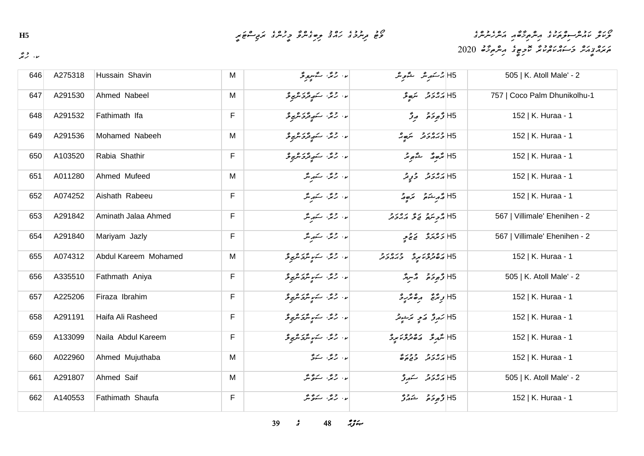*sCw7q7s5w7m< o<n9nOoAw7o< sCq;mAwBoEw7q<m; wBm;vB* م من المرة المرة المرة المرجع المراجع المراجع المراجع المراجع المراجع المراجع المراجع المراجع المراجع المراجع<br>مرين المراجع المراجع المرجع المراجع المراجع المراجع المراجع المراجع المراجع المراجع المراجع المراجع المراجع ال

| 646 | A275318 | Hussain Shavin       | M           | الا، رژش، سەمبرىدىگ                                                                                                                                                                                                              | H5 پرسکو سر منگھونٹر                     | 505   K. Atoll Male' - 2      |
|-----|---------|----------------------|-------------|----------------------------------------------------------------------------------------------------------------------------------------------------------------------------------------------------------------------------------|------------------------------------------|-------------------------------|
| 647 | A291530 | Ahmed Nabeel         | M           | ، رئىگە سەھەتگە ئىگەنچە ئىگەنتىكى ئىگەنىي ئىگەنىي ئىگەن ئىگەن ئىگەن ئىگەن ئىگەن كەنتە بولسان ئىگەن كەنتە ئىگەن<br>مەنبەر ئىگەن ئىگەن ئىگەن ئىگەن ئىگەن ئىگەن ئىگەن ئىگەن ئىگەن ئىگەن ئىگەن ئىگەن ئىگەن ئىگەن ئىگەن ئىگەن ئىگەن ئ | H5 <i>גُرْدَ تَرْ سَهِ وَ</i>            | 757   Coco Palm Dhunikolhu-1  |
| 648 | A291532 | Fathimath Ifa        | F           | لا را ئارگە سەھەتكەت ئىلگەن ئى                                                                                                                                                                                                   | H5 وَّجِرَةٌ مِرَّ                       | 152   K. Huraa - 1            |
| 649 | A291536 | Mohamed Nabeeh       | M           | ، رُبُّ سَهِ مُرَ دُمُومِ وَ                                                                                                                                                                                                     | H5 <i>252.2 سَهِ بِ</i>                  | 152   K. Huraa - 1            |
| 650 | A103520 | Rabia Shathir        | F           | لا رقىق سەھەترى ئىرىمى ئى                                                                                                                                                                                                        | H5 <i>مَدَّرُّهُ جُمَّ</i> يْتُمْ مِنْ ا | 152   K. Huraa - 1            |
| 651 | A011280 | Ahmed Mufeed         | M           | لا، رحمی سکارنگ                                                                                                                                                                                                                  | H5 <i>ټرې تو</i> وي                      | 152   K. Huraa - 1            |
| 652 | A074252 | Aishath Rabeeu       | F           | لا، رحمی سکارنگ                                                                                                                                                                                                                  | H5 مُدِيسَة مَصِ                         | 152   K. Huraa - 1            |
| 653 | A291842 | Aminath Jalaa Ahmed  | $\mathsf F$ | پار رحمنی کے بدینگ                                                                                                                                                                                                               | H5 مَّ حِ سَمَّى صَحَّ مَدَّ حَ مَدَّ    | 567   Villimale' Ehenihen - 2 |
| 654 | A291840 | Mariyam Jazly        | F           | مار رحمنی کے مریش                                                                                                                                                                                                                | H5 كابر برق في تجميح مح                  | 567   Villimale' Ehenihen - 2 |
| 655 | A074312 | Abdul Kareem Mohamed | M           | لا را ئايما سىم ئىر ئىر ئىر ئىچە ئىل                                                                                                                                                                                             | H5 رەۋەر بورە دىرەر د                    | 152   K. Huraa - 1            |
| 656 | A335510 | Fathmath Aniya       | F           | لا را ئەنگە سىرلىرىگىزىق ئو                                                                                                                                                                                                      | H5 رَّج <i>وحَةْ</i> مُسِتَر             | 505   K. Atoll Male' - 2      |
| 657 | A225206 | Firaza Ibrahim       | F           | لا را ئاش سىر ئىگە ئىگە ئىگە                                                                                                                                                                                                     | H5 وِيَرْبَحُ مِنْ مِرْمِرْدِ            | 152   K. Huraa - 1            |
| 658 | A291191 | Haifa Ali Rasheed    | F           | ، رُبُّ، سَرِ، سُرَةَ سُرْبَةِ وَ                                                                                                                                                                                                | H5  كَهُوتٌ الْمَاحٍ الْمَرْشُوشُ        | 152   K. Huraa - 1            |
| 659 | A133099 | Naila Abdul Kareem   | F           | ، رُبُّ سَرِ مُرَكَّدُ مُرَمَّ                                                                                                                                                                                                   | H5 سَمَدِ مَنْ مَدَّوْمَ مَرِدْ          | 152   K. Huraa - 1            |
| 660 | A022960 | Ahmed Mujuthaba      | M           | ىر، رَيْنَ، سَتَرَتَّ                                                                                                                                                                                                            | H5 كەمەدە مەدەرە                         | 152   K. Huraa - 1            |
| 661 | A291807 | Ahmed Saif           | M           | ىر، رژېق، سۇ ئەتتى ئىس                                                                                                                                                                                                           | H5 كەيرى ئىرو                            | 505   K. Atoll Male' - 2      |
| 662 | A140553 | Fathimath Shaufa     | F           | ىر، رژى سۇڭەر                                                                                                                                                                                                                    | H5 رَّجِ حَمَّ صَمَرَ مَنْ اللهِ عَنْ    | 152   K. Huraa - 1            |

**39** *s* **48** *n***<sub>s</sub>**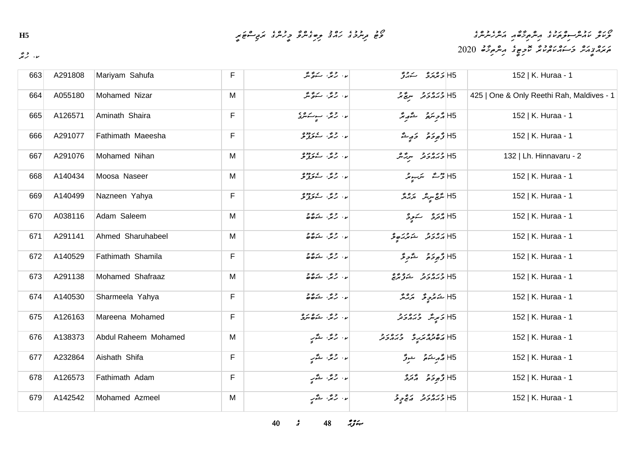*sCw7q7s5w7m< o<n9nOoAw7o< sCq;mAwBoEw7q<m; wBm;vB* م من المرة المرة المرة المرجع المراجع المراجع المراجع المراجع المراجع المراجع المراجع المراجع المراجع المراجع<br>مرين المراجع المراجع المرجع المراجع المراجع المراجع المراجع المراجع المراجع المراجع المراجع المراجع المراجع ال

| 663 | A291808 | Mariyam Sahufa       | F            | ىر، رقىق سۇھەتتى                                                                                                                    | H5 <i>كې</i> رو سى <i>رو</i>                                                                                   | 152   K. Huraa - 1                        |
|-----|---------|----------------------|--------------|-------------------------------------------------------------------------------------------------------------------------------------|----------------------------------------------------------------------------------------------------------------|-------------------------------------------|
| 664 | A055180 | Mohamed Nizar        | M            | ىر، رَبْقُ سَوَّسَ                                                                                                                  | H5 <i>كەنگە كەنگە ئىرىنگەنگە</i>                                                                               | 425   One & Only Reethi Rah, Maldives - 1 |
| 665 | A126571 | Aminath Shaira       | F            | لاس حريمي، سوستوسري                                                                                                                 | H5 مَّ حِسَمَةٌ حَقَّ مِيمَّ                                                                                   | 152   K. Huraa - 1                        |
| 666 | A291077 | Fathimath Maeesha    | F            | لا، رحمهٔ کاردوه                                                                                                                    | H5 رَّجِ <i>حَدَّةٍ</i> حَصِيْتُهُ                                                                             | 152   K. Huraa - 1                        |
| 667 | A291076 | Mohamed Nihan        | M            | ر، رژی که دوه<br>ر، رنگ ک                                                                                                           | H5 <i>3225 تور</i> مبرگ                                                                                        | 132   Lh. Hinnavaru - 2                   |
| 668 | A140434 | Moosa Naseer         | M            | ر، رُبُّ، سُکوَرُوڤ                                                                                                                 | H5 گھ مگرسومگر                                                                                                 | 152   K. Huraa - 1                        |
| 669 | A140499 | Nazneen Yahya        | F            | ر، رژی که دوه<br>را، رژی که دور                                                                                                     | H5 سُمَّ سرِ سَرَ مَرْسُدَّدَّ                                                                                 | 152   K. Huraa - 1                        |
| 670 | A038116 | Adam Saleem          | M            | $\begin{array}{cc} 28.2 & 22.2 \\ 0 & -2.2 & 0 \end{array}$                                                                         | H5 مُحَمَدٌ سَمَوِرٌ                                                                                           | 152   K. Huraa - 1                        |
| 671 | A291141 | Ahmed Sharuhabeel    | M            | $\begin{array}{ccccc}\n\circ & \circ & \circ & \circ & \circ \\ \circ & \circ & \circ & \circ\n\end{array}$                         | H5   كەبرى ئىقى ئەسىركىزى بىرىكى ئىس                                                                           | 152   K. Huraa - 1                        |
| 672 | A140529 | Fathimath Shamila    | F            | $\stackrel{2}{\circ} \stackrel{2}{\circ} \stackrel{2}{\circ} \stackrel{1}{\circ} \stackrel{3}{\circ} \stackrel{2}{\circ} \cdot \nu$ | H5 تَ <i>وْجِوَة</i> شَرْحِةَ                                                                                  | 152   K. Huraa - 1                        |
| 673 | A291138 | Mohamed Shafraaz     | M            | $\begin{array}{ccccc}\n\circ & \circ & \circ & \circ \\ \circ & \circ & \circ & \circ\n\end{array}$                                 | H5 دره د د عده پره په                                                                                          | 152   K. Huraa - 1                        |
| 674 | A140530 | Sharmeela Yahya      | F            | $\stackrel{2}{\circ} \stackrel{2}{\circ} \stackrel{2}{\circ} \stackrel{1}{\circ} \stackrel{3}{\circ} \stackrel{2}{\circ} \cdot \nu$ | H5 ش <i>مر پروگر مربر پ</i> ر                                                                                  | 152   K. Huraa - 1                        |
| 675 | A126163 | Mareena Mohamed      | F            | 2.2.2.2.2.2.7                                                                                                                       | H5يري <i>گ ويمگ</i> ونو                                                                                        | 152   K. Huraa - 1                        |
| 676 | A138373 | Abdul Raheem Mohamed | $\mathsf{M}$ | مار حريمي، سقيمي                                                                                                                    | H5 בטמת בניק פינדיק בינדיק בינדיק בינדיק בינדיק בינדיק בינדיק בינדיק בינדיק בינדיק בינדיק בינדיק בינדיק בינדיק | 152   K. Huraa - 1                        |
| 677 | A232864 | Aishath Shifa        | F            | ىدا رقىقى ئىققاي                                                                                                                    | H5 صَمِيسَمَّ شَوَرَّ                                                                                          | 152   K. Huraa - 1                        |
| 678 | A126573 | Fathimath Adam       | F            | ما الرحمني المقرب                                                                                                                   | H5  تَ <i>ُ</i> م <i>ِودَة</i> مُسَرَّد                                                                        | 152   K. Huraa - 1                        |
| 679 | A142542 | Mohamed Azmeel       | M            | ما الرحمني المشرب                                                                                                                   | H5 <i>جُهُودُو وَ وَيُحْوِ</i> وُ                                                                              | 152   K. Huraa - 1                        |

*40 sC 48 nNw?mS*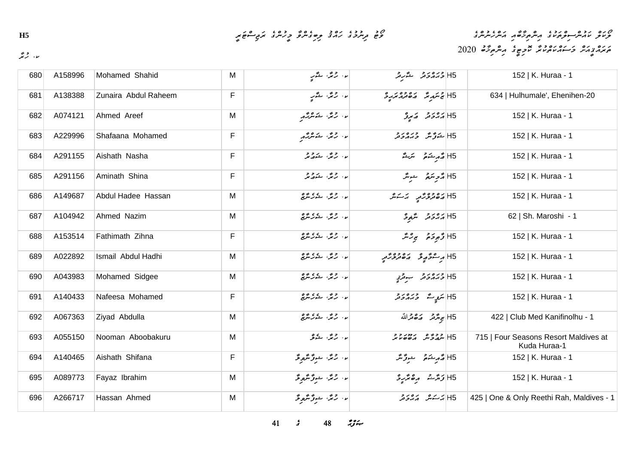*sCw7q7s5w7m< o<n9nOoAw7o< sCq;mAwBoEw7q<m; wBm;vB* م من المرة المرة المرة المرجع المراجع المراجع المراجع المراجع المراجع المراجع المراجع المراجع المراجع المراجع<br>مرين المراجع المراجع المرجع المراجع المراجع المراجع المراجع المراجع المراجع المراجع المراجع المراجع المراجع ال

| 680 | A158996 | Mohamed Shahid       | M | ا ما سر محمد می شد به این می به این به این به این برای این برای کردند.<br>موالید برای می شود به ساله برای کردند به این برای برای کردند برای برای برای برای کردند برای کردند برای کردند ب | H5 <i>وُبَرُوُوَتَوْ</i> سُمَّرِيْرُ                                                                          | 152   K. Huraa - 1                                    |
|-----|---------|----------------------|---|------------------------------------------------------------------------------------------------------------------------------------------------------------------------------------------|---------------------------------------------------------------------------------------------------------------|-------------------------------------------------------|
| 681 | A138388 | Zunaira Abdul Raheem | F | الله الرحيق المقولي                                                                                                                                                                      | H5 يحسَم بحر مقدر بحربه و                                                                                     | 634   Hulhumale', Ehenihen-20                         |
| 682 | A074121 | Ahmed Areef          | M | لاسترىنى ئىشلەر ئەر                                                                                                                                                                      | H5 كەنزى كەرىمى كىلىنى ئىستىدىكى بىر ئىستىدىكە ئاستان ئىستەن ئىستان ئىستان ئىستان ئىستان ئىستان ئىستان ئىستان | 152   K. Huraa - 1                                    |
| 683 | A229996 | Shafaana Mohamed     | F | لا رحمي ڪاڪريگار                                                                                                                                                                         | H5 خۇش ئەيرە ئەر                                                                                              | 152   K. Huraa - 1                                    |
| 684 | A291155 | Aishath Nasha        | F | ىر، رقىق، ئىشەرلىر                                                                                                                                                                       | H5 م <i>ەرشىمى مىرىش</i>                                                                                      | 152   K. Huraa - 1                                    |
| 685 | A291156 | Aminath Shina        | F | ىدا رقىقى ئىشەر قر                                                                                                                                                                       | H5 مُرْحِسَمُ شِيسٌ                                                                                           | 152   K. Huraa - 1                                    |
| 686 | A149687 | Abdul Hadee Hassan   | M | ىر، رقىق ھۇرىترى                                                                                                                                                                         | H5 كەھەر <i>ى بىر بەسەنل</i>                                                                                  | 152   K. Huraa - 1                                    |
| 687 | A104942 | Ahmed Nazim          | M | ىر، رقىق ھەرقىدى                                                                                                                                                                         | H5 كەنزىق سىھبى                                                                                               | 62   Sh. Maroshi - 1                                  |
| 688 | A153514 | Fathimath Zihna      | F | ىر، رقىق، ئىشەر ئىگرى                                                                                                                                                                    | H5 تَ <i>وجوح</i> بِمَ مَسَرٌ                                                                                 | 152   K. Huraa - 1                                    |
| 689 | A022892 | Ismail Abdul Hadhi   | M | ىر، رقىق ھۇرىترى                                                                                                                                                                         | H5 مِ سُوَّمٍ فِي مَصْرُوْرَ مِنْ                                                                             | 152   K. Huraa - 1                                    |
| 690 | A043983 | Mohamed Sidgee       | M | ىر، رقىق ھۇرىترى                                                                                                                                                                         | H5  <i>وُبُرُوُدَوْ</i> سِب <i>ِيْرِةٍ</i>                                                                    | 152   K. Huraa - 1                                    |
| 691 | A140433 | Nafeesa Mohamed      | F | ىر، رقىق، ئىشەر ئىگرى                                                                                                                                                                    | H5 يترو بين وبروتر                                                                                            | 152   K. Huraa - 1                                    |
| 692 | A067363 | Ziyad Abdulla        | M | لا الرحمي، ڪري سرچ                                                                                                                                                                       | H5 برتر كەن ئەراللە                                                                                           | 422   Club Med Kanifinolhu - 1                        |
| 693 | A055150 | Nooman Aboobakuru    | M | ىر، رَمِمَّ، ئىشۇ                                                                                                                                                                        | 7222222215                                                                                                    | 715   Four Seasons Resort Maldives at<br>Kuda Huraa-1 |
| 694 | A140465 | Aishath Shifana      | F | الا اڭنگا ھوڙنگونگو                                                                                                                                                                      | H5 <i>مُقْرِسْتَ</i> مُ سُوِرٌسَّرَ                                                                           | 152   K. Huraa - 1                                    |
| 695 | A089773 | Fayaz Ibrahim        | M | ، رُبُّ، شوَرٌ مُرْهِ ثَرُ                                                                                                                                                               | H5 زَيَّرْتْہُ مِنْ مَرْرِدْ                                                                                  | 152   K. Huraa - 1                                    |
| 696 | A266717 | Hassan Ahmed         | M | لاس رىنى ئىسۇ ئىگەنگە                                                                                                                                                                    | H5  پرسترېفر <b>پرې</b> څوننې                                                                                 | 425   One & Only Reethi Rah, Maldives - 1             |

*41 sC 48 nNw?mS*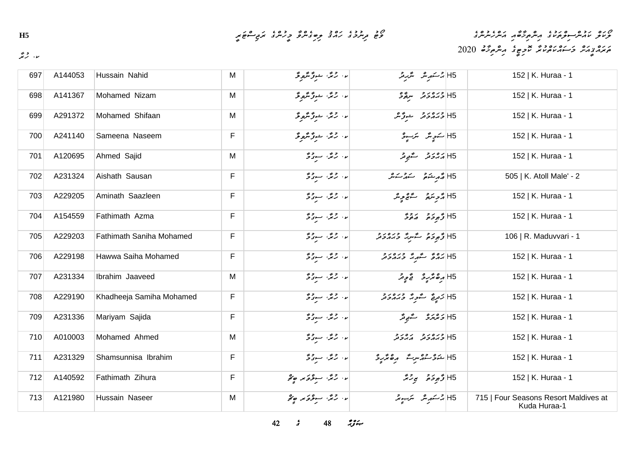*sCw7q7s5w7m< o<n9nOoAw7o< sCq;mAwBoEw7q<m; wBm;vB* م من المرة المرة المرة المرجع المراجع المراجع المراجع المراجع المراجع المراجع المراجع المراجع المراجع المراجع<br>مرين المراجع المراجع المرجع المراجع المراجع المراجع المراجع المراجع المراجع المراجع المراجع المراجع المراجع ال

| 697 | A144053 | Hussain Nahid            | M | ا ، رژش، ھوڙ س <i>ڙو ڏ</i>    | H5   پرستہر بھ سنگریٹر                          | 152   K. Huraa - 1                                    |
|-----|---------|--------------------------|---|-------------------------------|-------------------------------------------------|-------------------------------------------------------|
| 698 | A141367 | Mohamed Nizam            | M | الا، رژىما سورگىتىدۇ.         | H5/ <i>جەممى ئىرىگى</i> ئىس بىر                 | 152   K. Huraa - 1                                    |
| 699 | A291372 | Mohamed Shifaan          | M | ، رُبُّنَ شِيوٌ بَنُّهِ ثُمَّ | H5 <i>جُهُمْ دَمْرِ</i> حَمِورٌ شَرِ            | 152   K. Huraa - 1                                    |
| 700 | A241140 | Sameena Naseem           | F | ، رَبَّرُ، شِيوَّ شَهْدِ وَّ  | H5 س <i>توبڈ</i> م <i>ترج</i> و                 | 152   K. Huraa - 1                                    |
| 701 | A120695 | Ahmed Sajid              | M | لا، رحمہ سورتی                | H5 پر پر پی سنگھ میں تھر<br>15                  | 152   K. Huraa - 1                                    |
| 702 | A231324 | Aishath Sausan           | F | الأراجيني السورجي             | H5 مەم ئىقتىم سىكە ئىككىنىشى ئىسكە              | 505   K. Atoll Male' - 2                              |
| 703 | A229205 | Aminath Saazleen         | F | ما الرحمة السورج              | H5 مَّ حِسَمَة مُصَبَّحِ حِسَّرَ                | 152   K. Huraa - 1                                    |
| 704 | A154559 | Fathimath Azma           | F | لا، رژش سود ژ                 | H5 وَّجِوحَمْ صَفَرَّ                           | 152   K. Huraa - 1                                    |
| 705 | A229203 | Fathimath Saniha Mohamed | F | لا، رحمہ، سوچھ                | H5 رَّجِ دَمَ ۾ سُمبر <i>جُهُ دور و</i>         | 106   R. Maduvvari - 1                                |
| 706 | A229198 | Hawwa Saiha Mohamed      | F | لا، رحمہ، سوری                | H5 يَرْدُوَّ سُمْهِ يُرْ وَيَرْدُونَد           | 152   K. Huraa - 1                                    |
| 707 | A231334 | Ibrahim Jaaveed          | M | الأراجيني السوريخ             | H5 م <i>ِرەَ بَرَّرِدْ ي</i> ُّ مِ <i>دِيرْ</i> | 152   K. Huraa - 1                                    |
| 708 | A229190 | Khadheeja Samiha Mohamed | F | مار رحمنگا استرونخ            | H5 زَمِرِجٌ   سُمَّحِ بُرَّ وَبَرَ وَمَرَّ وَ   | 152   K. Huraa - 1                                    |
| 709 | A231336 | Mariyam Sajida           | F | لا، رحمہ، سوچھ                | H5 كەبىر بىر مەنىيە ئىگە بىر ئى                 | 152   K. Huraa - 1                                    |
| 710 | A010003 | Mohamed Ahmed            | M | پار رقمنگا اسلوندگی           | H5 دره د د بره د د                              | 152   K. Huraa - 1                                    |
| 711 | A231329 | Shamsunnisa Ibrahim      | F | لا، رحمہ سودی                 | H5 غۇر مەھرىرىگە مەھەردى                        | 152   K. Huraa - 1                                    |
| 712 | A140592 | Fathimath Zihura         | F | لا رقبت سنوی بر گاهی          | H5 رَّج <i>وحَمَ</i> بِحِرْمَّدَ                | 152   K. Huraa - 1                                    |
| 713 | A121980 | Hussain Naseer           | M | لاسترش سوقوسر گاهي            | H5 پرسکوپٹر کرکے میرانیم                        | 715   Four Seasons Resort Maldives at<br>Kuda Huraa-1 |

*42 s* 48  $2.94$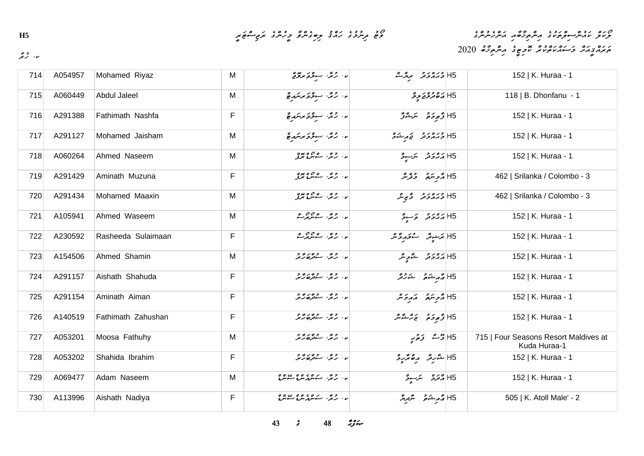*sCw7q7s5w7m< o<n9nOoAw7o< sCq;mAwBoEw7q<m; wBm;vB* م من المرة المرة المرة المرجع المراجع المراجع المراجع المراجع المراجع المراجع المراجع المراجع المراجع المراجع<br>مرين المراجع المراجع المرجع المراجع المراجع المراجع المراجع المراجع المراجع المراجع المراجع المراجع المراجع ال

| 714 | A054957 | Mohamed Riyaz      | M           | ر، رُبُّ، سِ <i>وڈوَبروَّة</i>    | H5 <i>ڈبزون</i> وٹر بربڑے           | 152   K. Huraa - 1                                    |
|-----|---------|--------------------|-------------|-----------------------------------|-------------------------------------|-------------------------------------------------------|
| 715 | A060449 | Abdul Jaleel       | M           | ر. رُمُّ، سِوْءَ مِسَمْ هِ        | H5 رَرُورُوَ بِرِوْ                 | 118   B. Dhonfanu - 1                                 |
| 716 | A291388 | Fathimath Nashfa   | F           | الاسترش سوقة برسكره               | H5 تَ <i>وْجِوَةْ</i> سَرْشْتَرَ    | 152   K. Huraa - 1                                    |
| 717 | A291127 | Mohamed Jaisham    | M           | لاسترش سوقاته يترمنع              | H5 يزەرو ئەرىئەتى                   | 152   K. Huraa - 1                                    |
| 718 | A060264 | Ahmed Naseem       | M           | ر. رقمهٔ عبده موه<br>را رقمهٔ عبد | H5  <i>252, مَرْسِ</i> وْ           | 152   K. Huraa - 1                                    |
| 719 | A291429 | Aminath Muzuna     | F           | ر. رقمهٔ مشده مرد                 | H5 مَّرِسَمَّۃٌ وَنَّرْسَّ          | 462   Srilanka / Colombo - 3                          |
| 720 | A291434 | Mohamed Maaxin     | M           | ر. رحمهٔ عبده معروف               | H5 <i>5225 و مح پ</i> ر             | 462   Srilanka / Colombo - 3                          |
| 721 | A105941 | Ahmed Waseem       | M           | ىر، رْبْقُ سْايْتْرْبْرْسْهْ      | H5/ <i>مَدْدُوتْر حَ</i> سِيوْتَ    | 152   K. Huraa - 1                                    |
| 722 | A230592 | Rasheeda Sulaimaan | F           | ر، رحمہ، ےمیں پر ے                | H5  ىَرَسْبِقَر سُمْحَ مِردَّ سَرْ  | 152   K. Huraa - 1                                    |
| 723 | A154506 | Ahmed Shamin       | M           | ر، رحمہ، سافرہ تر پر              | H5 كەبردى ھەر شەر بىر               | 152   K. Huraa - 1                                    |
| 724 | A291157 | Aishath Shahuda    | $\mathsf F$ | ر، رُمِنٌ، سەنئەھەر بو            | H5 مُصِنْعَةً شَمَرْتُمْ            | 152   K. Huraa - 1                                    |
| 725 | A291154 | Aminath Aiman      | F           | ر، رحمہ، سافرہ تر و               | H5 مُجِسَمَة مَدِحَسْ               | 152   K. Huraa - 1                                    |
| 726 | A140519 | Fathimath Zahushan | $\mathsf F$ | ر، رحمہ، ساورہ رحمہ د             | H5 <i>وَّجِ حَمَّى بِحَ</i> سُمَّسَ | 152   K. Huraa - 1                                    |
| 727 | A053201 | Moosa Fathuhy      | M           | ر، رحمہ، سافرہ تر و               | H5 مَعْ وَحْدِبِ                    | 715   Four Seasons Resort Maldives at<br>Kuda Huraa-1 |
| 728 | A053202 | Shahida Ibrahim    | F           | ر، رحمہ، سافرہ تر و               | H5 ڪريگر ب <i>رھنگري</i> و          | 152   K. Huraa - 1                                    |
| 729 | A069477 | Adam Naseem        | M           | ر، رنگ، سنگهرس وه عامره           | H5 مُرْمَرْد - مَرْسِرْدُ           | 152   K. Huraa - 1                                    |
| 730 | A113996 | Aishath Nadiya     | F           | ىر، رقىق، سەھرى ھەم ئىيرى ھ       | H5 صَمِيحَة مُتَّمِيدً              | 505   K. Atoll Male' - 2                              |

**43** *s* **48** *n***<sub>s</sub>**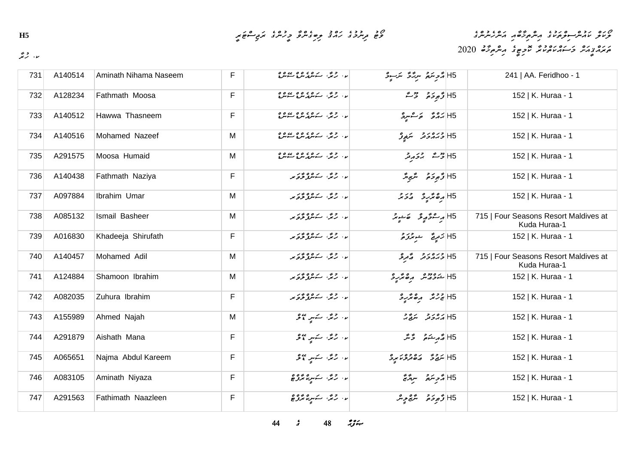*sCw7q7s5w7m< o<n9nOoAw7o< sCq;mAwBoEw7q<m; wBm;vB* م من المرة المرة المرة المرجع المراجع المراجع المراجع المراجع المراجع المراجع المراجع المراجع المراجع المراجع<br>مرين المراجع المراجع المرجع المراجع المراجع المراجع المراجع المراجع المراجع المراجع المراجع المراجع المراجع ال

| 731 | A140514 | Aminath Nihama Naseem | F           | یں کے سوری میں مندوج                | H5 أَمُّ مِسَمَّدٍ سَرْمَتُهُ سَرَبٍ وَ | 241   AA. Feridhoo - 1                                |
|-----|---------|-----------------------|-------------|-------------------------------------|-----------------------------------------|-------------------------------------------------------|
| 732 | A128234 | Fathmath Moosa        | $\mathsf F$ | لا رومي سەھرە ھەم ھەھ ھ             | H5 تَهومَ حَمَّ مَحْبَّ                 | 152   K. Huraa - 1                                    |
| 733 | A140512 | Hawwa Thasneem        | F           | ىدا جەنبە سەھرىكى ھەرە              | H5 بَرْدُعٌ مَ سُرْسِرْ \$              | 152   K. Huraa - 1                                    |
| 734 | A140516 | Mohamed Nazeef        | M           | لا رحمه سوه ده وه عده و             | H5 <i>2525 سَمَعِ وَ</i>                | 152   K. Huraa - 1                                    |
| 735 | A291575 | Moosa Humaid          | M           |                                     | H5_ جۇمەتىر                             | 152   K. Huraa - 1                                    |
| 736 | A140438 | Fathmath Naziya       | $\mathsf F$ | ىر، رقمى، سەمبەر بۇيۇس              | H5 <i>وَّجِوَحَمْ سُّبِيَّةَ</i>        | 152   K. Huraa - 1                                    |
| 737 | A097884 | Ibrahim Umar          | M           | ر، رژش، سەمبروگەند                  | H5 مەھم <i>گىر</i> ھەممى                | 152   K. Huraa - 1                                    |
| 738 | A085132 | Ismail Basheer        | M           | ر، رژش، سەمبەر بۇي <sub>ە بىر</sub> | H5 م سىمۇمىر ئىم ئىسىمىتى ئىس           | 715   Four Seasons Resort Maldives at<br>Kuda Huraa-1 |
| 739 | A016830 | Khadeeja Shirufath    | F           | ر، رژش، سەمبەر بۇي <sub>ە بىر</sub> | H5 كرمريعٌ سو <i>مرۇم</i> ْ             | 152   K. Huraa - 1                                    |
| 740 | A140457 | Mohamed Adil          | M           | ىر، رقمى، سەھ دە ئەر                | H5 تر پروتر گھری                        | 715   Four Seasons Resort Maldives at<br>Kuda Huraa-1 |
| 741 | A124884 | Shamoon Ibrahim       | M           | ىر، رقمى، سەھرىۋە ئەر               | H5 خورمبر م <i>ەمگرى</i>                | 152   K. Huraa - 1                                    |
| 742 | A082035 | Zuhura Ibrahim        | F           | ىر، رقمى، سەھ دە ئەر                | H5 يحر <i>مگر م</i> ھ <i>مگرچ</i>       | 152   K. Huraa - 1                                    |
| 743 | A155989 | Ahmed Najah           | M           | لا، رحيق ڪيل ڇپي و                  | H5  <i>مَدُوَمَّةَ سَهَّةً بِ</i>       | 152   K. Huraa - 1                                    |
| 744 | A291879 | Aishath Mana          | F           | لا، رحمي ڪير ڇمو                    | H5 <i>مۇمىشقۇ</i> ھەتگە                 | 152   K. Huraa - 1                                    |
| 745 | A065651 | Najma Abdul Kareem    | F           | لاڪر جي ڪير ڇپو                     | H5 يَرْدُوُ مَصْرُوْبَ بِرِدْ           | 152   K. Huraa - 1                                    |
| 746 | A083105 | Aminath Niyaza        | F           | ر. رحمهٔ س <i>تمبره مرو</i> ح       | H5 أَمَّ مِ مَرَّجٌ مَ سِ <i>رْبَعٌ</i> | 152   K. Huraa - 1                                    |
| 747 | A291563 | Fathimath Naazleen    | F           | ىر، رقمى، سەسرىلانمۇق               | H5  <i>وَّجِوَحَمْ مَدَّعْ جِسَّ</i> ر  | 152   K. Huraa - 1                                    |

*44 sC 48 nNw?mS*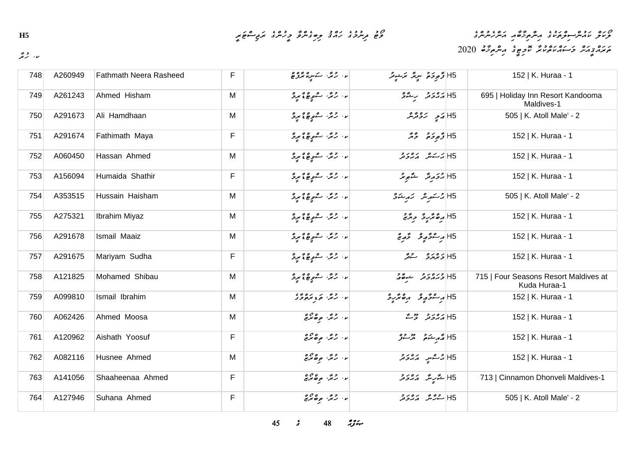*sCw7q7s5w7m< o<n9nOoAw7o< sCq;mAwBoEw7q<m; wBm;vB* م من المرة المرة المرة المرجع المراجع المراجع المراجع المراجع المراجع المراجع المراجع المراجع المراجع المراجع<br>مرين المراجع المراجع المرجع المراجع المراجع المراجع المراجع المراجع المراجع المراجع المراجع المراجع المراجع ال

| 748 | A260949 | <b>Fathmath Neera Rasheed</b> | F            | ر، ج <sub>ە</sub> بئى، سەبىر مەنزوھ                                                                                                                                                                                                                                                        | H5  <i>وَّجِ دَمْ</i> سِهُ تَرَسُوِتْرَ | 152   K. Huraa - 1                                    |
|-----|---------|-------------------------------|--------------|--------------------------------------------------------------------------------------------------------------------------------------------------------------------------------------------------------------------------------------------------------------------------------------------|-----------------------------------------|-------------------------------------------------------|
| 749 | A261243 | Ahmed Hisham                  | M            | لا . رحمهٔ الشوع و د و                                                                                                                                                                                                                                                                     | H5 كەيرى قىر بەشقى                      | 695   Holiday Inn Resort Kandooma<br>Maldives-1       |
| 750 | A291673 | Ali Hamdhaan                  | M            | الاسترنترا الشوره والمحاجر                                                                                                                                                                                                                                                                 | H5   كەمچە كەنى ئىرىگىر                 | 505   K. Atoll Male' - 2                              |
| 751 | A291674 | Fathimath Maya                | $\mathsf F$  | الاسترنتين الشويقى والمحدد                                                                                                                                                                                                                                                                 | H5 وَج <i>وح</i> مة حَمَّدَ             | 152   K. Huraa - 1                                    |
| 752 | A060450 | Hassan Ahmed                  | M            | الاسترنتين الشويقى والمحدد                                                                                                                                                                                                                                                                 | H5 يَرسَعْرُ مَدْرَوْرُ                 | 152   K. Huraa - 1                                    |
| 753 | A156094 | Humaida Shathir               | $\mathsf F$  | الاسترنتر، سقوط و دارد                                                                                                                                                                                                                                                                     | H5 كەكەرلىگە مىگەم <sub>ۇ</sub> مۇ      | 152   K. Huraa - 1                                    |
| 754 | A353515 | Hussain Haisham               | M            | الاسترنتين الشويقى والمحدد                                                                                                                                                                                                                                                                 | H5 يُرْسَمَ مِيْتَ مَرْسِسَة مِيْتَ     | 505   K. Atoll Male' - 2                              |
| 755 | A275321 | <b>Ibrahim Miyaz</b>          | M            | الاسترنترا الشوره والمحاجر                                                                                                                                                                                                                                                                 | H5  مِرْھَتَرْرِدْ وِتَرَى              | 152   K. Huraa - 1                                    |
| 756 | A291678 | <b>Ismail Maaiz</b>           | M            | الاسترنتين الشويقى والمحدد                                                                                                                                                                                                                                                                 | H5 م <i>وستحمي څو</i> نځ                | 152   K. Huraa - 1                                    |
| 757 | A291675 | Mariyam Sudha                 | $\mathsf{F}$ | الاسترنترا الشوره والمحاجر                                                                                                                                                                                                                                                                 | H5 كەيرى ئىگە                           | 152   K. Huraa - 1                                    |
| 758 | A121825 | Mohamed Shibau                | M            | الاسترنترا الشوره والمحاجر                                                                                                                                                                                                                                                                 | $22.25$ $-25.25$ H5                     | 715   Four Seasons Resort Maldives at<br>Kuda Huraa-1 |
| 759 | A099810 | Ismail Ibrahim                | M            | لا رقبي كرونوي                                                                                                                                                                                                                                                                             | H5  مرےدو میں مقدر دیگر دی<br>15  م     | 152   K. Huraa - 1                                    |
| 760 | A062426 | Ahmed Moosa                   | M            | $\overset{\circ}{\phantom{a}}\overset{\circ}{\phantom{a}}\overset{\circ}{\phantom{a}}\overset{\circ}{\phantom{a}}\overset{\circ}{\phantom{a}}\overset{\circ}{\phantom{a}}\overset{\circ}{\phantom{a}}\overset{\circ}{\phantom{a}}\overset{\circ}{\phantom{a}}\overset{\circ}{\phantom{a}}$ | $23.522$ H5                             | 152   K. Huraa - 1                                    |
| 761 | A120962 | Aishath Yoosuf                | F            | $\overset{\circ}{\phantom{a}}\overset{\circ}{\phantom{a}}\overset{\circ}{\phantom{a}}\overset{\circ}{\phantom{a}}\overset{\circ}{\phantom{a}}\overset{\circ}{\phantom{a}}\overset{\circ}{\phantom{a}}\overset{\circ}{\phantom{a}}\overset{\circ}{\phantom{a}}\overset{\circ}{\phantom{a}}$ | H5 گەرىشكە تەرىخۇ                       | 152   K. Huraa - 1                                    |
| 762 | A082116 | Husnee Ahmed                  | M            | ر، رُبُّنَ مِهْجَمَ                                                                                                                                                                                                                                                                        | H5 پر <i>شهر پروتو</i>                  | 152   K. Huraa - 1                                    |
| 763 | A141056 | Shaaheenaa Ahmed              | $\mathsf F$  | $\begin{bmatrix} 0 & 0 & 0 & 0 \\ 0 & 0 & 0 & 0 \\ 0 & 0 & 0 & 0 \end{bmatrix}$                                                                                                                                                                                                            |                                         | 713   Cinnamon Dhonveli Maldives-1                    |
| 764 | A127946 | Suhana Ahmed                  | F            | ر. رقمهٔ و ۱۵۵۵                                                                                                                                                                                                                                                                            | H5 كەبىر <i>مەدە</i> مە                 | 505   K. Atoll Male' - 2                              |

*45 sC 48 nNw?mS*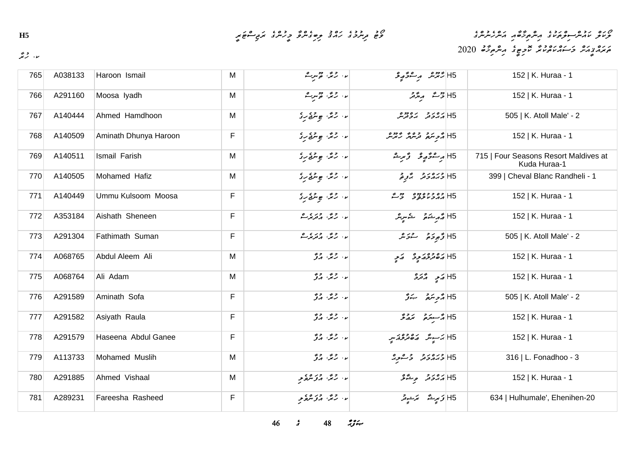*sCw7q7s5w7m< o<n9nOoAw7o< sCq;mAwBoEw7q<m; wBm;vB* م من المرة المرة المرة المرجع المراجع المراجع المراجع المراجع المراجع المراجع المراجع المراجع المراجع المراجع<br>مرين المراجع المراجع المرجع المراجع المراجع المراجع المراجع المراجع المراجع المراجع المراجع المراجع المراجع ال

| 765 | A038133 | Haroon Ismail         | M | الاسترنتري وحسرت             | H5 جيشر برسفو <i>ڻي</i> و                                                                            | 152   K. Huraa - 1                                    |
|-----|---------|-----------------------|---|------------------------------|------------------------------------------------------------------------------------------------------|-------------------------------------------------------|
| 766 | A291160 | Moosa Iyadh           | M | ىر، رقبۇ، قۇسرىشى            | H5 مجرحمہ مریکر                                                                                      | 152   K. Huraa - 1                                    |
| 767 | A140444 | Ahmed Hamdhoon        | M | لاسترنتر، ھاستى سى           | H5   <i>زہونو برودوہ</i>                                                                             | 505   K. Atoll Male' - 2                              |
| 768 | A140509 | Aminath Dhunya Haroon | F | لا رقبق جامرة رئ             | H5 ا <i>گرم مقبر مقبر مقبر مقبر ال</i>                                                               | 152   K. Huraa - 1                                    |
| 769 | A140511 | Ismail Farish         | M | لاسترنتر، ھاستى سى           | H5 مِ سُمَّ مُ مِعْ مِ مَحْ مِرْ شَمَّ الله عَلَيْهِ مِنْ مِنْ مِنْ مِنْ الْمُتَعَلِّقَاتِ مِنْ مِنْ | 715   Four Seasons Resort Maldives at<br>Kuda Huraa-1 |
| 770 | A140505 | Mohamed Hafiz         | M | لاسترنتر، ھايترون کا         | H5 <i>5223 بروة</i>                                                                                  | 399   Cheval Blanc Randheli - 1                       |
| 771 | A140449 | Ummu Kulsoom Moosa    | F | لاسترنتر، ھايترون کا         | 2, 3, 2, 2, 2, 2, 15                                                                                 | 152   K. Huraa - 1                                    |
| 772 | A353184 | Aishath Sheneen       | F | ىر، رقىق مەترىپرىشە          | H5 گەم ئىككە ئىگە ئىرىگر                                                                             | 152   K. Huraa - 1                                    |
| 773 | A291304 | Fathimath Suman       | F | ىر، رژىئى، مەندىرىك          | H5 وَجِعَة حَمَدَ مَثَّرَ مَثَّر                                                                     | 505   K. Atoll Male' - 2                              |
| 774 | A068765 | Abdul Aleem Ali       | M | ىدا رقىق مۇق                 | H5 <i>جَ هُ تروُ جُرِ وَ سَيِ</i>                                                                    | 152   K. Huraa - 1                                    |
| 775 | A068764 | Ali Adam              | M | ىدا رقىق مۇق                 | H5 کے پر مگرو                                                                                        | 152   K. Huraa - 1                                    |
| 776 | A291589 | Aminath Sofa          | F | ىدا رقىق مۇق                 | H5 م <i>مَّحِ سَوَّةً</i>                                                                            | 505   K. Atoll Male' - 2                              |
| 777 | A291582 | Asiyath Raula         | F | لا، رحمهٔ الروم              | H5 أَمُّ سِيهُمْ مَمَّتَمَثَّرَ                                                                      | 152   K. Huraa - 1                                    |
| 778 | A291579 | Haseena Abdul Ganee   | F | ىدا رقىق مۇ                  | H5  يز سوينگر    پرهانگروټر سپر                                                                      | 152   K. Huraa - 1                                    |
| 779 | A113733 | Mohamed Muslih        | M | ىدا رقىق مۇق                 | H5 <i>جەممى</i> ھەر جەمئى                                                                            | 316   L. Fonadhoo - 3                                 |
| 780 | A291885 | Ahmed Vishaal         | M | ، رقىق مۇس <sub>ى</sub> رە ، | H5/ كەندى ھ <sub>ە</sub> ھەنگەنى                                                                     | 152   K. Huraa - 1                                    |
| 781 | A289231 | Fareesha Rasheed      | F | ر، رقمهٔ ارد موروم           | H5 كرمرِيش كرشوش                                                                                     | 634   Hulhumale', Ehenihen-20                         |

**46** *s* **48** *n***<sub>s</sub>**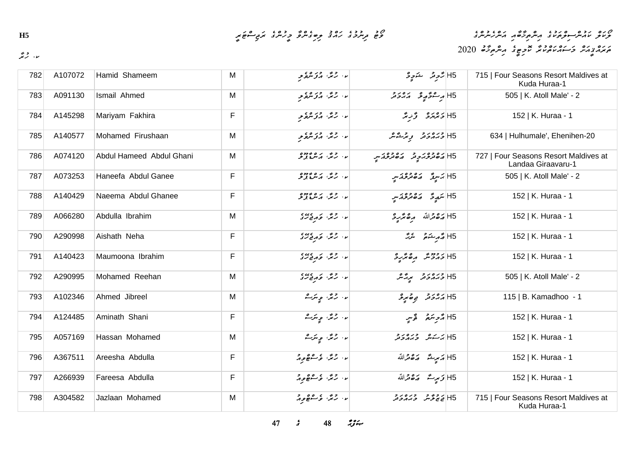*sCw7q7s5w7m< o<n9nOoAw7o< sCq;mAwBoEw7q<m; wBm;vB* م من المرة المرة المرة المرجع المراجع المراجع المراجع المراجع المراجع المراجع المراجع المراجع المراجع المراجع<br>مرين المراجع المراجع المرجع المراجع المراجع المراجع المراجع المراجع المراجع المراجع المراجع المراجع المراجع ال

| 782 | A107072 | Hamid Shameem            | M | ىر، رقى <i>گە، مۇ</i> ئىرغۇم              | H5 گرونڈ شکورڈ                                                                                                                                                                                                        | 715   Four Seasons Resort Maldives at<br>Kuda Huraa-1       |
|-----|---------|--------------------------|---|-------------------------------------------|-----------------------------------------------------------------------------------------------------------------------------------------------------------------------------------------------------------------------|-------------------------------------------------------------|
| 783 | A091130 | Ismail Ahmed             | M | ر، رژ <sub>نگ</sub> ، مۇش <sub>ھ</sub> ۇم | H5 م <i>رحوڤہو م</i> حدومہ                                                                                                                                                                                            | 505   K. Atoll Male' - 2                                    |
| 784 | A145298 | Mariyam Fakhira          | F | ر، رقمهٔ ارزمه در در در محمد بر           | H5 كا يوپرى تۇرىگە                                                                                                                                                                                                    | 152   K. Huraa - 1                                          |
| 785 | A140577 | Mohamed Firushaan        | M | لا، رقبق المۇشقۇم                         | H5/ <i>جەنەدى بىرىشى</i> ر                                                                                                                                                                                            | 634   Hulhumale', Ehenihen-20                               |
| 786 | A074120 | Abdul Hameed Abdul Ghani | M | ، رَبَّرُ، مَسْرُومُ وَ                   | H5  پرەوپرىيە مەھىرگە ئېرىد                                                                                                                                                                                           | 727   Four Seasons Resort Maldives at<br>Landaa Giraavaru-1 |
| 787 | A073253 | Haneefa Abdul Ganee      | F | ر، ارتز، ارتابه دوه                       | H5  برسيد   برھ فرقرنس بر                                                                                                                                                                                             | 505   K. Atoll Male' - 2                                    |
| 788 | A140429 | Naeema Abdul Ghanee      | F | ر، ريم، برعبيوه و                         | H5 <i>سَمِيرةَ مَ</i> صَ <i>مَرْ حْنَ</i> رَ سِرِ                                                                                                                                                                     | 152   K. Huraa - 1                                          |
| 789 | A066280 | Abdulla Ibrahim          | M | ر رقبی کارونان                            | H5 كَرْهُ مِرْاللَّهُ مِنْ مِنْ مِنْ بِرْدَ                                                                                                                                                                           | 152   K. Huraa - 1                                          |
| 790 | A290998 | Aishath Neha             | F | ر د چې نوم دی.                            | H5 م <i>ەم شەقەھىلىر</i> گ                                                                                                                                                                                            | 152   K. Huraa - 1                                          |
| 791 | A140423 | Maumoona Ibrahim         | F | ر رقمهٔ که ده ۲۵۵                         | H5. وه مع مصر المحدر حديد المحدر المحدر المحدر المحدر المحدر المحدر المحدر المحدر المحد المحد المحد<br>المحدود المحدود المحدر المحدر المحدر المحدر المحدر المحدود المحدود المحدود المحدود المحدود المحدود المحدود الم | 152   K. Huraa - 1                                          |
| 792 | A290995 | Mohamed Reehan           | M | ر - رحمه نوم و ده و د                     | H5 <i>222.25 برچ</i> ش                                                                                                                                                                                                | 505   K. Atoll Male' - 2                                    |
| 793 | A102346 | Ahmed Jibreel            | M | ىر، رقىق، ئۇسكەت                          | H5 كەبرىقر ب <i>ې ھې</i> رى                                                                                                                                                                                           | 115   B. Kamadhoo - 1                                       |
| 794 | A124485 | Aminath Shani            | F | ىر، رقىق، ئۇسكە                           | H5 مُتَّحِسَمُ فَمَتَّبِ                                                                                                                                                                                              | 152   K. Huraa - 1                                          |
| 795 | A057169 | Hassan Mohamed           | M | لاسترنتما الإنترنت                        | H5  يزيكر وبرورو                                                                                                                                                                                                      | 152   K. Huraa - 1                                          |
| 796 | A367511 | Areesha Abdulla          | F | ر، رَبِّي، وَسَعْ وِهِ.                   | H5 كەمىيىشقە كەھەتمەللە                                                                                                                                                                                               | 152   K. Huraa - 1                                          |
| 797 | A266939 | Fareesa Abdulla          | F | ر، رَبِّي، وَسَعْ وِهِ.                   | H5 كوموت كەنھەتراللە                                                                                                                                                                                                  | 152   K. Huraa - 1                                          |
| 798 | A304582 | Jazlaan Mohamed          | M | ر، رَبَّرٌ، وَسُقَّ وِ مُرَ               | H5  يرج جمل مقررة مرد<br>15  يرج محر مقرر مقرر مقر                                                                                                                                                                    | 715   Four Seasons Resort Maldives at<br>Kuda Huraa-1       |

*47 sC 48 nNw?mS*